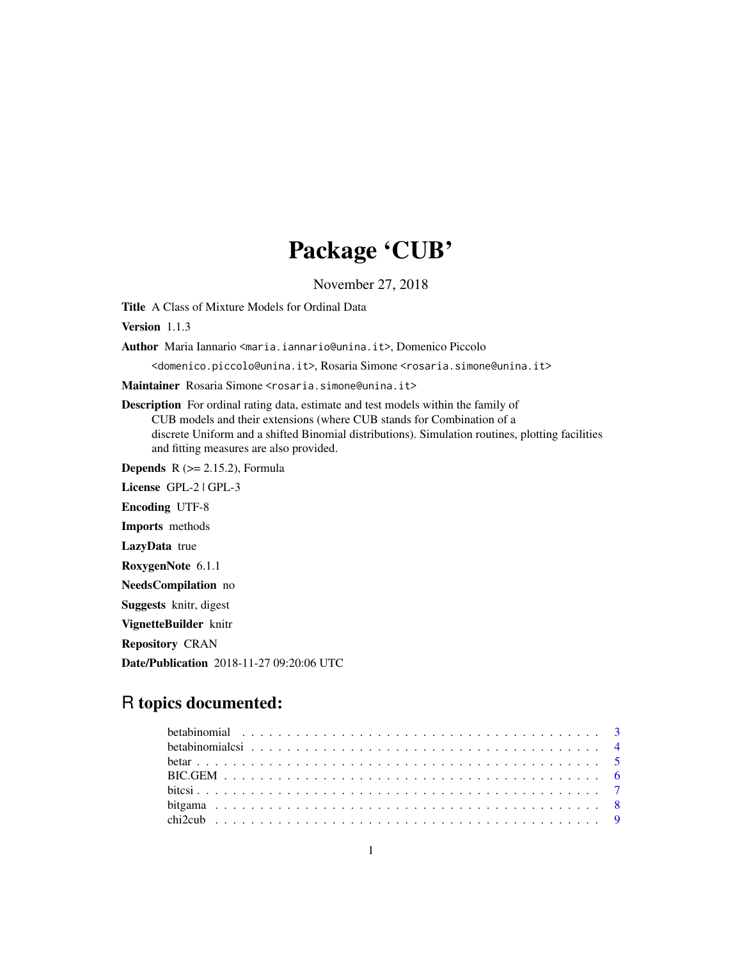# Package 'CUB'

November 27, 2018

<span id="page-0-0"></span>Title A Class of Mixture Models for Ordinal Data

Version 1.1.3

Author Maria Iannario <maria.iannario@unina.it>, Domenico Piccolo

<domenico.piccolo@unina.it>, Rosaria Simone <rosaria.simone@unina.it>

Maintainer Rosaria Simone <rosaria.simone@unina.it>

Description For ordinal rating data, estimate and test models within the family of CUB models and their extensions (where CUB stands for Combination of a discrete Uniform and a shifted Binomial distributions). Simulation routines, plotting facilities and fitting measures are also provided.

**Depends**  $R$  ( $>= 2.15.2$ ), Formula

License GPL-2 | GPL-3 Encoding UTF-8 Imports methods LazyData true RoxygenNote 6.1.1 NeedsCompilation no Suggests knitr, digest VignetteBuilder knitr Repository CRAN Date/Publication 2018-11-27 09:20:06 UTC

R topics documented:

# betabinomial . . . . . . . . . . . . . . . . . . . . . . . . . . . . . . . . . . . . . . . . [3](#page-2-0) betabinomialcsi . . . . . . . . . . . . . . . . . . . . . . . . . . . . . . . . . . . . . . . [4](#page-3-0) betar . . . . . . . . . . . . . . . . . . . . . . . . . . . . . . . . . . . . . . . . . . . . . [5](#page-4-0) BIC.GEM . . . . . . . . . . . . . . . . . . . . . . . . . . . . . . . . . . . . . . . . . . [6](#page-5-0) bitcsi . . . . . . . . . . . . . . . . . . . . . . . . . . . . . . . . . . . . . . . . . . . . . [7](#page-6-0) bitgama . . . . . . . . . . . . . . . . . . . . . . . . . . . . . . . . . . . . . . . . . . . [8](#page-7-0) chi2cub . . . . . . . . . . . . . . . . . . . . . . . . . . . . . . . . . . . . . . . . . . . [9](#page-8-0)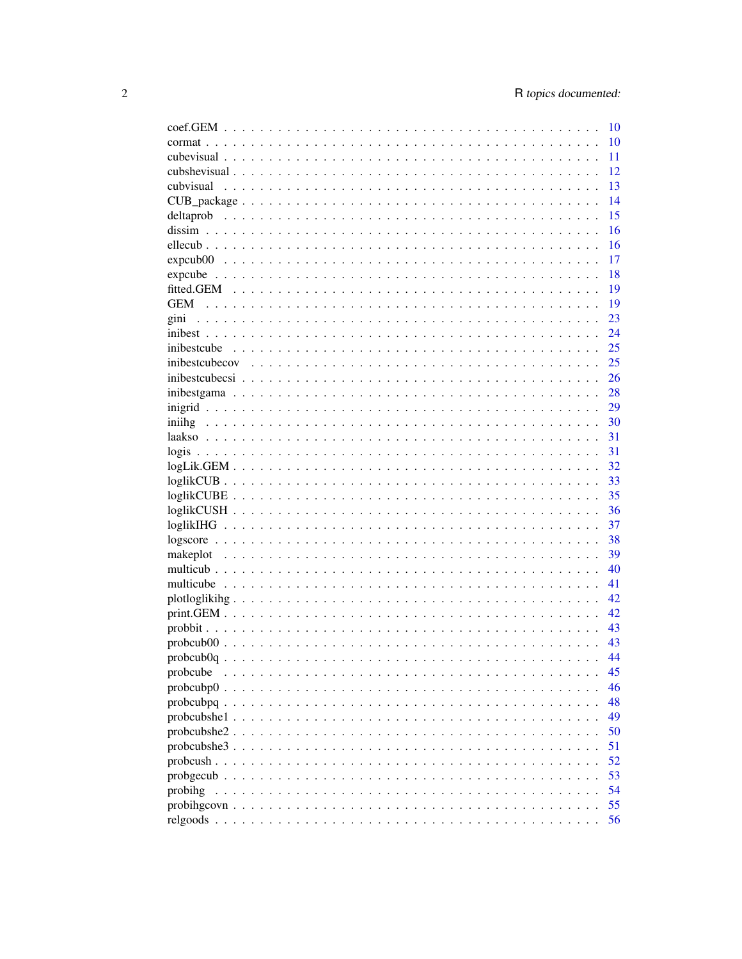|                                                                                              | 10       |
|----------------------------------------------------------------------------------------------|----------|
|                                                                                              | 10       |
|                                                                                              | 11       |
|                                                                                              | 12       |
| cubvisual                                                                                    | 13       |
|                                                                                              | 14       |
|                                                                                              | 15       |
|                                                                                              | 16       |
|                                                                                              | 16       |
|                                                                                              | 17       |
|                                                                                              | 18       |
|                                                                                              | 19       |
| GEM                                                                                          | 19       |
| gini                                                                                         | 23       |
|                                                                                              | 24       |
|                                                                                              | 25       |
|                                                                                              | 25       |
|                                                                                              | 26       |
|                                                                                              | 28       |
|                                                                                              | 29       |
|                                                                                              | - 30     |
|                                                                                              | -31      |
|                                                                                              | 31       |
|                                                                                              | 32       |
|                                                                                              | 33       |
|                                                                                              | 35       |
|                                                                                              | 36       |
|                                                                                              | 37       |
|                                                                                              | 38       |
|                                                                                              | 39       |
|                                                                                              | 40       |
|                                                                                              | 41       |
|                                                                                              | 42       |
|                                                                                              | 42       |
|                                                                                              |          |
|                                                                                              | 43       |
|                                                                                              | 43<br>44 |
|                                                                                              |          |
| probcube                                                                                     | 45       |
| $proboubp0$ .                                                                                | 46       |
|                                                                                              | 48       |
| probcubshe $1$ .                                                                             | 49       |
| probcubshe $2 \ldots$                                                                        | 50       |
| probcubshe $3 \ldots$                                                                        | 51       |
| probcush $\ldots$                                                                            | 52       |
| probgecub $\ldots$<br>$\ddot{\phantom{a}}$                                                   | 53       |
| probihg<br>$\ddot{\phantom{0}}$                                                              | 54       |
| $\text{probability}$ coving $\ldots \ldots \ldots \ldots \ldots \ldots \ldots \ldots \ldots$ | 55       |
|                                                                                              | 56       |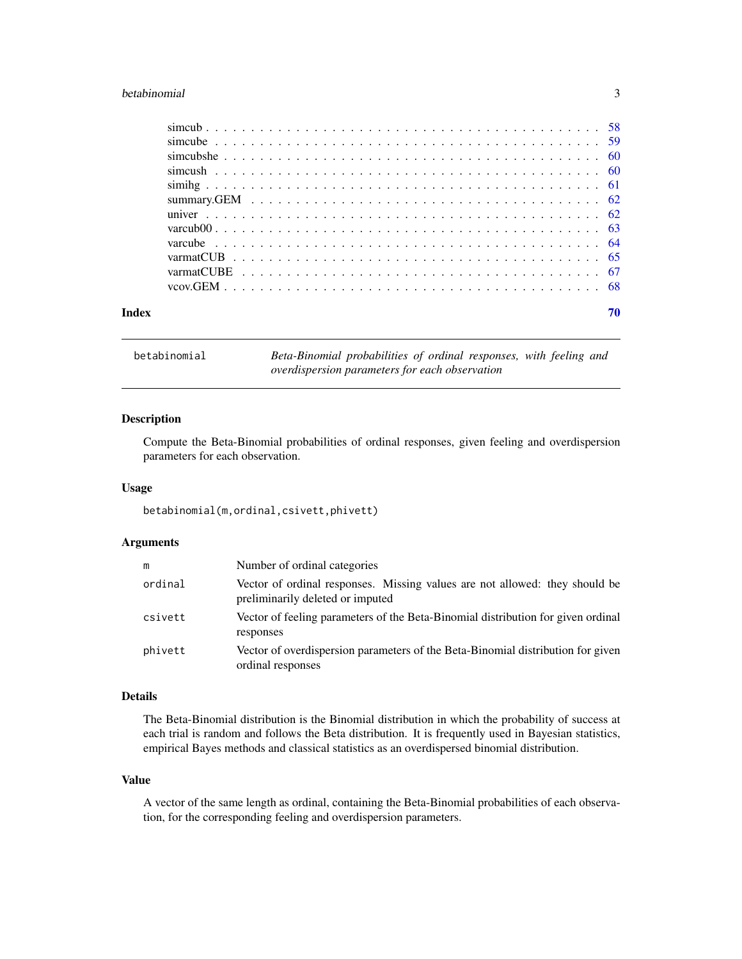#### <span id="page-2-0"></span>betabinomial 3

<span id="page-2-1"></span>betabinomial *Beta-Binomial probabilities of ordinal responses, with feeling and overdispersion parameters for each observation*

# Description

Compute the Beta-Binomial probabilities of ordinal responses, given feeling and overdispersion parameters for each observation.

#### Usage

betabinomial(m,ordinal,csivett,phivett)

#### Arguments

| m       | Number of ordinal categories                                                                                    |
|---------|-----------------------------------------------------------------------------------------------------------------|
| ordinal | Vector of ordinal responses. Missing values are not allowed: they should be<br>preliminarily deleted or imputed |
| csivett | Vector of feeling parameters of the Beta-Binomial distribution for given ordinal<br>responses                   |
| phivett | Vector of overdispersion parameters of the Beta-Binomial distribution for given<br>ordinal responses            |

#### Details

The Beta-Binomial distribution is the Binomial distribution in which the probability of success at each trial is random and follows the Beta distribution. It is frequently used in Bayesian statistics, empirical Bayes methods and classical statistics as an overdispersed binomial distribution.

# Value

A vector of the same length as ordinal, containing the Beta-Binomial probabilities of each observation, for the corresponding feeling and overdispersion parameters.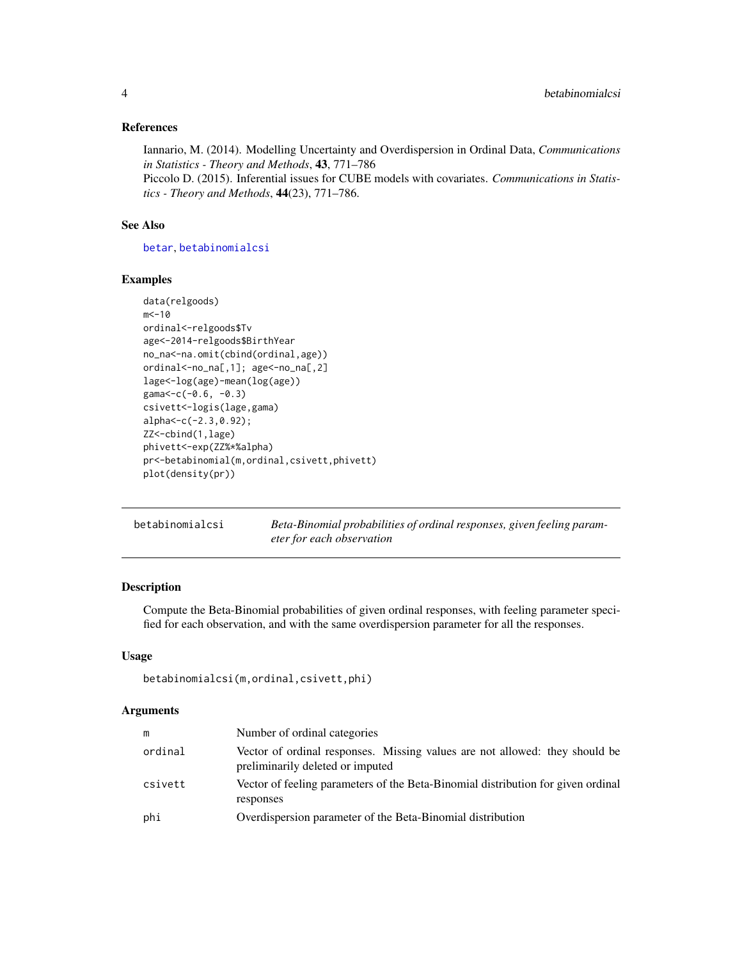#### <span id="page-3-0"></span>References

Iannario, M. (2014). Modelling Uncertainty and Overdispersion in Ordinal Data, *Communications in Statistics - Theory and Methods*, 43, 771–786

Piccolo D. (2015). Inferential issues for CUBE models with covariates. *Communications in Statistics - Theory and Methods*, 44(23), 771–786.

# See Also

[betar](#page-4-1), [betabinomialcsi](#page-3-1)

# Examples

```
data(relgoods)
m < -10ordinal<-relgoods$Tv
age<-2014-relgoods$BirthYear
no_na<-na.omit(cbind(ordinal,age))
ordinal<-no_na[,1]; age<-no_na[,2]
lage<-log(age)-mean(log(age))
gama<-c(-0.6, -0.3)csivett<-logis(lage,gama)
alpha<-c(-2.3,0.92);
ZZ<-cbind(1,lage)
phivett<-exp(ZZ%*%alpha)
pr<-betabinomial(m,ordinal,csivett,phivett)
plot(density(pr))
```
<span id="page-3-1"></span>

| betabinomialcsi | Beta-Binomial probabilities of ordinal responses, given feeling param- |
|-----------------|------------------------------------------------------------------------|
|                 | eter for each observation                                              |

# Description

Compute the Beta-Binomial probabilities of given ordinal responses, with feeling parameter specified for each observation, and with the same overdispersion parameter for all the responses.

# Usage

```
betabinomialcsi(m,ordinal,csivett,phi)
```

| m       | Number of ordinal categories                                                                                    |
|---------|-----------------------------------------------------------------------------------------------------------------|
| ordinal | Vector of ordinal responses. Missing values are not allowed: they should be<br>preliminarily deleted or imputed |
| csivett | Vector of feeling parameters of the Beta-Binomial distribution for given ordinal<br>responses                   |
| phi     | Overdispersion parameter of the Beta-Binomial distribution                                                      |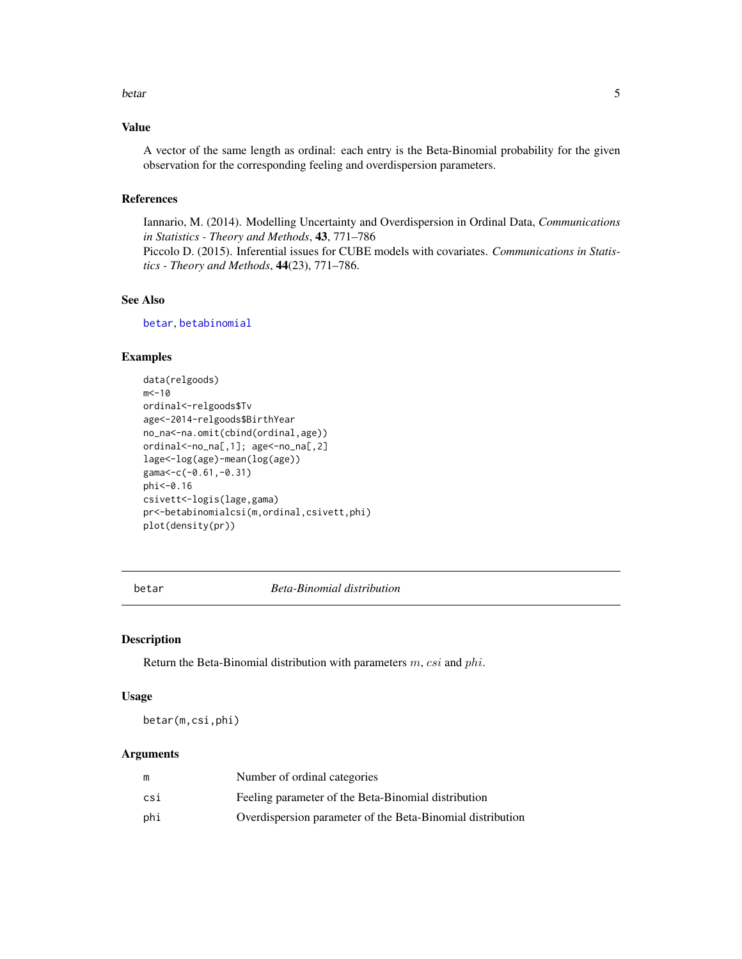#### <span id="page-4-0"></span>betar 5

# Value

A vector of the same length as ordinal: each entry is the Beta-Binomial probability for the given observation for the corresponding feeling and overdispersion parameters.

# References

Iannario, M. (2014). Modelling Uncertainty and Overdispersion in Ordinal Data, *Communications in Statistics - Theory and Methods*, 43, 771–786 Piccolo D. (2015). Inferential issues for CUBE models with covariates. *Communications in Statistics - Theory and Methods*, 44(23), 771–786.

# See Also

[betar](#page-4-1), [betabinomial](#page-2-1)

#### Examples

```
data(relgoods)
m < -10ordinal<-relgoods$Tv
age<-2014-relgoods$BirthYear
no_na<-na.omit(cbind(ordinal,age))
ordinal<-no_na[,1]; age<-no_na[,2]
lage<-log(age)-mean(log(age))
gama<-c(-0.61,-0.31)
phi<-0.16
csivett<-logis(lage,gama)
pr<-betabinomialcsi(m,ordinal,csivett,phi)
plot(density(pr))
```
<span id="page-4-1"></span>betar *Beta-Binomial distribution*

# Description

Return the Beta-Binomial distribution with parameters  $m$ ,  $csi$  and  $phi$ .

#### Usage

betar(m,csi,phi)

|     | Number of ordinal categories                               |
|-----|------------------------------------------------------------|
| csi | Feeling parameter of the Beta-Binomial distribution        |
| phi | Overdispersion parameter of the Beta-Binomial distribution |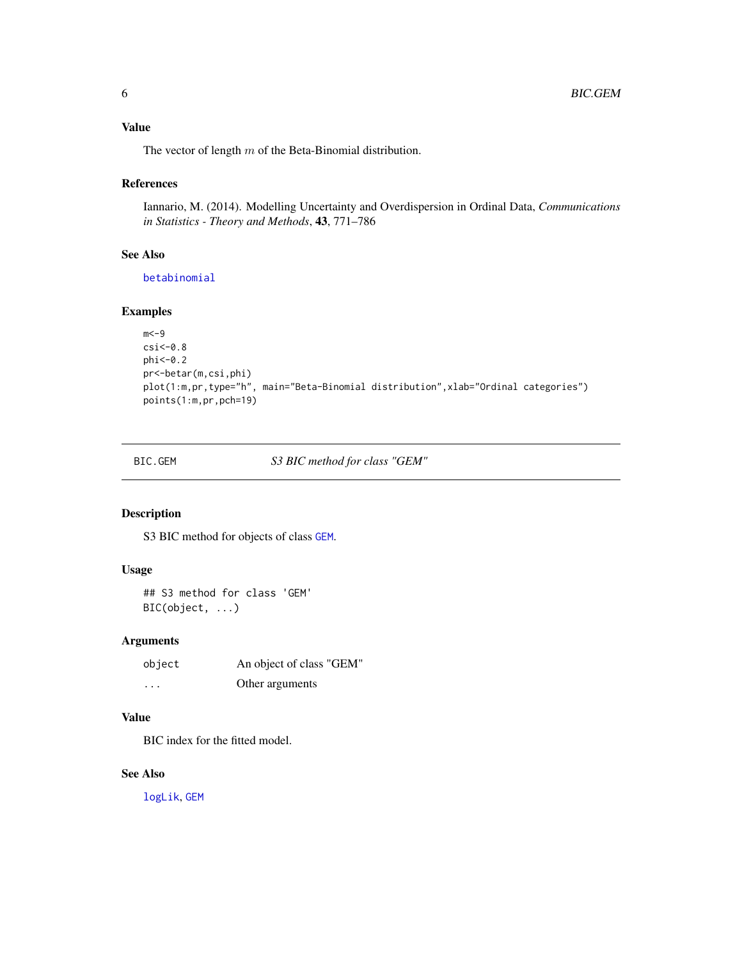# <span id="page-5-0"></span>Value

The vector of length  $m$  of the Beta-Binomial distribution.

# References

Iannario, M. (2014). Modelling Uncertainty and Overdispersion in Ordinal Data, *Communications in Statistics - Theory and Methods*, 43, 771–786

# See Also

[betabinomial](#page-2-1)

# Examples

```
m < -9csi<-0.8
phi<-0.2
pr<-betar(m,csi,phi)
plot(1:m,pr,type="h", main="Beta-Binomial distribution",xlab="Ordinal categories")
points(1:m,pr,pch=19)
```
BIC.GEM *S3 BIC method for class "GEM"*

# Description

S3 BIC method for objects of class [GEM](#page-18-1).

# Usage

```
## S3 method for class 'GEM'
BIC(object, ...)
```
#### Arguments

| object   | An object of class "GEM" |
|----------|--------------------------|
| $\cdots$ | Other arguments          |

# Value

BIC index for the fitted model.

# See Also

[logLik](#page-0-0), [GEM](#page-18-1)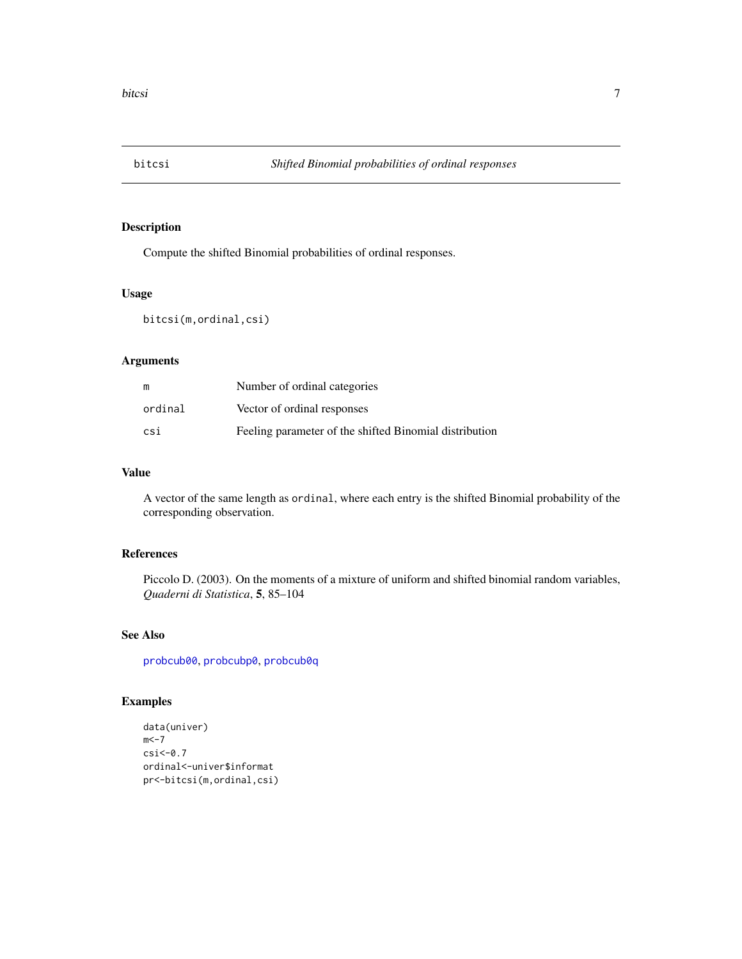<span id="page-6-1"></span><span id="page-6-0"></span>

Compute the shifted Binomial probabilities of ordinal responses.

# Usage

bitcsi(m,ordinal,csi)

# Arguments

| m       | Number of ordinal categories                           |
|---------|--------------------------------------------------------|
| ordinal | Vector of ordinal responses                            |
| csi     | Feeling parameter of the shifted Binomial distribution |

# Value

A vector of the same length as ordinal, where each entry is the shifted Binomial probability of the corresponding observation.

# References

Piccolo D. (2003). On the moments of a mixture of uniform and shifted binomial random variables, *Quaderni di Statistica*, 5, 85–104

# See Also

[probcub00](#page-42-1), [probcubp0](#page-45-1), [probcub0q](#page-43-1)

```
data(univer)
m < -7csi<-0.7
ordinal<-univer$informat
pr<-bitcsi(m,ordinal,csi)
```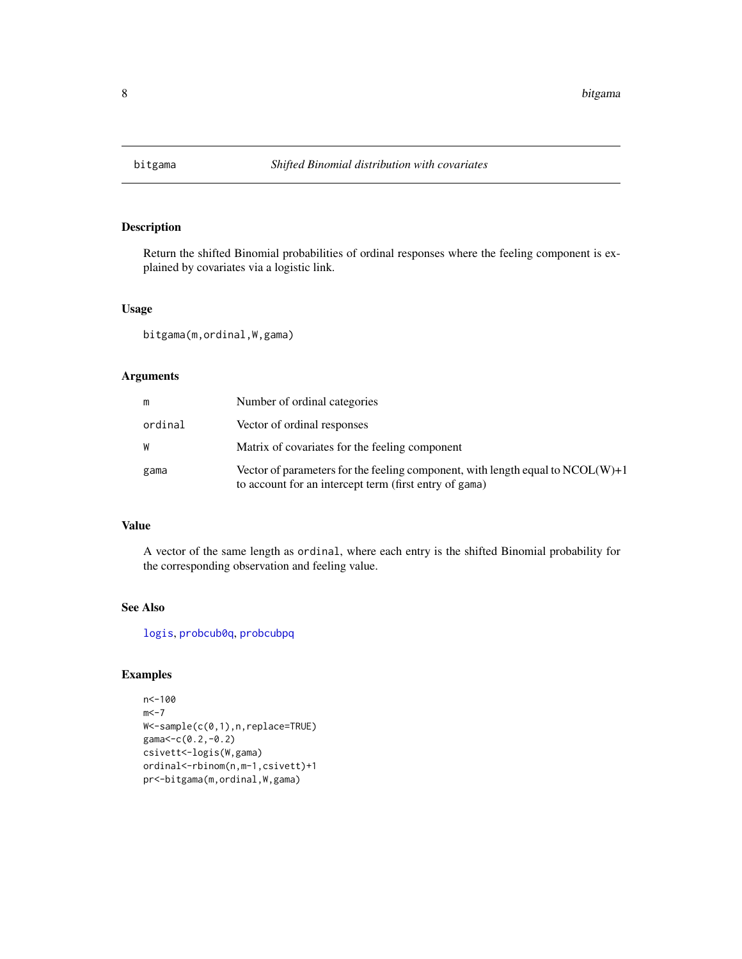<span id="page-7-1"></span><span id="page-7-0"></span>

Return the shifted Binomial probabilities of ordinal responses where the feeling component is explained by covariates via a logistic link.

#### Usage

bitgama(m,ordinal,W,gama)

#### Arguments

| m       | Number of ordinal categories                                                                                                                 |
|---------|----------------------------------------------------------------------------------------------------------------------------------------------|
| ordinal | Vector of ordinal responses                                                                                                                  |
| W       | Matrix of covariates for the feeling component                                                                                               |
| gama    | Vector of parameters for the feeling component, with length equal to $NCOL(W) + 1$<br>to account for an intercept term (first entry of gama) |

# Value

A vector of the same length as ordinal, where each entry is the shifted Binomial probability for the corresponding observation and feeling value.

# See Also

[logis](#page-30-1), [probcub0q](#page-43-1), [probcubpq](#page-47-1)

```
n<-100
m < -7W<-sample(c(0,1),n,replace=TRUE)
gama<-c(0.2,-0.2)
csivett<-logis(W,gama)
ordinal<-rbinom(n,m-1,csivett)+1
pr<-bitgama(m,ordinal,W,gama)
```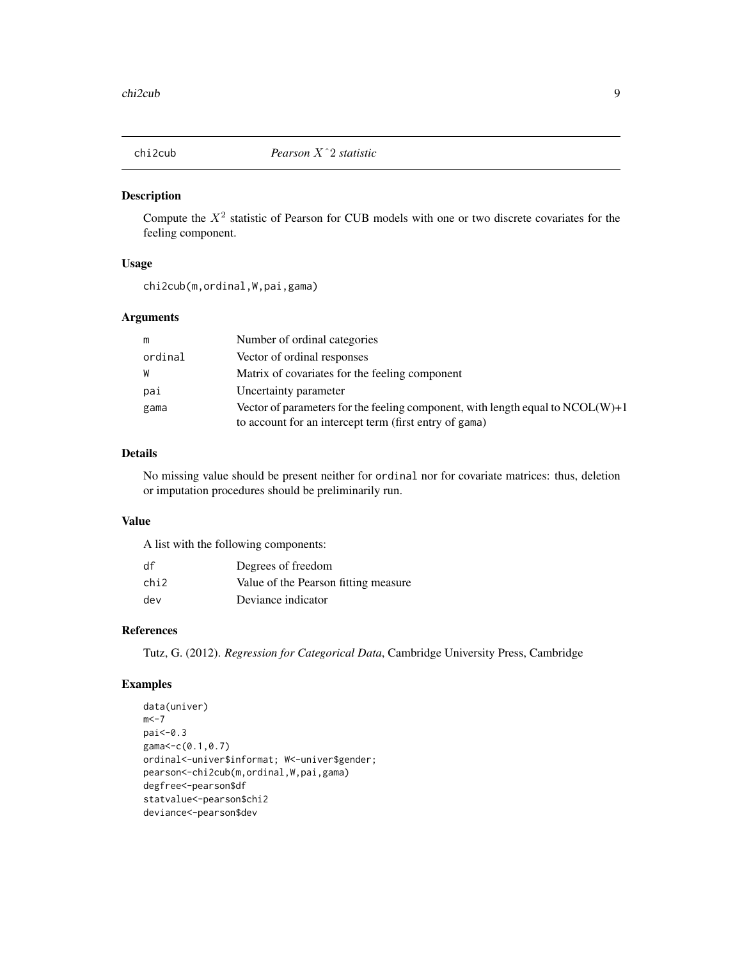<span id="page-8-0"></span>

Compute the  $X<sup>2</sup>$  statistic of Pearson for CUB models with one or two discrete covariates for the feeling component.

# Usage

chi2cub(m,ordinal,W,pai,gama)

# Arguments

| m       | Number of ordinal categories                                                                                                                 |
|---------|----------------------------------------------------------------------------------------------------------------------------------------------|
| ordinal | Vector of ordinal responses                                                                                                                  |
| W       | Matrix of covariates for the feeling component                                                                                               |
| раі     | Uncertainty parameter                                                                                                                        |
| gama    | Vector of parameters for the feeling component, with length equal to $NCOL(W) + 1$<br>to account for an intercept term (first entry of gama) |

# Details

No missing value should be present neither for ordinal nor for covariate matrices: thus, deletion or imputation procedures should be preliminarily run.

# Value

A list with the following components:

| df   | Degrees of freedom                   |
|------|--------------------------------------|
| chi2 | Value of the Pearson fitting measure |
| dev  | Deviance indicator                   |

# References

Tutz, G. (2012). *Regression for Categorical Data*, Cambridge University Press, Cambridge

```
data(univer)
m < -7pai<-0.3
gama<-c(0.1,0.7)
ordinal<-univer$informat; W<-univer$gender;
pearson<-chi2cub(m,ordinal,W,pai,gama)
degfree<-pearson$df
statvalue<-pearson$chi2
deviance<-pearson$dev
```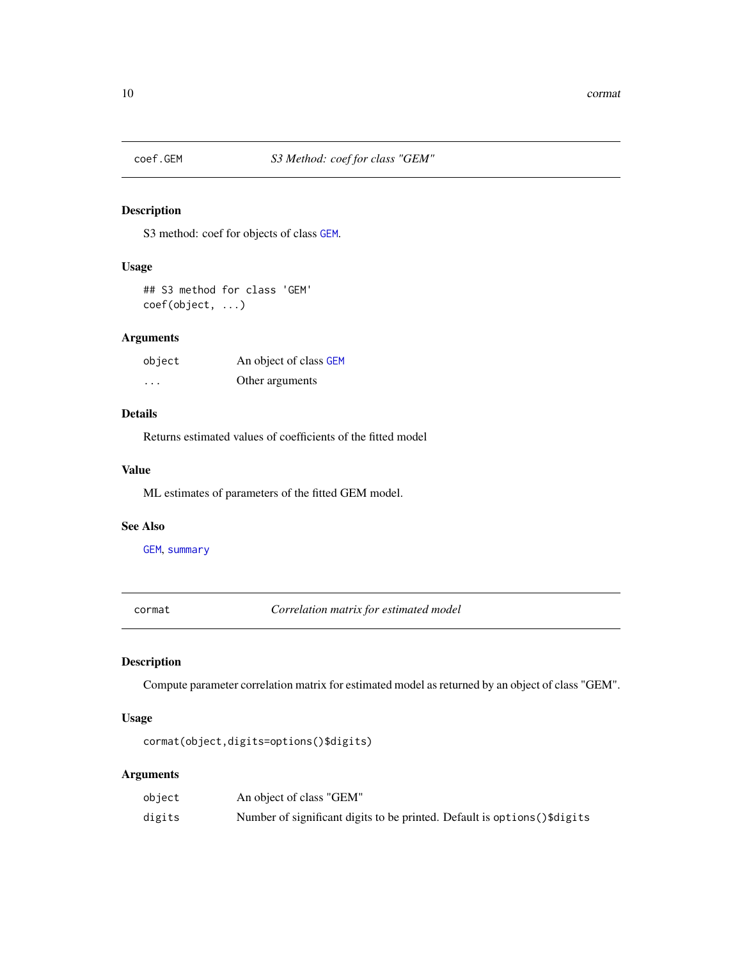<span id="page-9-0"></span>

S3 method: coef for objects of class [GEM](#page-18-1).

# Usage

## S3 method for class 'GEM' coef(object, ...)

# Arguments

| object   | An object of class GEM |
|----------|------------------------|
| $\cdots$ | Other arguments        |

# Details

Returns estimated values of coefficients of the fitted model

#### Value

ML estimates of parameters of the fitted GEM model.

# See Also

[GEM](#page-18-1), [summary](#page-0-0)

<span id="page-9-1"></span>cormat *Correlation matrix for estimated model*

# Description

Compute parameter correlation matrix for estimated model as returned by an object of class "GEM".

# Usage

cormat(object,digits=options()\$digits)

| object | An object of class "GEM"                                                   |
|--------|----------------------------------------------------------------------------|
| digits | Number of significant digits to be printed. Default is options () \$digits |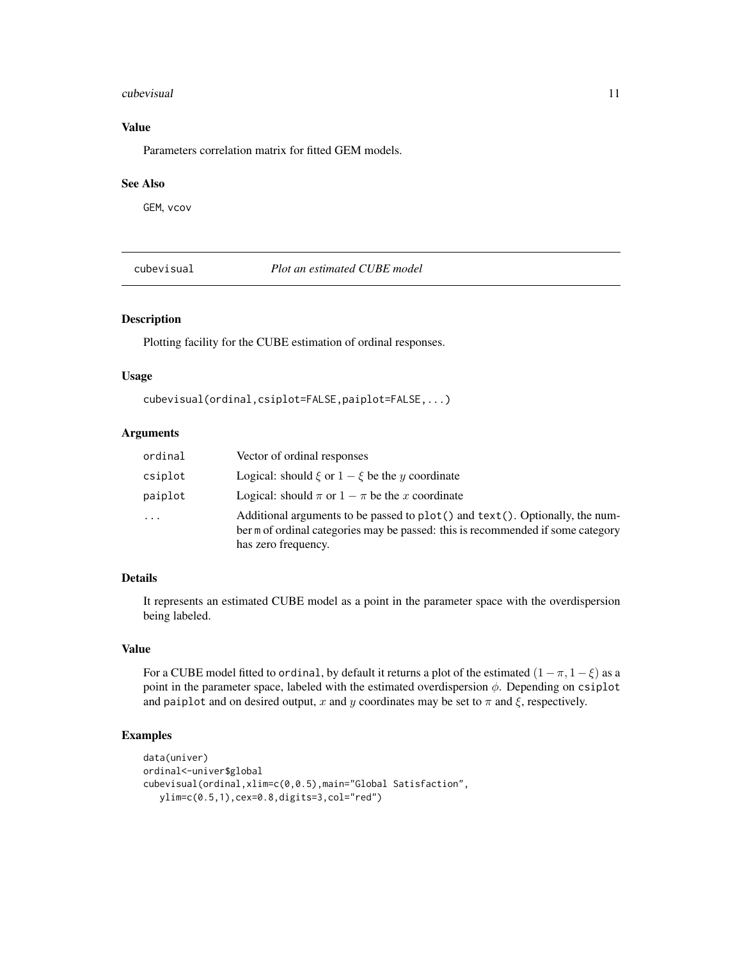#### <span id="page-10-0"></span>cubevisual 11

# Value

Parameters correlation matrix for fitted GEM models.

# See Also

GEM, vcov

<span id="page-10-1"></span>cubevisual *Plot an estimated CUBE model*

# Description

Plotting facility for the CUBE estimation of ordinal responses.

#### Usage

cubevisual(ordinal,csiplot=FALSE,paiplot=FALSE,...)

# Arguments

| ordinal  | Vector of ordinal responses                                                                                                                                                            |
|----------|----------------------------------------------------------------------------------------------------------------------------------------------------------------------------------------|
| csiplot  | Logical: should $\xi$ or $1 - \xi$ be the y coordinate                                                                                                                                 |
| paiplot  | Logical: should $\pi$ or $1 - \pi$ be the x coordinate                                                                                                                                 |
| $\ddots$ | Additional arguments to be passed to plot() and text(). Optionally, the num-<br>ber m of ordinal categories may be passed: this is recommended if some category<br>has zero frequency. |

# Details

It represents an estimated CUBE model as a point in the parameter space with the overdispersion being labeled.

# Value

For a CUBE model fitted to ordinal, by default it returns a plot of the estimated  $(1 - \pi, 1 - \xi)$  as a point in the parameter space, labeled with the estimated overdispersion  $\phi$ . Depending on csiplot and paiplot and on desired output, x and y coordinates may be set to  $\pi$  and  $\xi$ , respectively.

```
data(univer)
ordinal<-univer$global
cubevisual(ordinal,xlim=c(0,0.5),main="Global Satisfaction",
  ylim=c(0.5,1),cex=0.8,digits=3,col="red")
```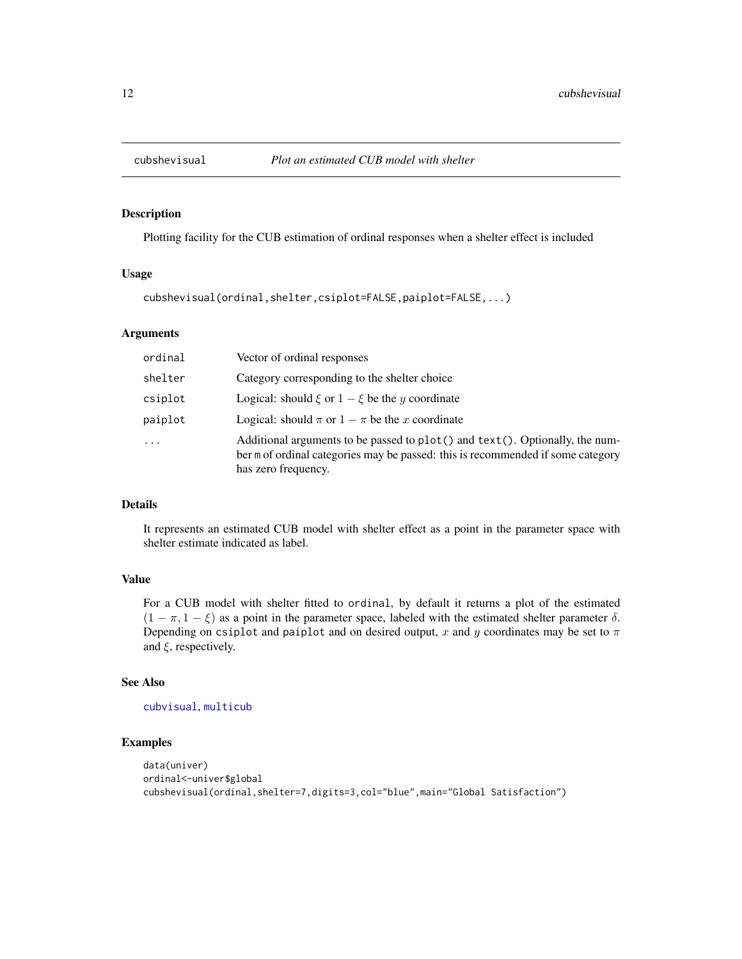<span id="page-11-1"></span><span id="page-11-0"></span>

Plotting facility for the CUB estimation of ordinal responses when a shelter effect is included

#### Usage

cubshevisual(ordinal,shelter,csiplot=FALSE,paiplot=FALSE,...)

# Arguments

| ordinal                 | Vector of ordinal responses                                                                                                                                                            |
|-------------------------|----------------------------------------------------------------------------------------------------------------------------------------------------------------------------------------|
| shelter                 | Category corresponding to the shelter choice                                                                                                                                           |
| csiplot                 | Logical: should $\xi$ or $1 - \xi$ be the y coordinate                                                                                                                                 |
| paiplot                 | Logical: should $\pi$ or $1 - \pi$ be the x coordinate                                                                                                                                 |
| $\cdot$ $\cdot$ $\cdot$ | Additional arguments to be passed to plot() and text(). Optionally, the num-<br>ber m of ordinal categories may be passed: this is recommended if some category<br>has zero frequency. |

#### Details

It represents an estimated CUB model with shelter effect as a point in the parameter space with shelter estimate indicated as label.

#### Value

For a CUB model with shelter fitted to ordinal, by default it returns a plot of the estimated  $(1 - \pi, 1 - \xi)$  as a point in the parameter space, labeled with the estimated shelter parameter  $\delta$ . Depending on csiplot and paiplot and on desired output, x and y coordinates may be set to  $\pi$ and  $\xi$ , respectively.

#### See Also

[cubvisual](#page-12-1), [multicub](#page-39-1)

```
data(univer)
ordinal<-univer$global
cubshevisual(ordinal,shelter=7,digits=3,col="blue",main="Global Satisfaction")
```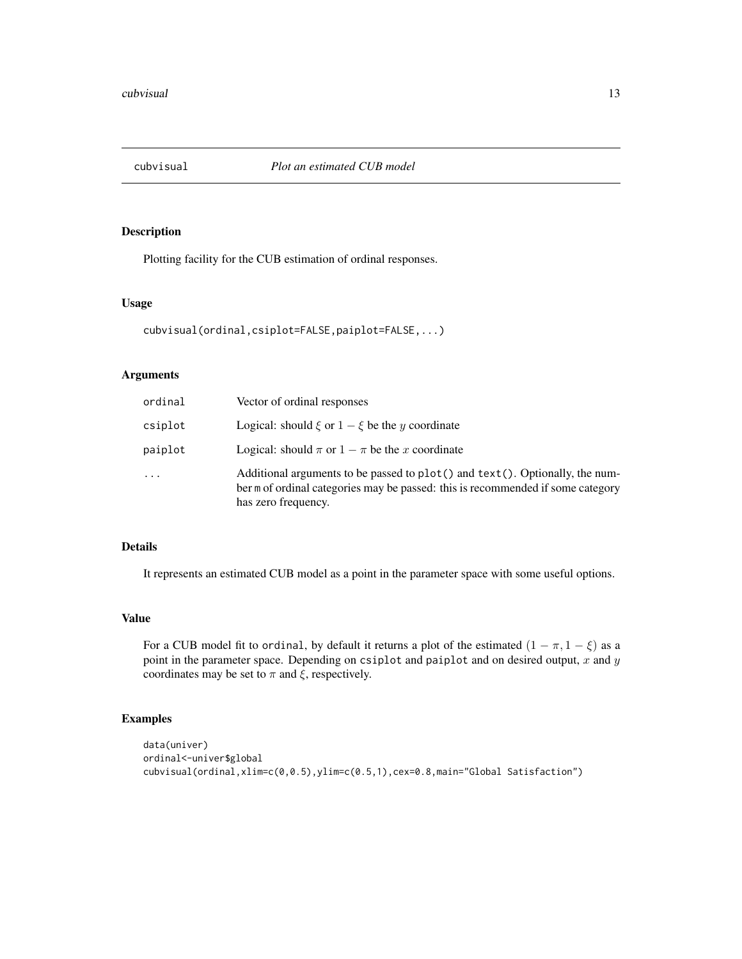<span id="page-12-1"></span><span id="page-12-0"></span>

Plotting facility for the CUB estimation of ordinal responses.

#### Usage

```
cubvisual(ordinal,csiplot=FALSE,paiplot=FALSE,...)
```
# Arguments

| ordinal  | Vector of ordinal responses                                                                                                                                                                 |
|----------|---------------------------------------------------------------------------------------------------------------------------------------------------------------------------------------------|
| csiplot  | Logical: should $\xi$ or $1 - \xi$ be the y coordinate                                                                                                                                      |
| paiplot  | Logical: should $\pi$ or $1 - \pi$ be the x coordinate                                                                                                                                      |
| $\cdots$ | Additional arguments to be passed to $plot()$ and $text()$ . Optionally, the num-<br>ber m of ordinal categories may be passed: this is recommended if some category<br>has zero frequency. |

# Details

It represents an estimated CUB model as a point in the parameter space with some useful options.

# Value

For a CUB model fit to ordinal, by default it returns a plot of the estimated  $(1 - \pi, 1 - \xi)$  as a point in the parameter space. Depending on csiplot and paiplot and on desired output,  $x$  and  $y$ coordinates may be set to  $\pi$  and  $\xi$ , respectively.

```
data(univer)
ordinal<-univer$global
cubvisual(ordinal,xlim=c(0,0.5),ylim=c(0.5,1),cex=0.8,main="Global Satisfaction")
```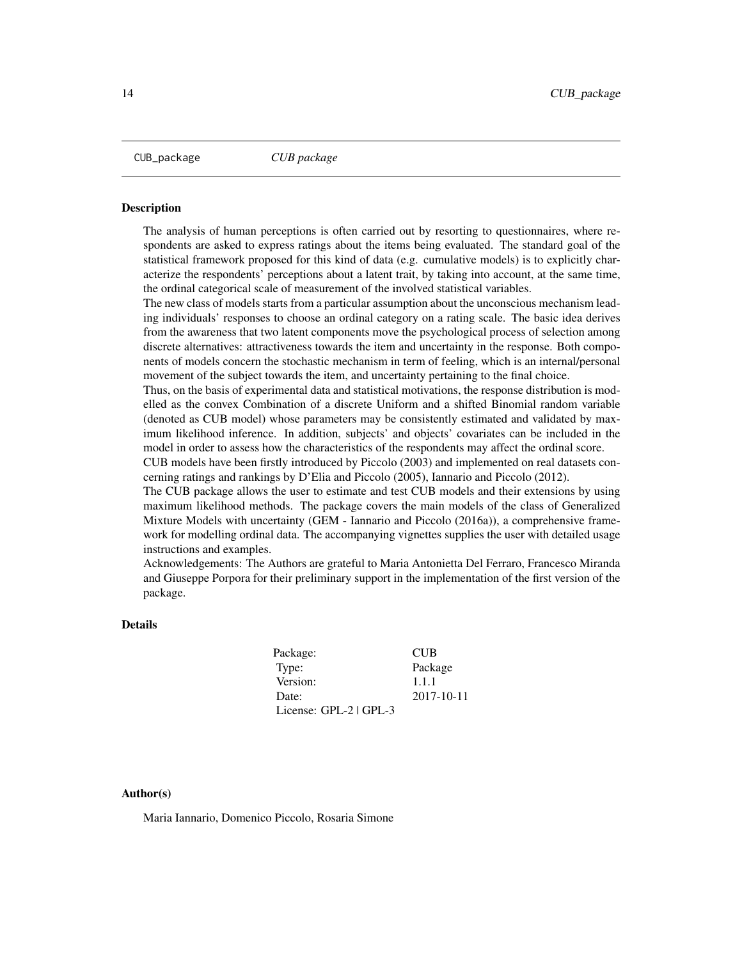<span id="page-13-0"></span>

The analysis of human perceptions is often carried out by resorting to questionnaires, where respondents are asked to express ratings about the items being evaluated. The standard goal of the statistical framework proposed for this kind of data (e.g. cumulative models) is to explicitly characterize the respondents' perceptions about a latent trait, by taking into account, at the same time, the ordinal categorical scale of measurement of the involved statistical variables.

The new class of models starts from a particular assumption about the unconscious mechanism leading individuals' responses to choose an ordinal category on a rating scale. The basic idea derives from the awareness that two latent components move the psychological process of selection among discrete alternatives: attractiveness towards the item and uncertainty in the response. Both components of models concern the stochastic mechanism in term of feeling, which is an internal/personal movement of the subject towards the item, and uncertainty pertaining to the final choice.

Thus, on the basis of experimental data and statistical motivations, the response distribution is modelled as the convex Combination of a discrete Uniform and a shifted Binomial random variable (denoted as CUB model) whose parameters may be consistently estimated and validated by maximum likelihood inference. In addition, subjects' and objects' covariates can be included in the model in order to assess how the characteristics of the respondents may affect the ordinal score.

CUB models have been firstly introduced by Piccolo (2003) and implemented on real datasets concerning ratings and rankings by D'Elia and Piccolo (2005), Iannario and Piccolo (2012).

The CUB package allows the user to estimate and test CUB models and their extensions by using maximum likelihood methods. The package covers the main models of the class of Generalized Mixture Models with uncertainty (GEM - Iannario and Piccolo (2016a)), a comprehensive framework for modelling ordinal data. The accompanying vignettes supplies the user with detailed usage instructions and examples.

Acknowledgements: The Authors are grateful to Maria Antonietta Del Ferraro, Francesco Miranda and Giuseppe Porpora for their preliminary support in the implementation of the first version of the package.

#### Details

| Package:               | <b>CUB</b>       |
|------------------------|------------------|
| Type:                  | Package          |
| Version:               | 1.1.1            |
| Date:                  | $2017 - 10 - 11$ |
| License: GPL-2   GPL-3 |                  |

#### Author(s)

Maria Iannario, Domenico Piccolo, Rosaria Simone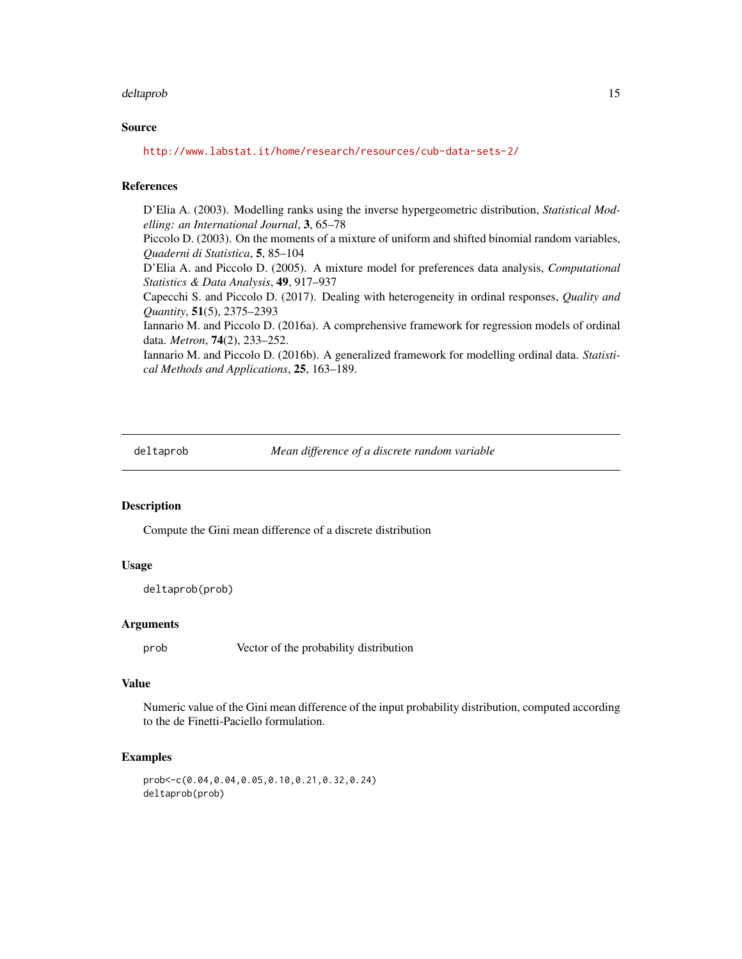#### <span id="page-14-0"></span>deltaprob the state of the state of the state of the state of the state of the state of the state of the state of the state of the state of the state of the state of the state of the state of the state of the state of the

#### Source

<http://www.labstat.it/home/research/resources/cub-data-sets-2/>

# References

D'Elia A. (2003). Modelling ranks using the inverse hypergeometric distribution, *Statistical Modelling: an International Journal*, 3, 65–78

Piccolo D. (2003). On the moments of a mixture of uniform and shifted binomial random variables, *Quaderni di Statistica*, 5, 85–104

D'Elia A. and Piccolo D. (2005). A mixture model for preferences data analysis, *Computational Statistics & Data Analysis*, 49, 917–937

Capecchi S. and Piccolo D. (2017). Dealing with heterogeneity in ordinal responses, *Quality and Quantity*, 51(5), 2375–2393

Iannario M. and Piccolo D. (2016a). A comprehensive framework for regression models of ordinal data. *Metron*, 74(2), 233–252.

Iannario M. and Piccolo D. (2016b). A generalized framework for modelling ordinal data. *Statistical Methods and Applications*, 25, 163–189.

deltaprob *Mean difference of a discrete random variable*

# **Description**

Compute the Gini mean difference of a discrete distribution

#### Usage

```
deltaprob(prob)
```
#### Arguments

prob Vector of the probability distribution

#### Value

Numeric value of the Gini mean difference of the input probability distribution, computed according to the de Finetti-Paciello formulation.

```
prob<-c(0.04,0.04,0.05,0.10,0.21,0.32,0.24)
deltaprob(prob)
```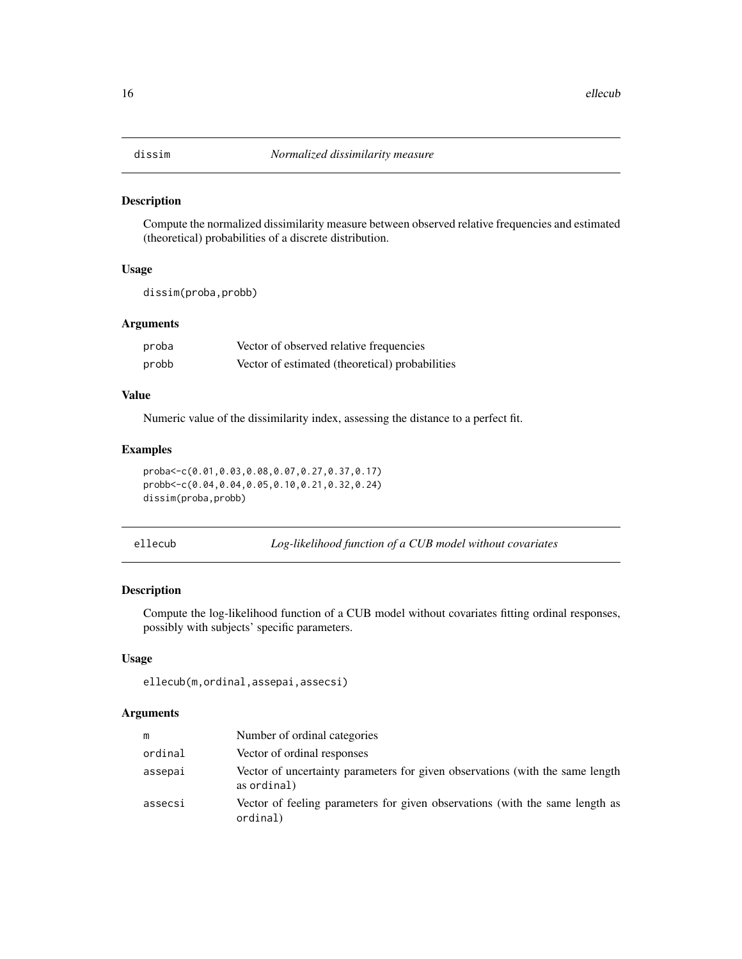<span id="page-15-0"></span>

Compute the normalized dissimilarity measure between observed relative frequencies and estimated (theoretical) probabilities of a discrete distribution.

# Usage

dissim(proba,probb)

#### Arguments

| proba | Vector of observed relative frequencies         |
|-------|-------------------------------------------------|
| probb | Vector of estimated (theoretical) probabilities |

# Value

Numeric value of the dissimilarity index, assessing the distance to a perfect fit.

# Examples

proba<-c(0.01,0.03,0.08,0.07,0.27,0.37,0.17) probb<-c(0.04,0.04,0.05,0.10,0.21,0.32,0.24) dissim(proba,probb)

ellecub *Log-likelihood function of a CUB model without covariates*

# Description

Compute the log-likelihood function of a CUB model without covariates fitting ordinal responses, possibly with subjects' specific parameters.

# Usage

```
ellecub(m,ordinal,assepai,assecsi)
```

| m       | Number of ordinal categories                                                                 |
|---------|----------------------------------------------------------------------------------------------|
| ordinal | Vector of ordinal responses                                                                  |
| assepai | Vector of uncertainty parameters for given observations (with the same length<br>as ordinal) |
| assecsi | Vector of feeling parameters for given observations (with the same length as<br>ordinal)     |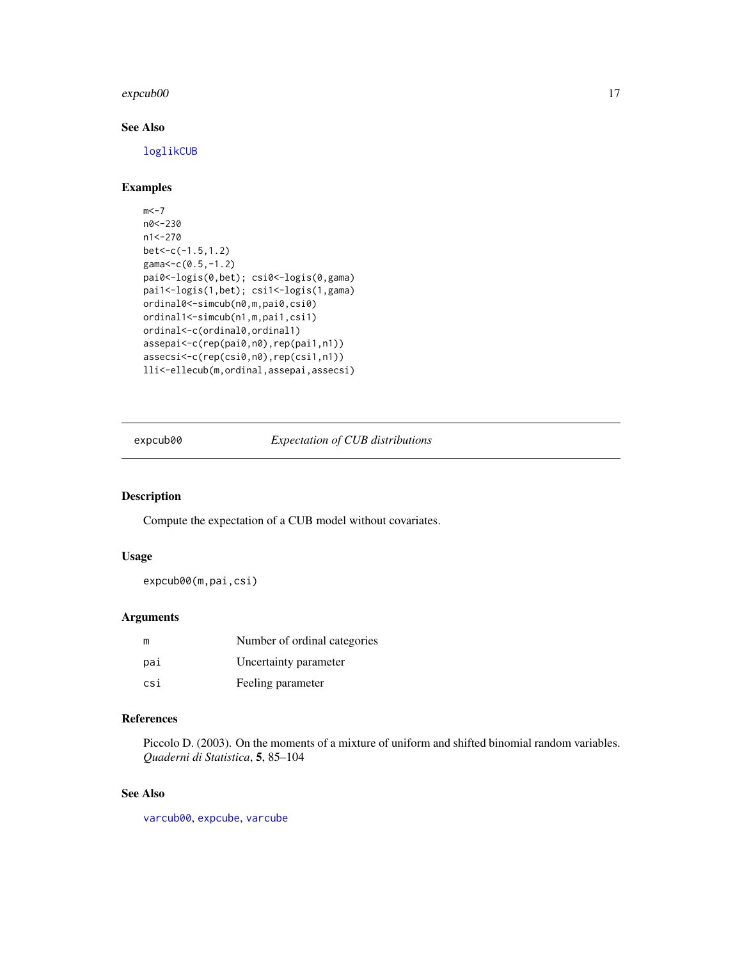#### <span id="page-16-0"></span> $\exp$ cub $00$  17

# See Also

[loglikCUB](#page-32-1)

# Examples

```
m < -7n0<-230
n1<-270
bet<-c(-1.5,1.2)
gama<-c(0.5,-1.2)
pai0<-logis(0,bet); csi0<-logis(0,gama)
pai1<-logis(1,bet); csi1<-logis(1,gama)
ordinal0<-simcub(n0,m,pai0,csi0)
ordinal1<-simcub(n1,m,pai1,csi1)
ordinal<-c(ordinal0,ordinal1)
assepai<-c(rep(pai0,n0),rep(pai1,n1))
assecsi<-c(rep(csi0,n0),rep(csi1,n1))
lli<-ellecub(m,ordinal,assepai,assecsi)
```
<span id="page-16-1"></span>expcub00 *Expectation of CUB distributions*

# Description

Compute the expectation of a CUB model without covariates.

# Usage

expcub00(m,pai,csi)

# Arguments

|     | Number of ordinal categories |
|-----|------------------------------|
| pai | Uncertainty parameter        |
| csi | Feeling parameter            |

# References

Piccolo D. (2003). On the moments of a mixture of uniform and shifted binomial random variables. *Quaderni di Statistica*, 5, 85–104

# See Also

[varcub00](#page-62-1), [expcube](#page-17-1), [varcube](#page-63-1)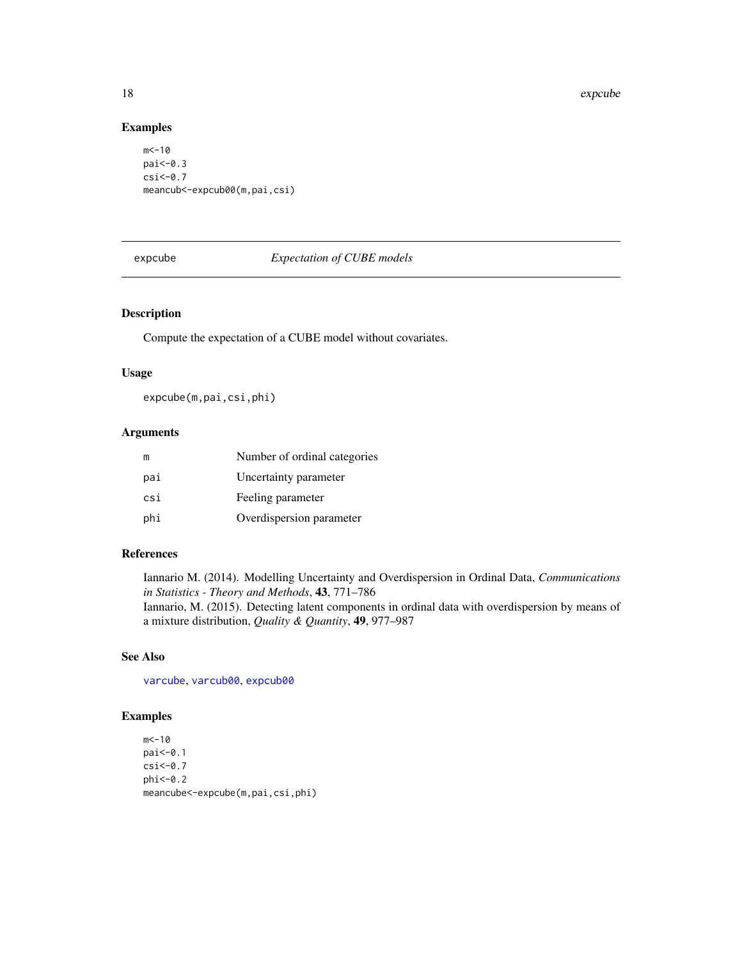# Examples

```
m < -10pai<-0.3
csi<-0.7
meancub<-expcub00(m,pai,csi)
```
<span id="page-17-1"></span>expcube *Expectation of CUBE models*

# Description

Compute the expectation of a CUBE model without covariates.

# Usage

expcube(m,pai,csi,phi)

# Arguments

| m   | Number of ordinal categories |
|-----|------------------------------|
| pai | Uncertainty parameter        |
| csi | Feeling parameter            |
| phi | Overdispersion parameter     |

# References

Iannario M. (2014). Modelling Uncertainty and Overdispersion in Ordinal Data, *Communications in Statistics - Theory and Methods*, 43, 771–786 Iannario, M. (2015). Detecting latent components in ordinal data with overdispersion by means of a mixture distribution, *Quality & Quantity*, 49, 977–987

# See Also

[varcube](#page-63-1), [varcub00](#page-62-1), [expcub00](#page-16-1)

```
m < -10pai<-0.1
csi<-0.7phi<-0.2
meancube<-expcube(m,pai,csi,phi)
```
<span id="page-17-0"></span>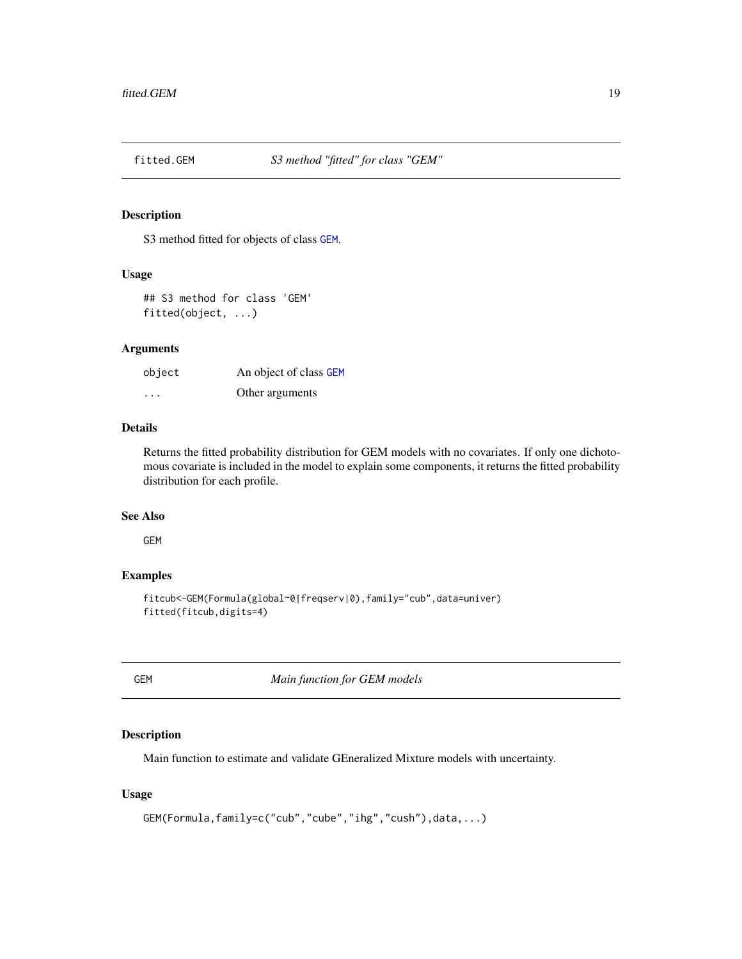<span id="page-18-0"></span>

S3 method fitted for objects of class [GEM](#page-18-1).

#### Usage

## S3 method for class 'GEM' fitted(object, ...)

#### Arguments

| object  | An object of class GEM |
|---------|------------------------|
| $\cdot$ | Other arguments        |

# Details

Returns the fitted probability distribution for GEM models with no covariates. If only one dichotomous covariate is included in the model to explain some components, it returns the fitted probability distribution for each profile.

# See Also

GEM

# Examples

```
fitcub<-GEM(Formula(global~0|freqserv|0),family="cub",data=univer)
fitted(fitcub,digits=4)
```
<span id="page-18-1"></span>GEM *Main function for GEM models*

### Description

Main function to estimate and validate GEneralized Mixture models with uncertainty.

# Usage

```
GEM(Formula,family=c("cub","cube","ihg","cush"),data,...)
```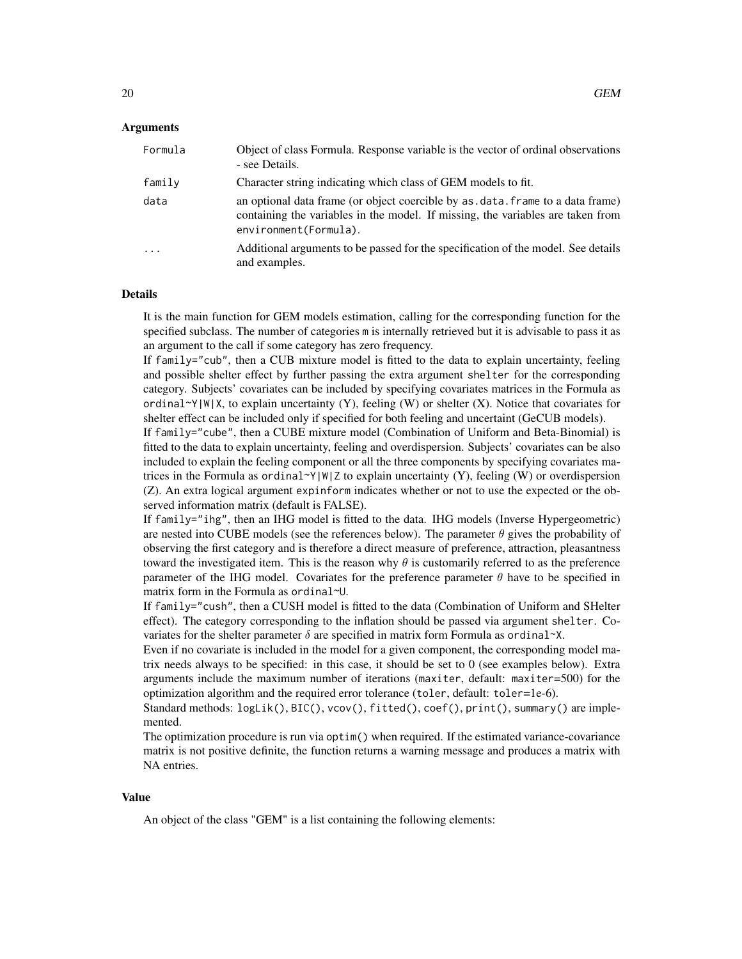#### Arguments

| Formula  | Object of class Formula. Response variable is the vector of ordinal observations<br>- see Details.                                                                                         |
|----------|--------------------------------------------------------------------------------------------------------------------------------------------------------------------------------------------|
| family   | Character string indicating which class of GEM models to fit.                                                                                                                              |
| data     | an optional data frame (or object coercible by as data. frame to a data frame)<br>containing the variables in the model. If missing, the variables are taken from<br>environment(Formula). |
| $\ddots$ | Additional arguments to be passed for the specification of the model. See details<br>and examples.                                                                                         |

#### Details

It is the main function for GEM models estimation, calling for the corresponding function for the specified subclass. The number of categories m is internally retrieved but it is advisable to pass it as an argument to the call if some category has zero frequency.

If family="cub", then a CUB mixture model is fitted to the data to explain uncertainty, feeling and possible shelter effect by further passing the extra argument shelter for the corresponding category. Subjects' covariates can be included by specifying covariates matrices in the Formula as ordinal~Y|W|X, to explain uncertainty (Y), feeling (W) or shelter (X). Notice that covariates for shelter effect can be included only if specified for both feeling and uncertaint (GeCUB models).

If family="cube", then a CUBE mixture model (Combination of Uniform and Beta-Binomial) is fitted to the data to explain uncertainty, feeling and overdispersion. Subjects' covariates can be also included to explain the feeling component or all the three components by specifying covariates matrices in the Formula as ordinal~ $Y|W|Z$  to explain uncertainty  $(Y)$ , feeling  $(W)$  or overdispersion (Z). An extra logical argument expinform indicates whether or not to use the expected or the observed information matrix (default is FALSE).

If family="ihg", then an IHG model is fitted to the data. IHG models (Inverse Hypergeometric) are nested into CUBE models (see the references below). The parameter  $\theta$  gives the probability of observing the first category and is therefore a direct measure of preference, attraction, pleasantness toward the investigated item. This is the reason why  $\theta$  is customarily referred to as the preference parameter of the IHG model. Covariates for the preference parameter  $\theta$  have to be specified in matrix form in the Formula as ordinal~U.

If family="cush", then a CUSH model is fitted to the data (Combination of Uniform and SHelter effect). The category corresponding to the inflation should be passed via argument shelter. Covariates for the shelter parameter  $\delta$  are specified in matrix form Formula as ordinal~X.

Even if no covariate is included in the model for a given component, the corresponding model matrix needs always to be specified: in this case, it should be set to 0 (see examples below). Extra arguments include the maximum number of iterations (maxiter, default: maxiter=500) for the optimization algorithm and the required error tolerance (toler, default: toler=1e-6).

Standard methods: logLik(), BIC(), vcov(), fitted(), coef(), print(), summary() are implemented.

The optimization procedure is run via optim() when required. If the estimated variance-covariance matrix is not positive definite, the function returns a warning message and produces a matrix with NA entries.

#### Value

An object of the class "GEM" is a list containing the following elements: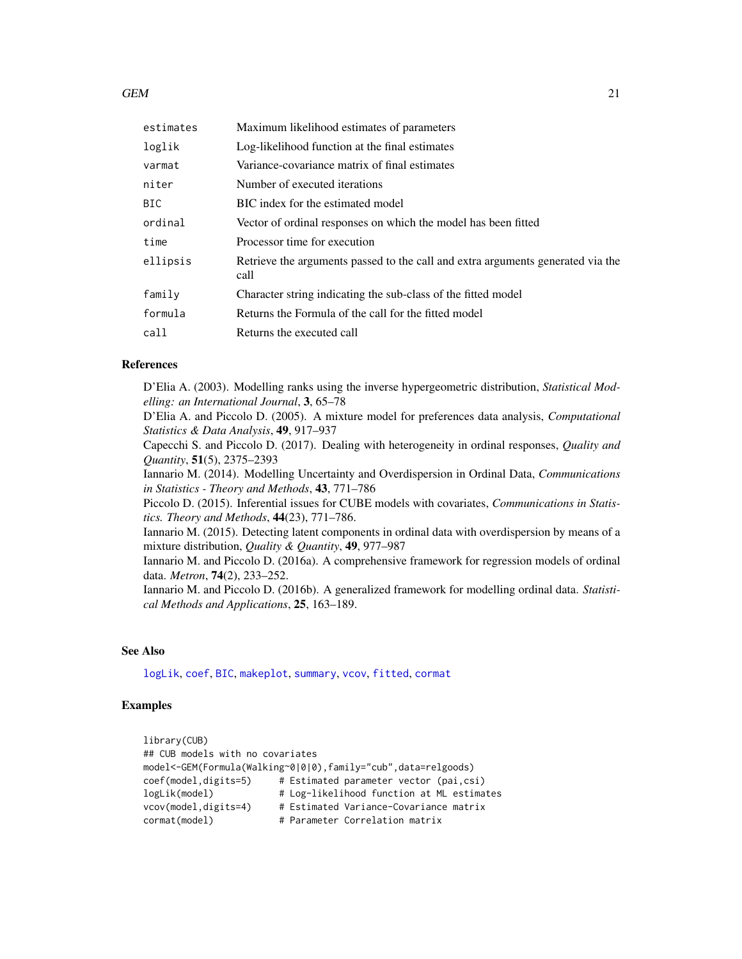#### <span id="page-20-0"></span> $GEM$  21

| estimates | Maximum likelihood estimates of parameters                                              |
|-----------|-----------------------------------------------------------------------------------------|
| loglik    | Log-likelihood function at the final estimates                                          |
| varmat    | Variance-covariance matrix of final estimates                                           |
| niter     | Number of executed iterations                                                           |
| BIC       | BIC index for the estimated model                                                       |
| ordinal   | Vector of ordinal responses on which the model has been fitted                          |
| time      | Processor time for execution                                                            |
| ellipsis  | Retrieve the arguments passed to the call and extra arguments generated via the<br>call |
| family    | Character string indicating the sub-class of the fitted model                           |
| formula   | Returns the Formula of the call for the fitted model                                    |
| call      | Returns the executed call                                                               |

#### References

D'Elia A. (2003). Modelling ranks using the inverse hypergeometric distribution, *Statistical Modelling: an International Journal*, 3, 65–78

D'Elia A. and Piccolo D. (2005). A mixture model for preferences data analysis, *Computational Statistics & Data Analysis*, 49, 917–937

Capecchi S. and Piccolo D. (2017). Dealing with heterogeneity in ordinal responses, *Quality and Quantity*, 51(5), 2375–2393

Iannario M. (2014). Modelling Uncertainty and Overdispersion in Ordinal Data, *Communications in Statistics - Theory and Methods*, 43, 771–786

Piccolo D. (2015). Inferential issues for CUBE models with covariates, *Communications in Statistics. Theory and Methods*, 44(23), 771–786.

Iannario M. (2015). Detecting latent components in ordinal data with overdispersion by means of a mixture distribution, *Quality & Quantity*, 49, 977–987

Iannario M. and Piccolo D. (2016a). A comprehensive framework for regression models of ordinal data. *Metron*, 74(2), 233–252.

Iannario M. and Piccolo D. (2016b). A generalized framework for modelling ordinal data. *Statistical Methods and Applications*, 25, 163–189.

#### See Also

[logLik](#page-0-0), [coef](#page-0-0), [BIC](#page-0-0), [makeplot](#page-38-1), [summary](#page-0-0), [vcov](#page-0-0), [fitted](#page-0-0), [cormat](#page-9-1)

```
library(CUB)
## CUB models with no covariates
model<-GEM(Formula(Walking~0|0|0),family="cub",data=relgoods)
coef(model,digits=5) # Estimated parameter vector (pai,csi)
logLik(model) # Log-likelihood function at ML estimates
vcov(model,digits=4) # Estimated Variance-Covariance matrix
cormat(model) # Parameter Correlation matrix
```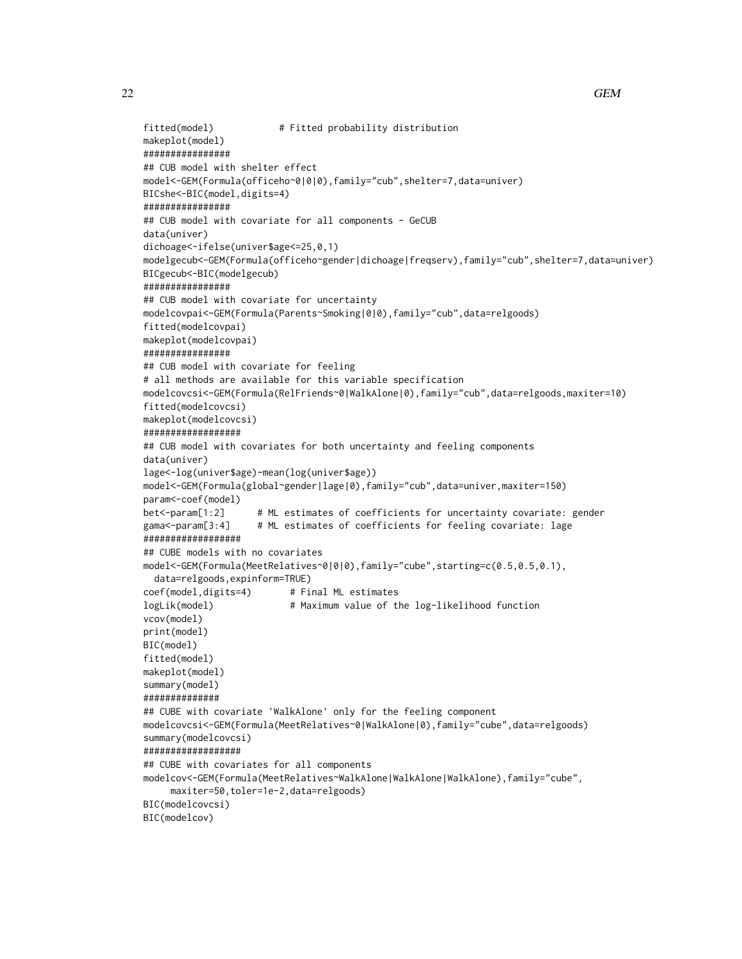```
fitted(model) # Fitted probability distribution
makeplot(model)
################
## CUB model with shelter effect
model<-GEM(Formula(officeho~0|0|0),family="cub",shelter=7,data=univer)
BICshe<-BIC(model,digits=4)
################
## CUB model with covariate for all components - GeCUB
data(univer)
dichoage<-ifelse(univer$age<=25,0,1)
modelgecub<-GEM(Formula(officeho~gender|dichoage|freqserv),family="cub",shelter=7,data=univer)
BICgecub<-BIC(modelgecub)
################
## CUB model with covariate for uncertainty
modelcovpai<-GEM(Formula(Parents~Smoking|0|0),family="cub",data=relgoods)
fitted(modelcovpai)
makeplot(modelcovpai)
################
## CUB model with covariate for feeling
# all methods are available for this variable specification
modelcovcsi<-GEM(Formula(RelFriends~0|WalkAlone|0),family="cub",data=relgoods,maxiter=10)
fitted(modelcovcsi)
makeplot(modelcovcsi)
##################
## CUB model with covariates for both uncertainty and feeling components
data(univer)
lage<-log(univer$age)-mean(log(univer$age))
model<-GEM(Formula(global~gender|lage|0),family="cub",data=univer,maxiter=150)
param<-coef(model)
bet<-param[1:2] # ML estimates of coefficients for uncertainty covariate: gender
gama<-param[3:4] # ML estimates of coefficients for feeling covariate: lage
##################
## CUBE models with no covariates
model<-GEM(Formula(MeetRelatives~0|0|0),family="cube",starting=c(0.5,0.5,0.1),
 data=relgoods,expinform=TRUE)
coef(model,digits=4) # Final ML estimates
logLik(model) # Maximum value of the log-likelihood function
vcov(model)
print(model)
BIC(model)
fitted(model)
makeplot(model)
summary(model)
##############
## CUBE with covariate 'WalkAlone' only for the feeling component
modelcovcsi<-GEM(Formula(MeetRelatives~0|WalkAlone|0),family="cube",data=relgoods)
summary(modelcovcsi)
##################
## CUBE with covariates for all components
modelcov<-GEM(Formula(MeetRelatives~WalkAlone|WalkAlone|WalkAlone),family="cube",
     maxiter=50,toler=1e-2,data=relgoods)
BIC(modelcovcsi)
BIC(modelcov)
```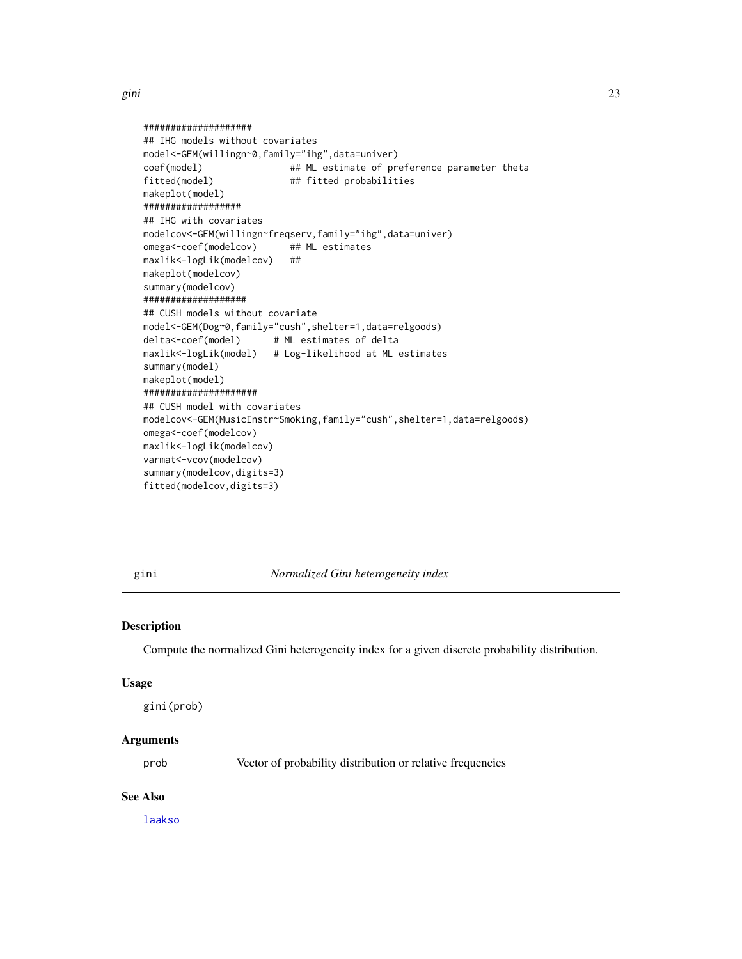#### <span id="page-22-0"></span>gini 23

```
####################
## IHG models without covariates
model<-GEM(willingn~0,family="ihg",data=univer)
coef(model) ## ML estimate of preference parameter theta
fitted(model) ## fitted probabilities
makeplot(model)
##################
## IHG with covariates
modelcov<-GEM(willingn~freqserv,family="ihg",data=univer)
omega<-coef(modelcov) ## ML estimates
maxlik<-logLik(modelcov) ##
makeplot(modelcov)
summary(modelcov)
###################
## CUSH models without covariate
model<-GEM(Dog~0,family="cush",shelter=1,data=relgoods)
delta<-coef(model) # ML estimates of delta
maxlik<-logLik(model) # Log-likelihood at ML estimates
summary(model)
makeplot(model)
#####################
## CUSH model with covariates
modelcov<-GEM(MusicInstr~Smoking,family="cush",shelter=1,data=relgoods)
omega<-coef(modelcov)
maxlik<-logLik(modelcov)
varmat<-vcov(modelcov)
summary(modelcov,digits=3)
fitted(modelcov,digits=3)
```
<span id="page-22-1"></span>gini *Normalized Gini heterogeneity index*

#### Description

Compute the normalized Gini heterogeneity index for a given discrete probability distribution.

#### Usage

gini(prob)

# Arguments

prob Vector of probability distribution or relative frequencies

# See Also

[laakso](#page-30-2)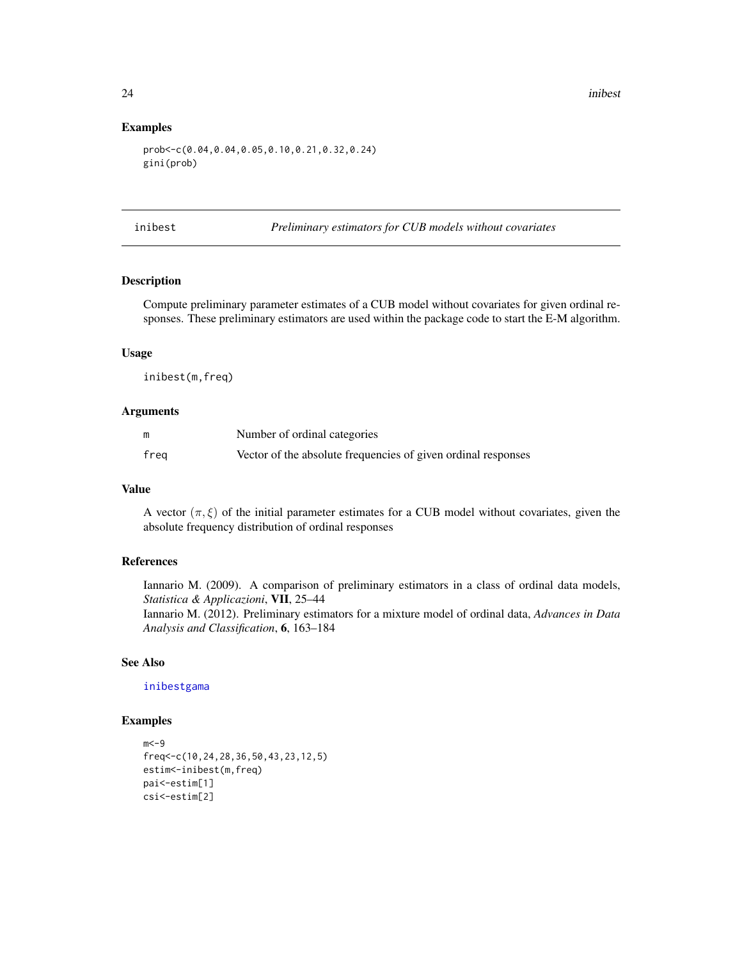#### Examples

```
prob<-c(0.04,0.04,0.05,0.10,0.21,0.32,0.24)
gini(prob)
```
<span id="page-23-1"></span>inibest *Preliminary estimators for CUB models without covariates*

#### Description

Compute preliminary parameter estimates of a CUB model without covariates for given ordinal responses. These preliminary estimators are used within the package code to start the E-M algorithm.

# Usage

inibest(m,freq)

#### Arguments

| m    | Number of ordinal categories                                  |
|------|---------------------------------------------------------------|
| freg | Vector of the absolute frequencies of given ordinal responses |

#### Value

A vector  $(\pi, \xi)$  of the initial parameter estimates for a CUB model without covariates, given the absolute frequency distribution of ordinal responses

#### References

Iannario M. (2009). A comparison of preliminary estimators in a class of ordinal data models, *Statistica & Applicazioni*, VII, 25–44 Iannario M. (2012). Preliminary estimators for a mixture model of ordinal data, *Advances in Data Analysis and Classification*, 6, 163–184

# See Also

[inibestgama](#page-27-1)

```
m < -9freq<-c(10,24,28,36,50,43,23,12,5)
estim<-inibest(m,freq)
pai<-estim[1]
csi<-estim[2]
```
<span id="page-23-0"></span>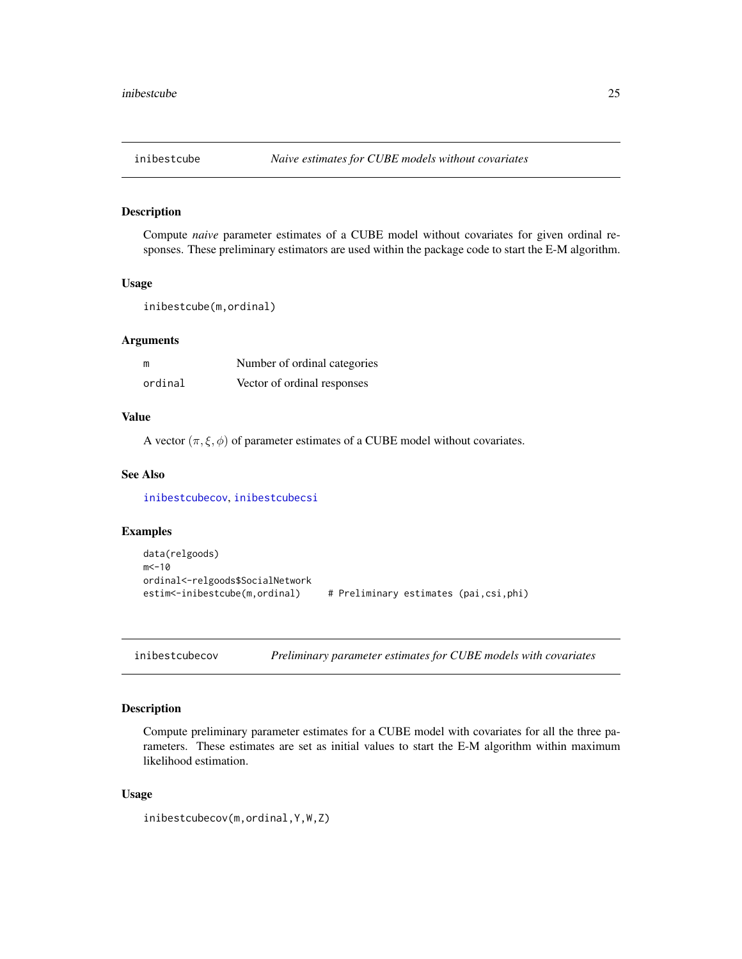<span id="page-24-2"></span><span id="page-24-0"></span>

Compute *naive* parameter estimates of a CUBE model without covariates for given ordinal responses. These preliminary estimators are used within the package code to start the E-M algorithm.

#### Usage

```
inibestcube(m,ordinal)
```
# Arguments

| m       | Number of ordinal categories |
|---------|------------------------------|
| ordinal | Vector of ordinal responses  |

# Value

A vector  $(\pi, \xi, \phi)$  of parameter estimates of a CUBE model without covariates.

# See Also

[inibestcubecov](#page-24-1), [inibestcubecsi](#page-25-1)

#### Examples

```
data(relgoods)
m < -10ordinal<-relgoods$SocialNetwork
estim<-inibestcube(m,ordinal) # Preliminary estimates (pai,csi,phi)
```
<span id="page-24-1"></span>inibestcubecov *Preliminary parameter estimates for CUBE models with covariates*

#### Description

Compute preliminary parameter estimates for a CUBE model with covariates for all the three parameters. These estimates are set as initial values to start the E-M algorithm within maximum likelihood estimation.

# Usage

```
inibestcubecov(m,ordinal,Y,W,Z)
```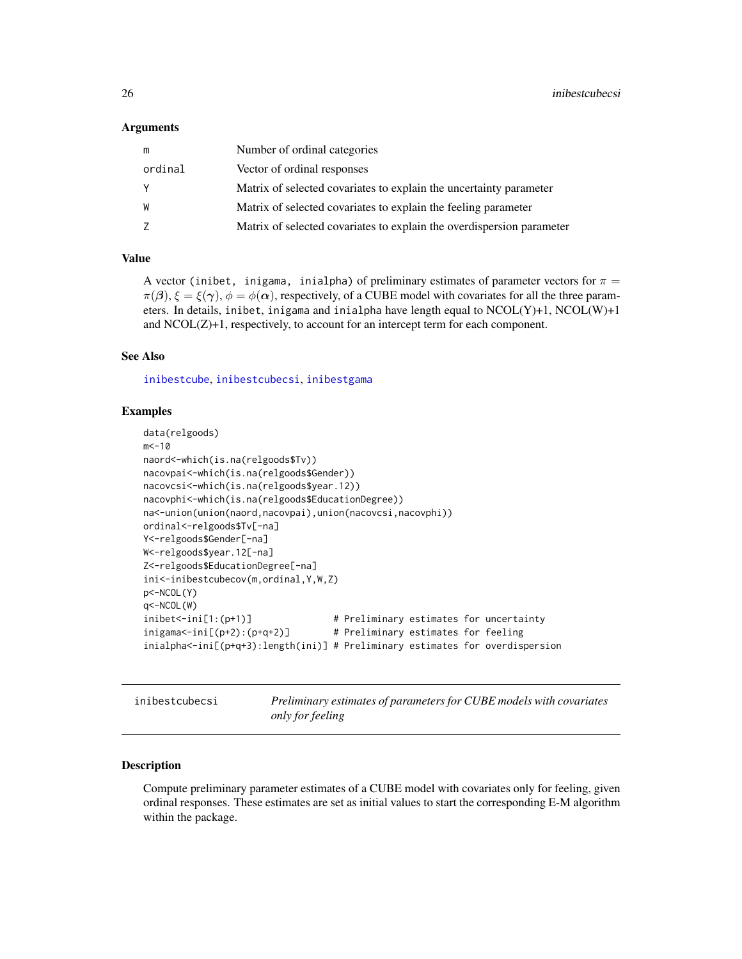#### <span id="page-25-0"></span>**Arguments**

| m       | Number of ordinal categories                                          |
|---------|-----------------------------------------------------------------------|
| ordinal | Vector of ordinal responses                                           |
| Y       | Matrix of selected covariates to explain the uncertainty parameter    |
| W       | Matrix of selected covariates to explain the feeling parameter        |
| Z       | Matrix of selected covariates to explain the overdispersion parameter |

#### Value

A vector (inibet, inigama, inialpha) of preliminary estimates of parameter vectors for  $\pi =$  $\pi(\beta), \xi = \xi(\gamma), \phi = \phi(\alpha)$ , respectively, of a CUBE model with covariates for all the three parameters. In details, inibet, inigama and inialpha have length equal to  $NCOL(Y)+1$ ,  $NCOL(W)+1$ and NCOL(Z)+1, respectively, to account for an intercept term for each component.

#### See Also

[inibestcube](#page-24-2), [inibestcubecsi](#page-25-1), [inibestgama](#page-27-1)

#### Examples

```
data(relgoods)
m < -10naord<-which(is.na(relgoods$Tv))
nacovpai<-which(is.na(relgoods$Gender))
nacovcsi<-which(is.na(relgoods$year.12))
nacovphi<-which(is.na(relgoods$EducationDegree))
na<-union(union(naord,nacovpai),union(nacovcsi,nacovphi))
ordinal<-relgoods$Tv[-na]
Y<-relgoods$Gender[-na]
W<-relgoods$year.12[-na]
Z<-relgoods$EducationDegree[-na]
ini<-inibestcubecov(m,ordinal,Y,W,Z)
p<-NCOL(Y)
q<-NCOL(W)
inibet<-ini[1:(p+1)] # Preliminary estimates for uncertainty
inigama<-ini[(p+2):(p+q+2)] # Preliminary estimates for feeling
inialpha<-ini[(p+q+3):length(ini)] # Preliminary estimates for overdispersion
```
<span id="page-25-1"></span>inibestcubecsi *Preliminary estimates of parameters for CUBE models with covariates only for feeling*

# Description

Compute preliminary parameter estimates of a CUBE model with covariates only for feeling, given ordinal responses. These estimates are set as initial values to start the corresponding E-M algorithm within the package.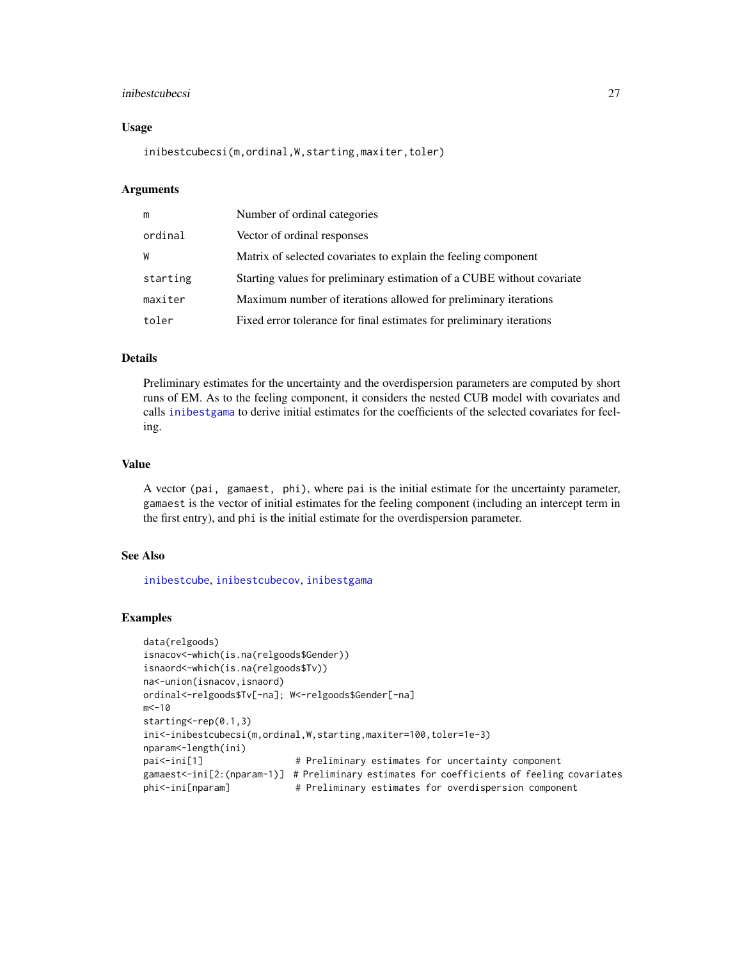# <span id="page-26-0"></span>inibestcubecsi 27

#### Usage

inibestcubecsi(m, ordinal, W, starting, maxiter, toler)

#### Arguments

| m        | Number of ordinal categories                                           |
|----------|------------------------------------------------------------------------|
| ordinal  | Vector of ordinal responses                                            |
| W        | Matrix of selected covariates to explain the feeling component         |
| starting | Starting values for preliminary estimation of a CUBE without covariate |
| maxiter  | Maximum number of iterations allowed for preliminary iterations        |
| toler    | Fixed error tolerance for final estimates for preliminary iterations   |

# Details

Preliminary estimates for the uncertainty and the overdispersion parameters are computed by short runs of EM. As to the feeling component, it considers the nested CUB model with covariates and calls [inibestgama](#page-27-1) to derive initial estimates for the coefficients of the selected covariates for feeling.

# Value

A vector (pai, gamaest, phi), where pai is the initial estimate for the uncertainty parameter, gamaest is the vector of initial estimates for the feeling component (including an intercept term in the first entry), and phi is the initial estimate for the overdispersion parameter.

#### See Also

[inibestcube](#page-24-2), [inibestcubecov](#page-24-1), [inibestgama](#page-27-1)

```
data(relgoods)
isnacov<-which(is.na(relgoods$Gender))
isnaord<-which(is.na(relgoods$Tv))
na<-union(isnacov,isnaord)
ordinal<-relgoods$Tv[-na]; W<-relgoods$Gender[-na]
m < -10starting<-rep(0.1,3)
ini<-inibestcubecsi(m,ordinal,W,starting,maxiter=100,toler=1e-3)
nparam<-length(ini)
pai<-ini[1] # Preliminary estimates for uncertainty component
gamaest<-ini[2:(nparam-1)] # Preliminary estimates for coefficients of feeling covariates
phi<-ini[nparam] # Preliminary estimates for overdispersion component
```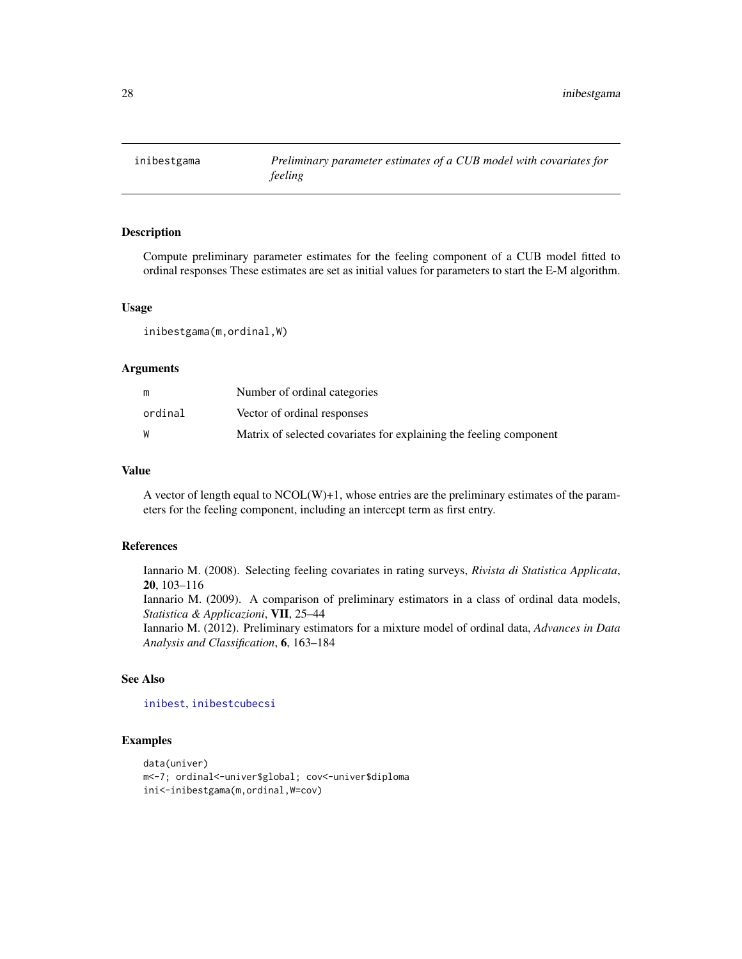<span id="page-27-1"></span><span id="page-27-0"></span>

Compute preliminary parameter estimates for the feeling component of a CUB model fitted to ordinal responses These estimates are set as initial values for parameters to start the E-M algorithm.

#### Usage

inibestgama(m,ordinal,W)

# Arguments

| m       | Number of ordinal categories                                       |
|---------|--------------------------------------------------------------------|
| ordinal | Vector of ordinal responses                                        |
| W       | Matrix of selected covariates for explaining the feeling component |

# Value

A vector of length equal to  $NCOL(W)+1$ , whose entries are the preliminary estimates of the parameters for the feeling component, including an intercept term as first entry.

#### References

Iannario M. (2008). Selecting feeling covariates in rating surveys, *Rivista di Statistica Applicata*, 20, 103–116

Iannario M. (2009). A comparison of preliminary estimators in a class of ordinal data models, *Statistica & Applicazioni*, VII, 25–44

Iannario M. (2012). Preliminary estimators for a mixture model of ordinal data, *Advances in Data Analysis and Classification*, 6, 163–184

# See Also

[inibest](#page-23-1), [inibestcubecsi](#page-25-1)

```
data(univer)
m<-7; ordinal<-univer$global; cov<-univer$diploma
ini<-inibestgama(m,ordinal,W=cov)
```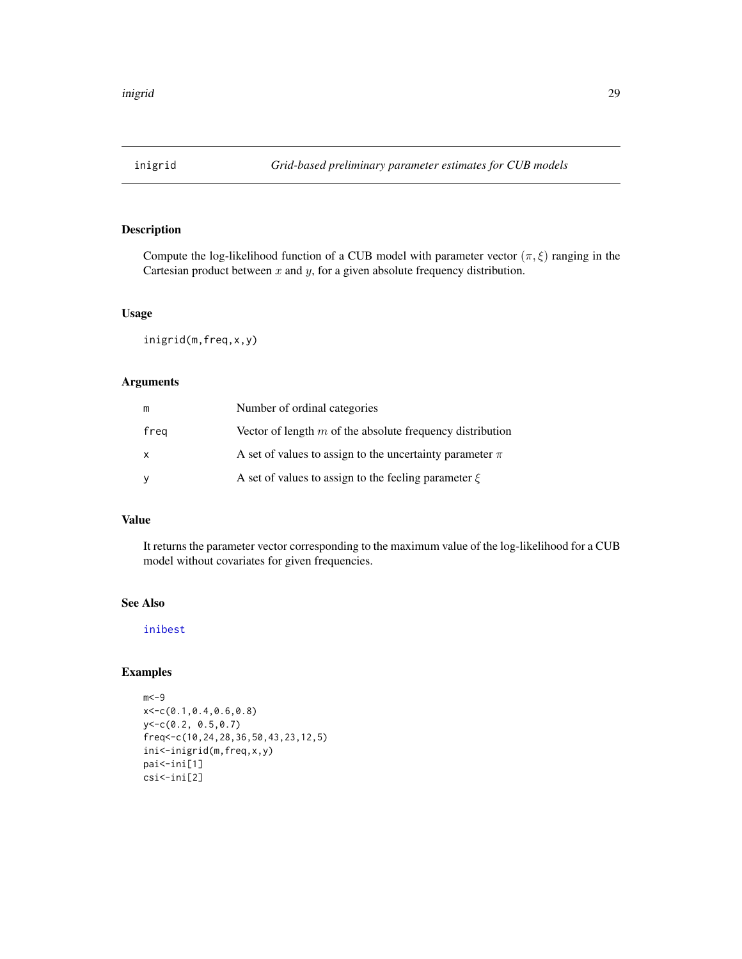<span id="page-28-0"></span>

Compute the log-likelihood function of a CUB model with parameter vector  $(\pi, \xi)$  ranging in the Cartesian product between  $x$  and  $y$ , for a given absolute frequency distribution.

# Usage

inigrid(m,freq,x,y)

# Arguments

| m    | Number of ordinal categories                                 |
|------|--------------------------------------------------------------|
| freg | Vector of length $m$ of the absolute frequency distribution  |
| X    | A set of values to assign to the uncertainty parameter $\pi$ |
|      | A set of values to assign to the feeling parameter $\xi$     |

# Value

It returns the parameter vector corresponding to the maximum value of the log-likelihood for a CUB model without covariates for given frequencies.

#### See Also

#### [inibest](#page-23-1)

```
m < -9x<-c(0.1,0.4,0.6,0.8)
y<-c(0.2, 0.5,0.7)
freq<-c(10,24,28,36,50,43,23,12,5)
ini<-inigrid(m,freq,x,y)
pai<-ini[1]
csi<-ini[2]
```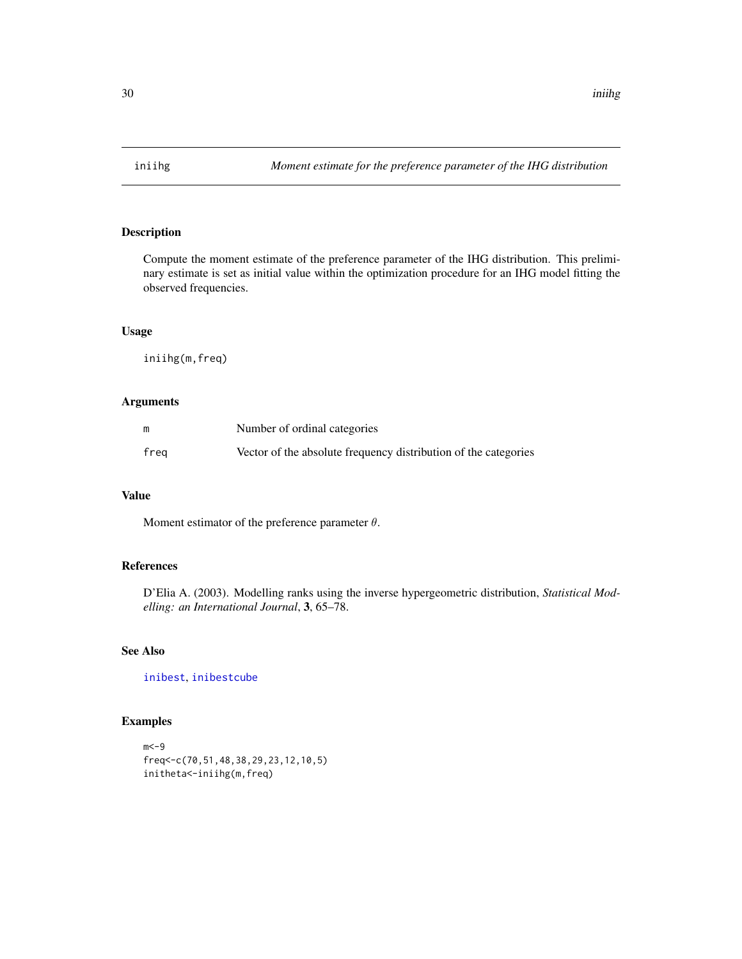<span id="page-29-0"></span>

Compute the moment estimate of the preference parameter of the IHG distribution. This preliminary estimate is set as initial value within the optimization procedure for an IHG model fitting the observed frequencies.

# Usage

iniihg(m,freq)

#### Arguments

| m    | Number of ordinal categories                                    |
|------|-----------------------------------------------------------------|
| freg | Vector of the absolute frequency distribution of the categories |

# Value

Moment estimator of the preference parameter  $\theta$ .

# References

D'Elia A. (2003). Modelling ranks using the inverse hypergeometric distribution, *Statistical Modelling: an International Journal*, 3, 65–78.

# See Also

[inibest](#page-23-1), [inibestcube](#page-24-2)

```
m < -9freq<-c(70,51,48,38,29,23,12,10,5)
initheta<-iniihg(m,freq)
```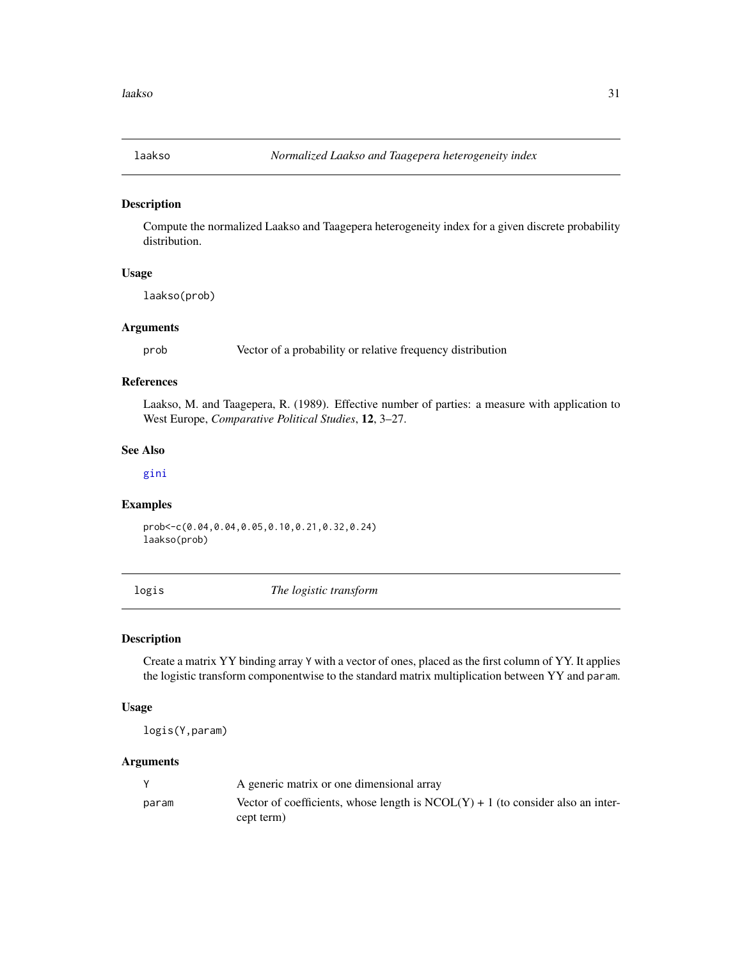<span id="page-30-2"></span><span id="page-30-0"></span>

Compute the normalized Laakso and Taagepera heterogeneity index for a given discrete probability distribution.

# Usage

laakso(prob)

# Arguments

prob Vector of a probability or relative frequency distribution

# References

Laakso, M. and Taagepera, R. (1989). Effective number of parties: a measure with application to West Europe, *Comparative Political Studies*, 12, 3–27.

#### See Also

[gini](#page-22-1)

#### Examples

prob<-c(0.04,0.04,0.05,0.10,0.21,0.32,0.24) laakso(prob)

<span id="page-30-1"></span>logis *The logistic transform*

# Description

Create a matrix YY binding array Y with a vector of ones, placed as the first column of YY. It applies the logistic transform componentwise to the standard matrix multiplication between YY and param.

#### Usage

logis(Y,param)

|       | A generic matrix or one dimensional array                                         |
|-------|-----------------------------------------------------------------------------------|
| param | Vector of coefficients, whose length is $NCOL(Y) + 1$ (to consider also an inter- |
|       | cept term)                                                                        |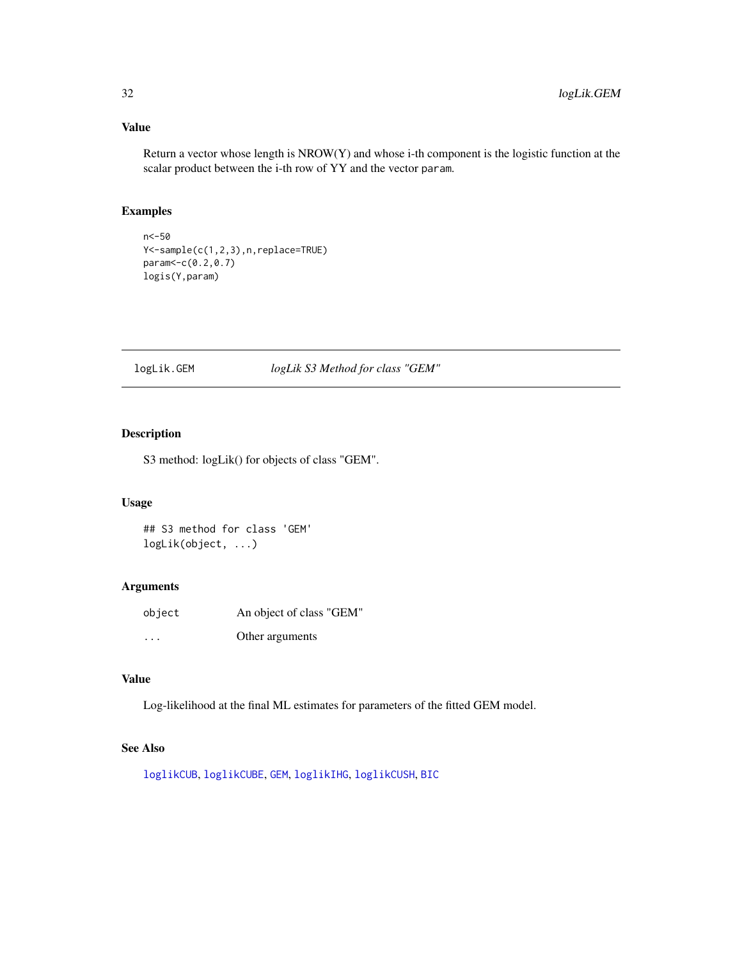# Value

Return a vector whose length is NROW(Y) and whose i-th component is the logistic function at the scalar product between the i-th row of YY and the vector param.

#### Examples

```
n<-50
Y<-sample(c(1,2,3),n,replace=TRUE)
param<-c(0.2,0.7)
logis(Y,param)
```
# logLik.GEM *logLik S3 Method for class "GEM"*

# Description

S3 method: logLik() for objects of class "GEM".

# Usage

## S3 method for class 'GEM' logLik(object, ...)

# Arguments

| object | An object of class "GEM" |
|--------|--------------------------|
| .      | Other arguments          |

# Value

Log-likelihood at the final ML estimates for parameters of the fitted GEM model.

# See Also

[loglikCUB](#page-32-1), [loglikCUBE](#page-34-1), [GEM](#page-18-1), [loglikIHG](#page-36-1), [loglikCUSH](#page-35-1), [BIC](#page-0-0)

<span id="page-31-0"></span>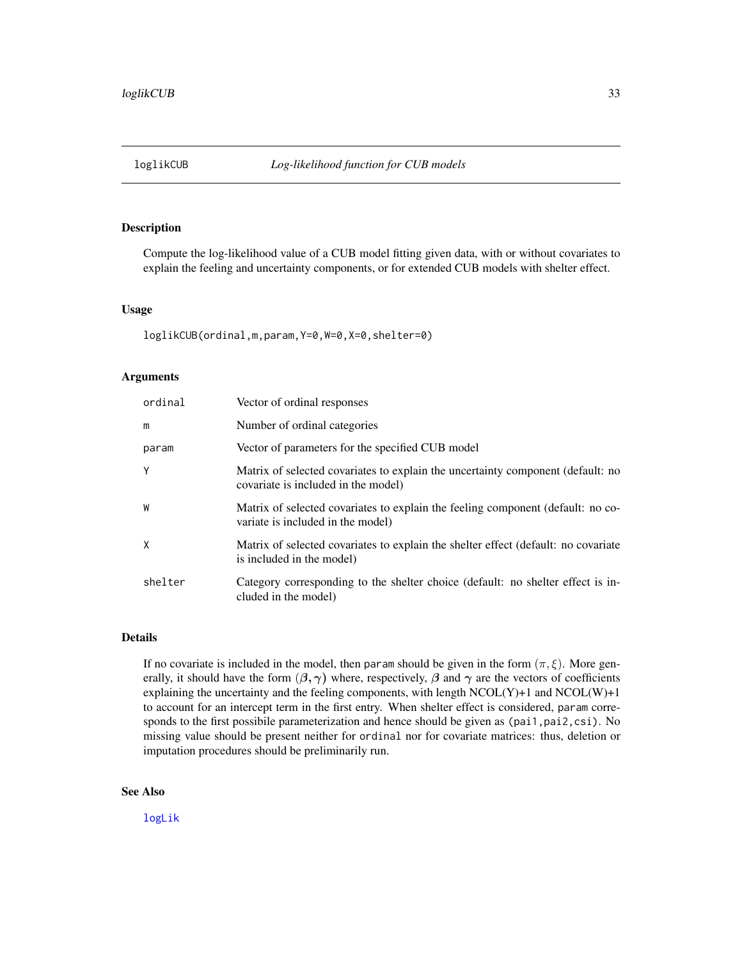<span id="page-32-1"></span><span id="page-32-0"></span>Compute the log-likelihood value of a CUB model fitting given data, with or without covariates to explain the feeling and uncertainty components, or for extended CUB models with shelter effect.

#### Usage

```
loglikCUB(ordinal,m,param,Y=0,W=0,X=0,shelter=0)
```
#### Arguments

| ordinal | Vector of ordinal responses                                                                                            |
|---------|------------------------------------------------------------------------------------------------------------------------|
| m       | Number of ordinal categories                                                                                           |
| param   | Vector of parameters for the specified CUB model                                                                       |
| Y       | Matrix of selected covariates to explain the uncertainty component (default: no<br>covariate is included in the model) |
| W       | Matrix of selected covariates to explain the feeling component (default: no co-<br>variate is included in the model)   |
| X       | Matrix of selected covariates to explain the shelter effect (default: no covariate<br>is included in the model)        |
| shelter | Category corresponding to the shelter choice (default: no shelter effect is in-<br>cluded in the model)                |

#### Details

If no covariate is included in the model, then param should be given in the form  $(\pi, \xi)$ . More generally, it should have the form  $(\beta, \gamma)$  where, respectively,  $\beta$  and  $\gamma$  are the vectors of coefficients explaining the uncertainty and the feeling components, with length  $NCOL(Y)+1$  and  $NCOL(W)+1$ to account for an intercept term in the first entry. When shelter effect is considered, param corresponds to the first possibile parameterization and hence should be given as (pai1, pai2, csi). No missing value should be present neither for ordinal nor for covariate matrices: thus, deletion or imputation procedures should be preliminarily run.

# See Also

[logLik](#page-0-0)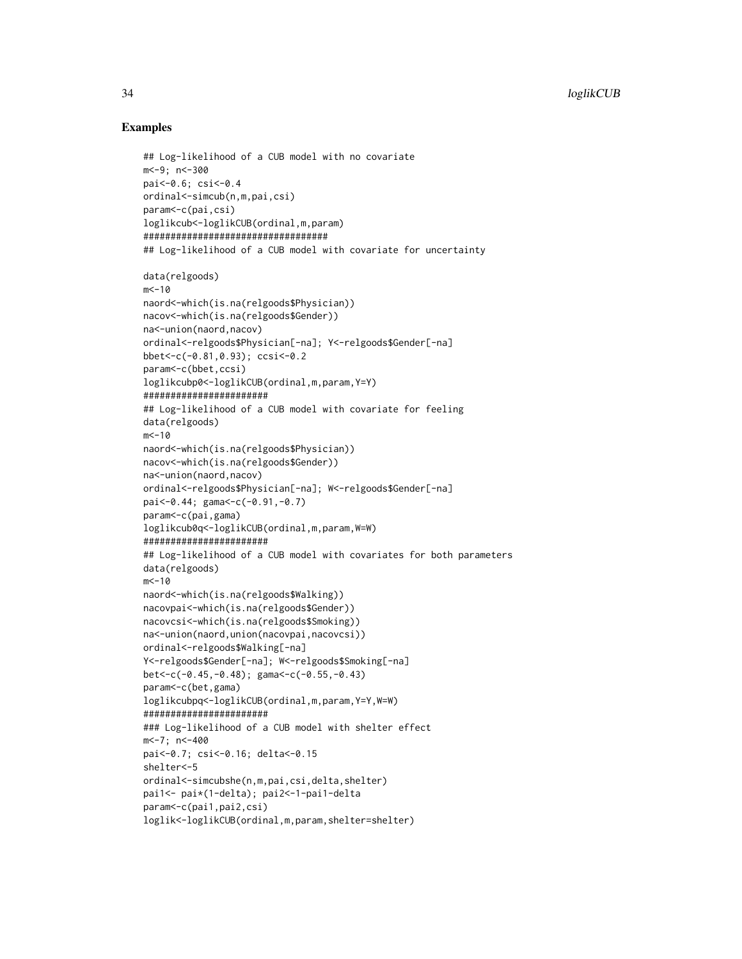```
## Log-likelihood of a CUB model with no covariate
m<-9; n<-300
pai<-0.6; csi<-0.4
ordinal<-simcub(n,m,pai,csi)
param<-c(pai,csi)
loglikcub<-loglikCUB(ordinal,m,param)
##################################
## Log-likelihood of a CUB model with covariate for uncertainty
data(relgoods)
m < -10naord<-which(is.na(relgoods$Physician))
nacov<-which(is.na(relgoods$Gender))
na<-union(naord,nacov)
ordinal<-relgoods$Physician[-na]; Y<-relgoods$Gender[-na]
bbet<-c(-0.81,0.93); ccsi<-0.2
param<-c(bbet,ccsi)
loglikcubp0<-loglikCUB(ordinal,m,param,Y=Y)
#######################
## Log-likelihood of a CUB model with covariate for feeling
data(relgoods)
m < -10naord<-which(is.na(relgoods$Physician))
nacov<-which(is.na(relgoods$Gender))
na<-union(naord,nacov)
ordinal<-relgoods$Physician[-na]; W<-relgoods$Gender[-na]
pai<-0.44; gama<-c(-0.91,-0.7)
param<-c(pai,gama)
loglikcub0q<-loglikCUB(ordinal,m,param,W=W)
#######################
## Log-likelihood of a CUB model with covariates for both parameters
data(relgoods)
m < -10naord<-which(is.na(relgoods$Walking))
nacovpai<-which(is.na(relgoods$Gender))
nacovcsi<-which(is.na(relgoods$Smoking))
na<-union(naord,union(nacovpai,nacovcsi))
ordinal<-relgoods$Walking[-na]
Y<-relgoods$Gender[-na]; W<-relgoods$Smoking[-na]
bet<-c(-0.45,-0.48); gama<-c(-0.55,-0.43)
param<-c(bet,gama)
loglikcubpq<-loglikCUB(ordinal,m,param,Y=Y,W=W)
#######################
### Log-likelihood of a CUB model with shelter effect
m<-7; n<-400
pai<-0.7; csi<-0.16; delta<-0.15
shelter<-5
ordinal<-simcubshe(n,m,pai,csi,delta,shelter)
pai1<- pai*(1-delta); pai2<-1-pai1-delta
param<-c(pai1,pai2,csi)
loglik<-loglikCUB(ordinal,m,param,shelter=shelter)
```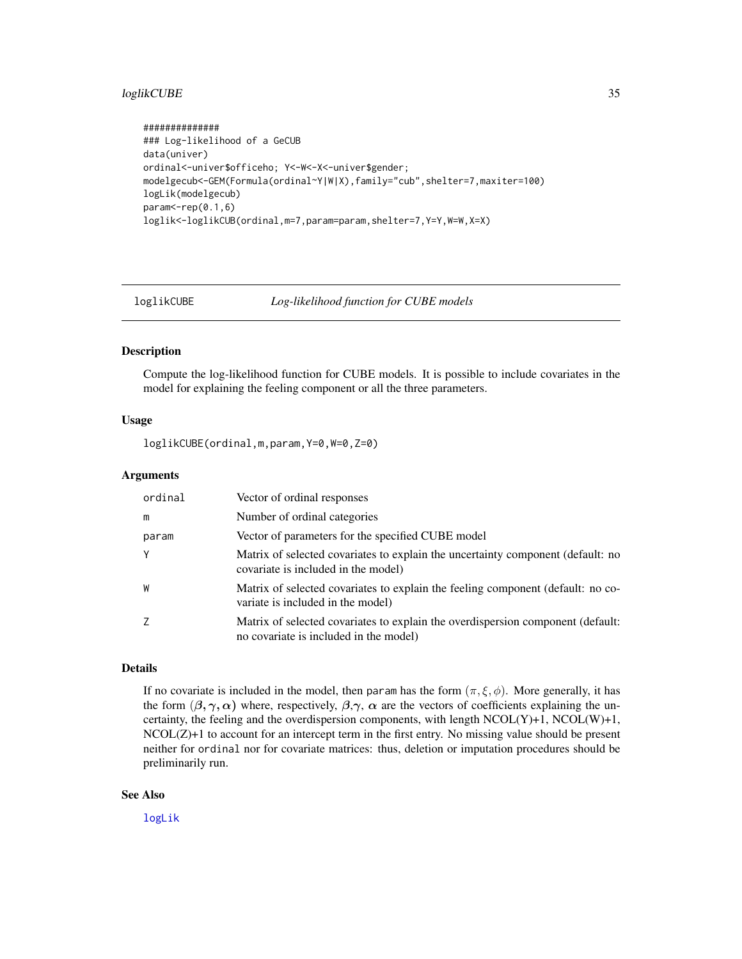# <span id="page-34-0"></span>loglikCUBE 35

```
##############
### Log-likelihood of a GeCUB
data(univer)
ordinal<-univer$officeho; Y<-W<-X<-univer$gender;
modelgecub<-GEM(Formula(ordinal~Y|W|X),family="cub",shelter=7,maxiter=100)
logLik(modelgecub)
param<-rep(0.1,6)loglik<-loglikCUB(ordinal,m=7,param=param,shelter=7,Y=Y,W=W,X=X)
```
<span id="page-34-1"></span>

loglikCUBE *Log-likelihood function for CUBE models*

# Description

Compute the log-likelihood function for CUBE models. It is possible to include covariates in the model for explaining the feeling component or all the three parameters.

# Usage

loglikCUBE(ordinal,m,param,Y=0,W=0,Z=0)

#### Arguments

| ordinal | Vector of ordinal responses                                                                                               |
|---------|---------------------------------------------------------------------------------------------------------------------------|
| m       | Number of ordinal categories                                                                                              |
| param   | Vector of parameters for the specified CUBE model                                                                         |
| Y       | Matrix of selected covariates to explain the uncertainty component (default: no<br>covariate is included in the model)    |
| W       | Matrix of selected covariates to explain the feeling component (default: no co-<br>variate is included in the model)      |
| 7       | Matrix of selected covariates to explain the overdispersion component (default:<br>no covariate is included in the model) |

#### Details

If no covariate is included in the model, then param has the form  $(\pi, \xi, \phi)$ . More generally, it has the form  $(\beta, \gamma, \alpha)$  where, respectively,  $\beta, \gamma, \alpha$  are the vectors of coefficients explaining the uncertainty, the feeling and the overdispersion components, with length  $NCOL(Y)+1$ ,  $NCOL(W)+1$ ,  $NCOL(Z)+1$  to account for an intercept term in the first entry. No missing value should be present neither for ordinal nor for covariate matrices: thus, deletion or imputation procedures should be preliminarily run.

#### See Also

[logLik](#page-0-0)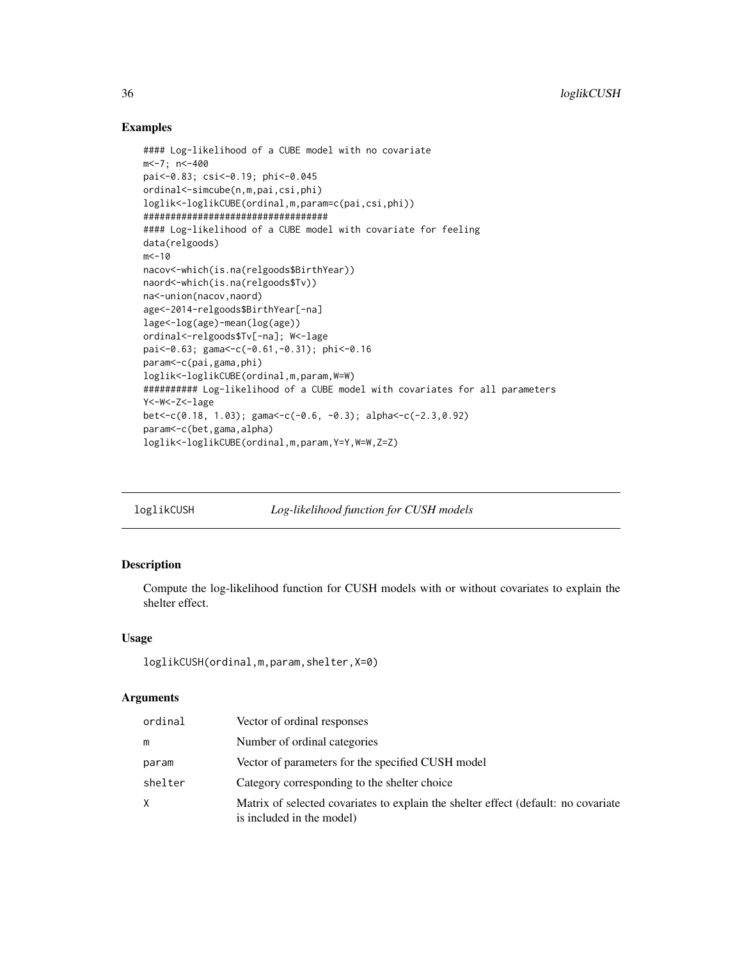# Examples

```
#### Log-likelihood of a CUBE model with no covariate
m<-7; n<-400
pai<-0.83; csi<-0.19; phi<-0.045
ordinal<-simcube(n,m,pai,csi,phi)
loglik<-loglikCUBE(ordinal,m,param=c(pai,csi,phi))
##################################
#### Log-likelihood of a CUBE model with covariate for feeling
data(relgoods)
m < -10nacov<-which(is.na(relgoods$BirthYear))
naord<-which(is.na(relgoods$Tv))
na<-union(nacov,naord)
age<-2014-relgoods$BirthYear[-na]
lage<-log(age)-mean(log(age))
ordinal<-relgoods$Tv[-na]; W<-lage
pai<-0.63; gama<-c(-0.61,-0.31); phi<-0.16
param<-c(pai,gama,phi)
loglik<-loglikCUBE(ordinal,m,param,W=W)
########## Log-likelihood of a CUBE model with covariates for all parameters
Y<-W<-Z<-lage
bet<-c(0.18, 1.03); gama<-c(-0.6, -0.3); alpha<-c(-2.3,0.92)
param<-c(bet,gama,alpha)
loglik<-loglikCUBE(ordinal,m,param,Y=Y,W=W,Z=Z)
```
<span id="page-35-1"></span>

| loglikCUSH | Log-likelihood function for CUSH models |
|------------|-----------------------------------------|
|            |                                         |

# Description

Compute the log-likelihood function for CUSH models with or without covariates to explain the shelter effect.

# Usage

loglikCUSH(ordinal,m,param,shelter,X=0)

| ordinal | Vector of ordinal responses                                                                                     |
|---------|-----------------------------------------------------------------------------------------------------------------|
| m       | Number of ordinal categories                                                                                    |
| param   | Vector of parameters for the specified CUSH model                                                               |
| shelter | Category corresponding to the shelter choice                                                                    |
| X       | Matrix of selected covariates to explain the shelter effect (default: no covariate<br>is included in the model) |

<span id="page-35-0"></span>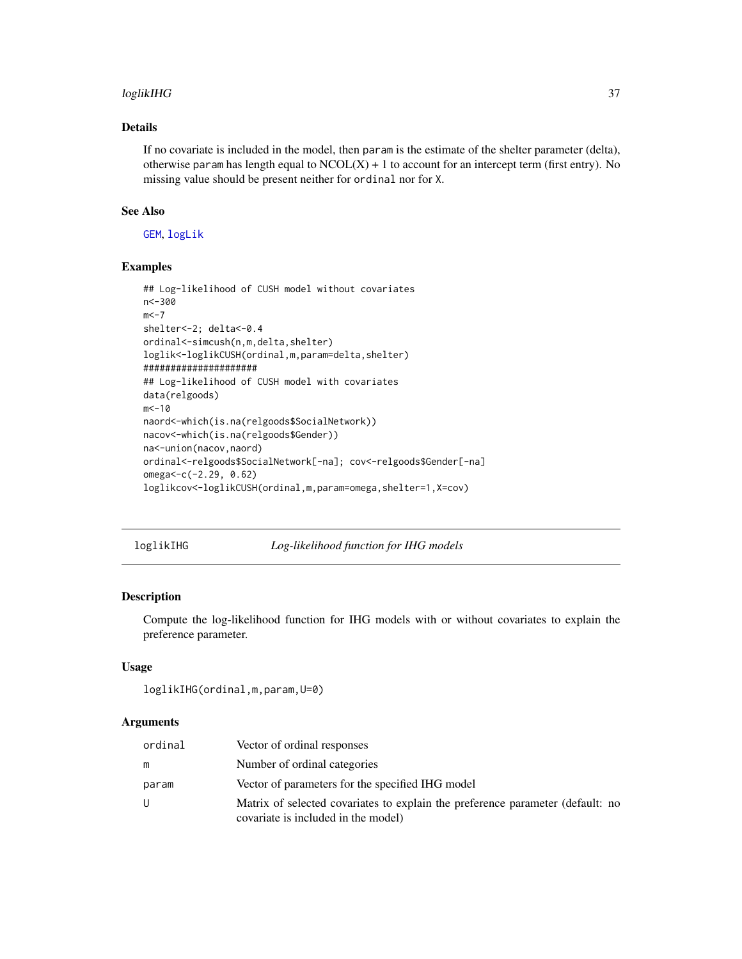#### <span id="page-36-0"></span> $loglikIHG$  37

# Details

If no covariate is included in the model, then param is the estimate of the shelter parameter (delta), otherwise param has length equal to  $NCOL(X) + 1$  to account for an intercept term (first entry). No missing value should be present neither for ordinal nor for X.

#### See Also

[GEM](#page-18-1), [logLik](#page-0-0)

# Examples

```
## Log-likelihood of CUSH model without covariates
n<-300
m < -7shelter<-2; delta<-0.4
ordinal<-simcush(n,m,delta,shelter)
loglik<-loglikCUSH(ordinal,m,param=delta,shelter)
#####################
## Log-likelihood of CUSH model with covariates
data(relgoods)
m < -10naord<-which(is.na(relgoods$SocialNetwork))
nacov<-which(is.na(relgoods$Gender))
na<-union(nacov,naord)
ordinal<-relgoods$SocialNetwork[-na]; cov<-relgoods$Gender[-na]
omega<-c(-2.29, 0.62)
loglikcov<-loglikCUSH(ordinal,m,param=omega,shelter=1,X=cov)
```
<span id="page-36-1"></span>loglikIHG *Log-likelihood function for IHG models*

#### Description

Compute the log-likelihood function for IHG models with or without covariates to explain the preference parameter.

#### Usage

```
loglikIHG(ordinal,m,param,U=0)
```

| ordinal | Vector of ordinal responses                                                                                           |
|---------|-----------------------------------------------------------------------------------------------------------------------|
|         | Number of ordinal categories                                                                                          |
| param   | Vector of parameters for the specified IHG model                                                                      |
| U       | Matrix of selected covariates to explain the preference parameter (default: no<br>covariate is included in the model) |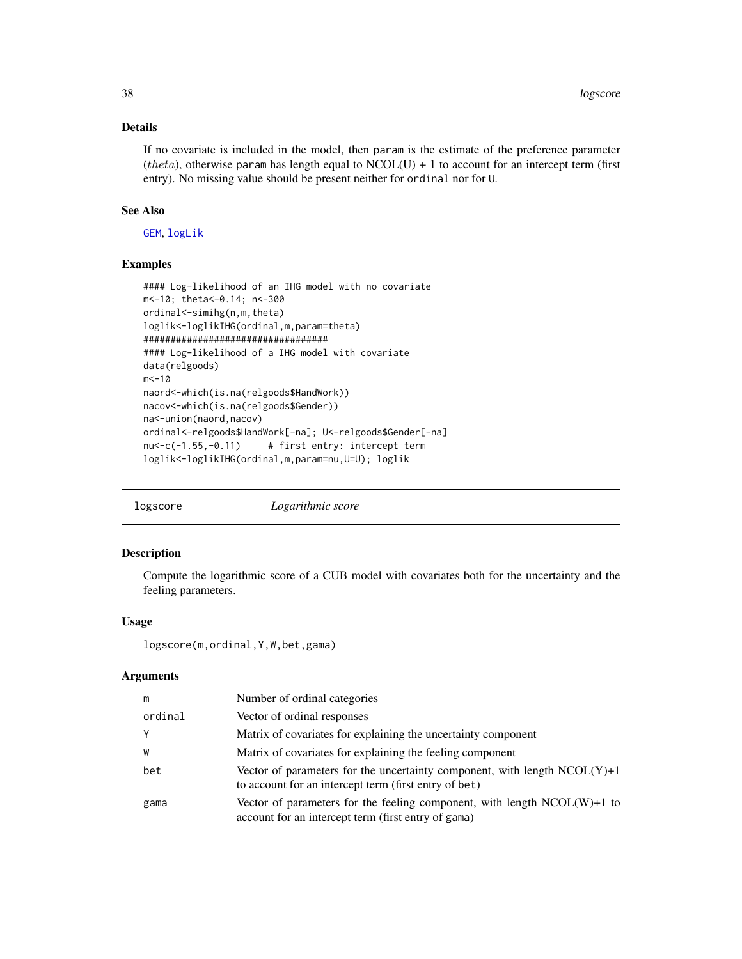# <span id="page-37-0"></span>Details

If no covariate is included in the model, then param is the estimate of the preference parameter *(theta)*, otherwise param has length equal to  $NCOL(U) + 1$  to account for an intercept term (first) entry). No missing value should be present neither for ordinal nor for U.

#### See Also

[GEM](#page-18-1), [logLik](#page-0-0)

# Examples

```
#### Log-likelihood of an IHG model with no covariate
m<-10; theta<-0.14; n<-300
ordinal<-simihg(n,m,theta)
loglik<-loglikIHG(ordinal,m,param=theta)
##################################
#### Log-likelihood of a IHG model with covariate
data(relgoods)
m < -10naord<-which(is.na(relgoods$HandWork))
nacov<-which(is.na(relgoods$Gender))
na<-union(naord,nacov)
ordinal<-relgoods$HandWork[-na]; U<-relgoods$Gender[-na]
nu<-c(-1.55,-0.11) # first entry: intercept term
loglik<-loglikIHG(ordinal,m,param=nu,U=U); loglik
```

| logscore | Logarithmic score |  |
|----------|-------------------|--|
|----------|-------------------|--|

# Description

Compute the logarithmic score of a CUB model with covariates both for the uncertainty and the feeling parameters.

#### Usage

```
logscore(m,ordinal,Y,W,bet,gama)
```

| m       | Number of ordinal categories                                                                                                           |
|---------|----------------------------------------------------------------------------------------------------------------------------------------|
| ordinal | Vector of ordinal responses                                                                                                            |
| Y       | Matrix of covariates for explaining the uncertainty component                                                                          |
| W       | Matrix of covariates for explaining the feeling component                                                                              |
| bet     | Vector of parameters for the uncertainty component, with length $NCOL(Y) + 1$<br>to account for an intercept term (first entry of bet) |
| gama    | Vector of parameters for the feeling component, with length $NCOL(W) + 1$ to<br>account for an intercept term (first entry of gama)    |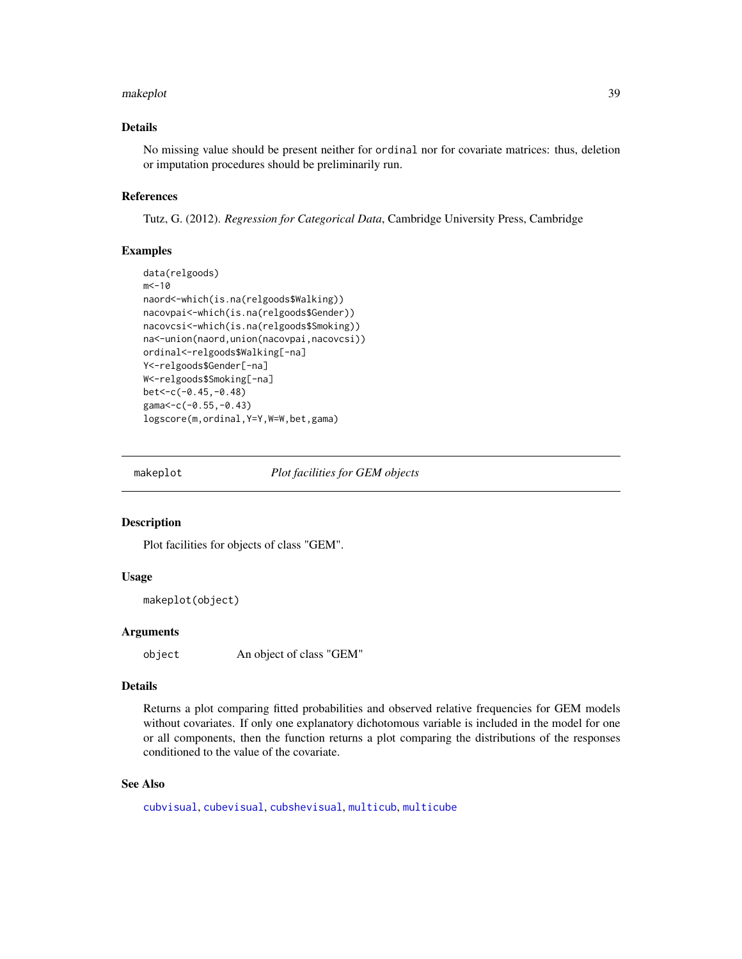#### <span id="page-38-0"></span>makeplot 39

# Details

No missing value should be present neither for ordinal nor for covariate matrices: thus, deletion or imputation procedures should be preliminarily run.

#### References

Tutz, G. (2012). *Regression for Categorical Data*, Cambridge University Press, Cambridge

#### Examples

```
data(relgoods)
m < -10naord<-which(is.na(relgoods$Walking))
nacovpai<-which(is.na(relgoods$Gender))
nacovcsi<-which(is.na(relgoods$Smoking))
na<-union(naord,union(nacovpai,nacovcsi))
ordinal<-relgoods$Walking[-na]
Y<-relgoods$Gender[-na]
W<-relgoods$Smoking[-na]
bet<-c(-0.45,-0.48)
gama<-c(-0.55,-0.43)
logscore(m,ordinal,Y=Y,W=W,bet,gama)
```
<span id="page-38-1"></span>

makeplot *Plot facilities for GEM objects*

#### Description

Plot facilities for objects of class "GEM".

#### Usage

makeplot(object)

#### Arguments

object An object of class "GEM"

#### Details

Returns a plot comparing fitted probabilities and observed relative frequencies for GEM models without covariates. If only one explanatory dichotomous variable is included in the model for one or all components, then the function returns a plot comparing the distributions of the responses conditioned to the value of the covariate.

#### See Also

[cubvisual](#page-12-1), [cubevisual](#page-10-1), [cubshevisual](#page-11-1), [multicub](#page-39-1), [multicube](#page-40-1)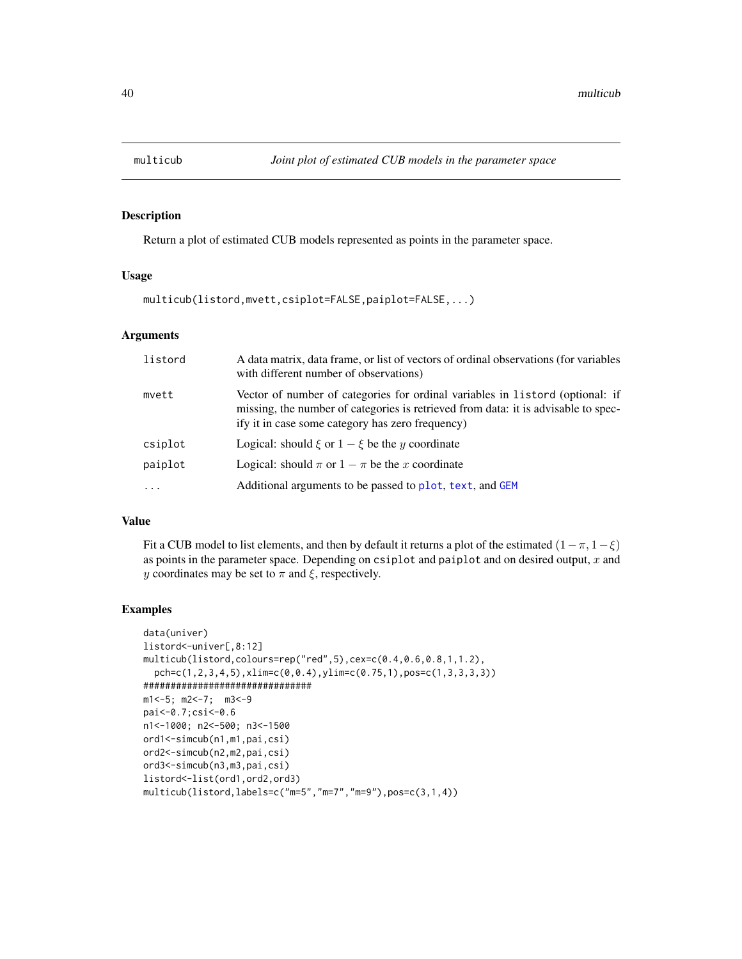<span id="page-39-1"></span><span id="page-39-0"></span>

Return a plot of estimated CUB models represented as points in the parameter space.

#### Usage

```
multicub(listord,mvett,csiplot=FALSE,paiplot=FALSE,...)
```
#### Arguments

| listord | A data matrix, data frame, or list of vectors of ordinal observations (for variables<br>with different number of observations)                                                                                          |
|---------|-------------------------------------------------------------------------------------------------------------------------------------------------------------------------------------------------------------------------|
| mvett   | Vector of number of categories for ordinal variables in listord (optional: if<br>missing, the number of categories is retrieved from data: it is advisable to spec-<br>ify it in case some category has zero frequency) |
| csiplot | Logical: should $\xi$ or $1 - \xi$ be the y coordinate                                                                                                                                                                  |
| paiplot | Logical: should $\pi$ or $1 - \pi$ be the x coordinate                                                                                                                                                                  |
| $\cdot$ | Additional arguments to be passed to plot, text, and GEM                                                                                                                                                                |

# Value

Fit a CUB model to list elements, and then by default it returns a plot of the estimated  $(1-\pi, 1-\xi)$ as points in the parameter space. Depending on csiplot and paiplot and on desired output,  $x$  and y coordinates may be set to  $\pi$  and  $\xi$ , respectively.

```
data(univer)
listord<-univer[,8:12]
multicub(listord,colours=rep("red",5),cex=c(0.4,0.6,0.8,1,1.2),
  pch=c(1,2,3,4,5),xlim=c(0,0.4),ylim=c(0.75,1),pos=c(1,3,3,3,3))
###############################
m1<-5; m2<-7; m3<-9
pai<-0.7;csi<-0.6
n1<-1000; n2<-500; n3<-1500
ord1<-simcub(n1,m1,pai,csi)
ord2<-simcub(n2,m2,pai,csi)
ord3<-simcub(n3,m3,pai,csi)
listord<-list(ord1,ord2,ord3)
multicub(listord,labels=c("m=5","m=7","m=9"),pos=c(3,1,4))
```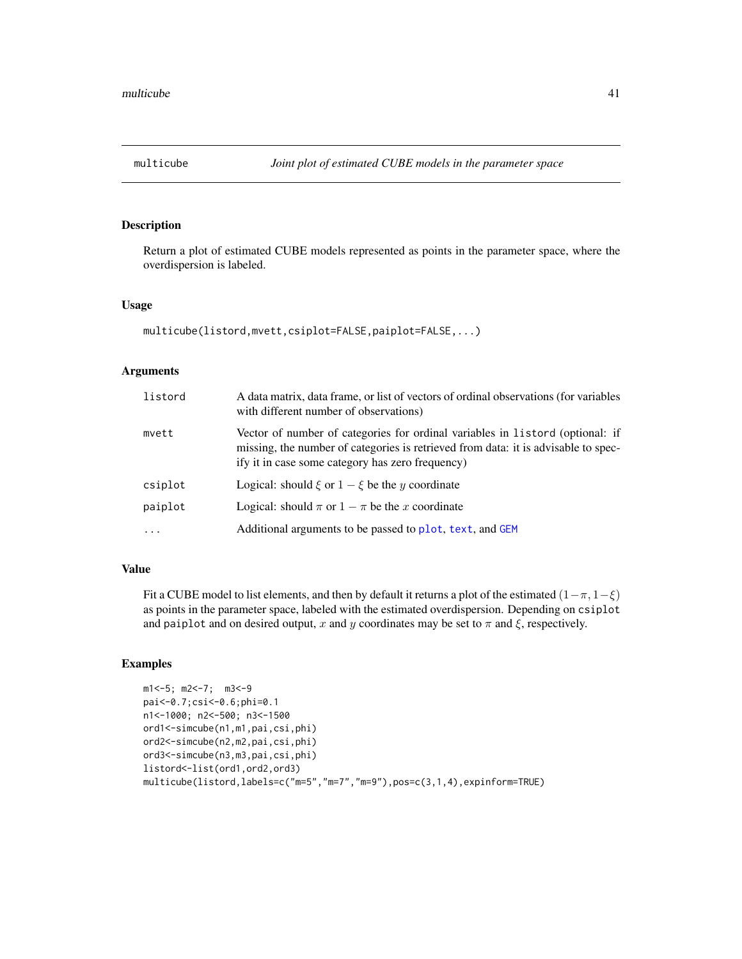<span id="page-40-1"></span><span id="page-40-0"></span>

Return a plot of estimated CUBE models represented as points in the parameter space, where the overdispersion is labeled.

# Usage

```
multicube(listord,mvett,csiplot=FALSE,paiplot=FALSE,...)
```
#### Arguments

| listord   | A data matrix, data frame, or list of vectors of ordinal observations (for variables<br>with different number of observations)                                                                                          |
|-----------|-------------------------------------------------------------------------------------------------------------------------------------------------------------------------------------------------------------------------|
| mvett     | Vector of number of categories for ordinal variables in listord (optional: if<br>missing, the number of categories is retrieved from data: it is advisable to spec-<br>ify it in case some category has zero frequency) |
| csiplot   | Logical: should $\xi$ or $1 - \xi$ be the y coordinate                                                                                                                                                                  |
| paiplot   | Logical: should $\pi$ or $1 - \pi$ be the x coordinate                                                                                                                                                                  |
| $\ddotsc$ | Additional arguments to be passed to plot, text, and GEM                                                                                                                                                                |

## Value

Fit a CUBE model to list elements, and then by default it returns a plot of the estimated  $(1-\pi, 1-\xi)$ as points in the parameter space, labeled with the estimated overdispersion. Depending on csiplot and paiplot and on desired output, x and y coordinates may be set to  $\pi$  and  $\xi$ , respectively.

```
m1<-5; m2<-7; m3<-9
pai<-0.7;csi<-0.6;phi=0.1
n1<-1000; n2<-500; n3<-1500
ord1<-simcube(n1,m1,pai,csi,phi)
ord2<-simcube(n2,m2,pai,csi,phi)
ord3<-simcube(n3,m3,pai,csi,phi)
listord<-list(ord1,ord2,ord3)
multicube(listord,labels=c("m=5","m=7","m=9"),pos=c(3,1,4),expinform=TRUE)
```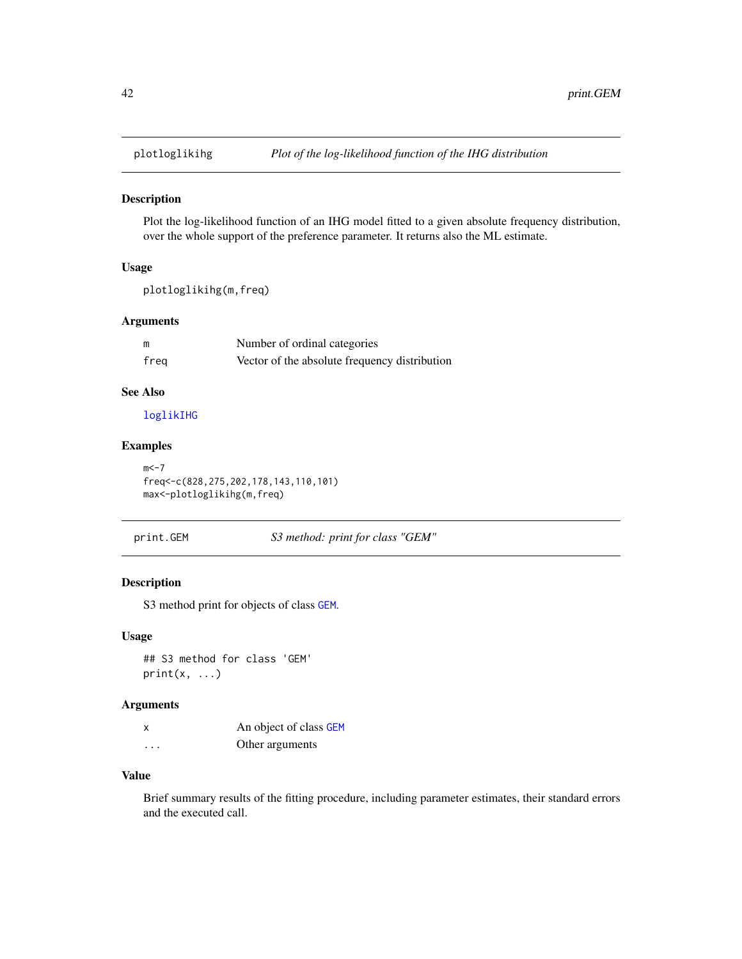<span id="page-41-0"></span>

Plot the log-likelihood function of an IHG model fitted to a given absolute frequency distribution, over the whole support of the preference parameter. It returns also the ML estimate.

# Usage

plotloglikihg(m,freq)

#### Arguments

| m    | Number of ordinal categories                  |
|------|-----------------------------------------------|
| freg | Vector of the absolute frequency distribution |

# See Also

[loglikIHG](#page-36-1)

# Examples

```
m < -7freq<-c(828,275,202,178,143,110,101)
max<-plotloglikihg(m,freq)
```
print.GEM *S3 method: print for class "GEM"*

# Description

S3 method print for objects of class [GEM](#page-18-1).

#### Usage

## S3 method for class 'GEM'  $print(x, \ldots)$ 

# Arguments

| x        | An object of class GEM |
|----------|------------------------|
| $\cdots$ | Other arguments        |

# Value

Brief summary results of the fitting procedure, including parameter estimates, their standard errors and the executed call.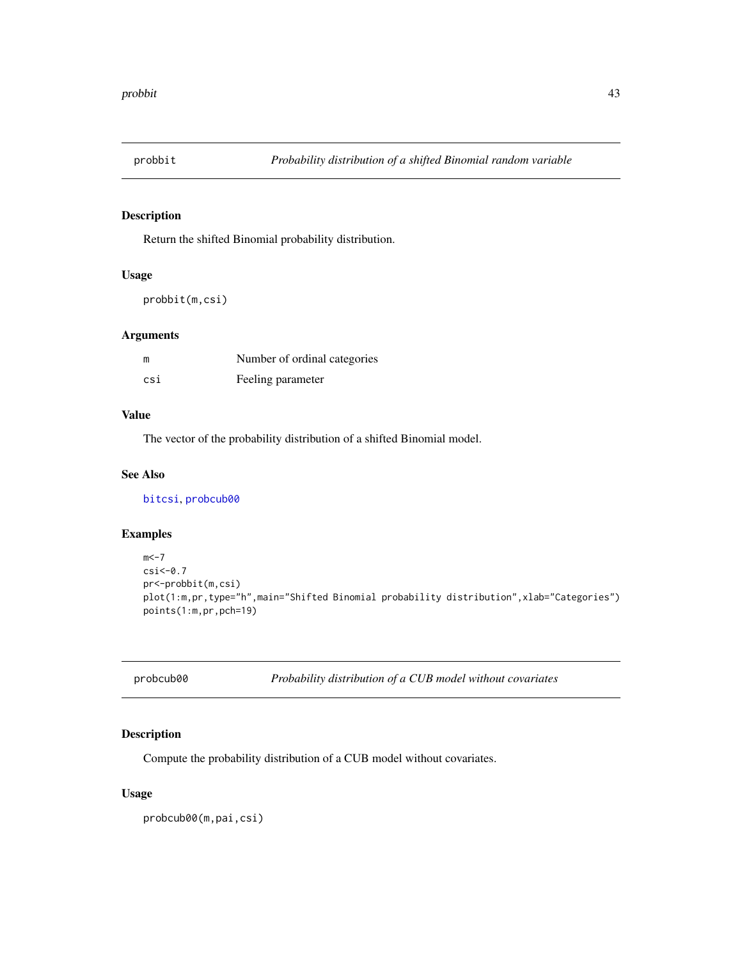<span id="page-42-0"></span>

Return the shifted Binomial probability distribution.

# Usage

probbit(m,csi)

# Arguments

| m   | Number of ordinal categories |
|-----|------------------------------|
| csi | Feeling parameter            |

# Value

The vector of the probability distribution of a shifted Binomial model.

# See Also

[bitcsi](#page-6-1), [probcub00](#page-42-1)

# Examples

```
m < -7csi<-0.7
pr<-probbit(m,csi)
plot(1:m,pr,type="h",main="Shifted Binomial probability distribution",xlab="Categories")
points(1:m,pr,pch=19)
```

| probcub00 |  |
|-----------|--|
|-----------|--|

<span id="page-42-1"></span>probcub00 *Probability distribution of a CUB model without covariates*

#### Description

Compute the probability distribution of a CUB model without covariates.

# Usage

probcub00(m,pai,csi)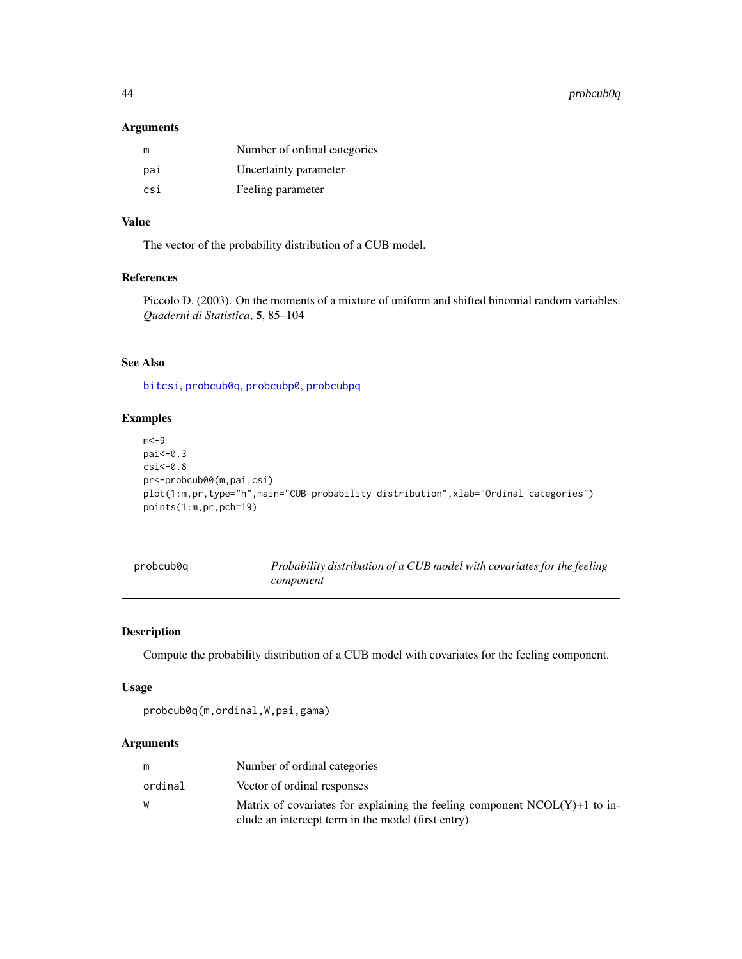<span id="page-43-0"></span>44 probcub0q

# Arguments

| m   | Number of ordinal categories |
|-----|------------------------------|
| pai | Uncertainty parameter        |
| csi | Feeling parameter            |

# Value

The vector of the probability distribution of a CUB model.

#### References

Piccolo D. (2003). On the moments of a mixture of uniform and shifted binomial random variables. *Quaderni di Statistica*, 5, 85–104

# See Also

[bitcsi](#page-6-1), [probcub0q](#page-43-1), [probcubp0](#page-45-1), [probcubpq](#page-47-1)

# Examples

```
m < -9pai<-0.3
csi<-0.8
pr<-probcub00(m,pai,csi)
plot(1:m,pr,type="h",main="CUB probability distribution",xlab="Ordinal categories")
points(1:m,pr,pch=19)
```
<span id="page-43-1"></span>

| probcub0q | Probability distribution of a CUB model with covariates for the feeling |
|-----------|-------------------------------------------------------------------------|
|           | component                                                               |

# Description

Compute the probability distribution of a CUB model with covariates for the feeling component.

#### Usage

```
probcub0q(m,ordinal,W,pai,gama)
```

| m       | Number of ordinal categories                                                 |
|---------|------------------------------------------------------------------------------|
| ordinal | Vector of ordinal responses                                                  |
| W       | Matrix of covariates for explaining the feeling component $NCOL(Y)+1$ to in- |
|         | clude an intercept term in the model (first entry)                           |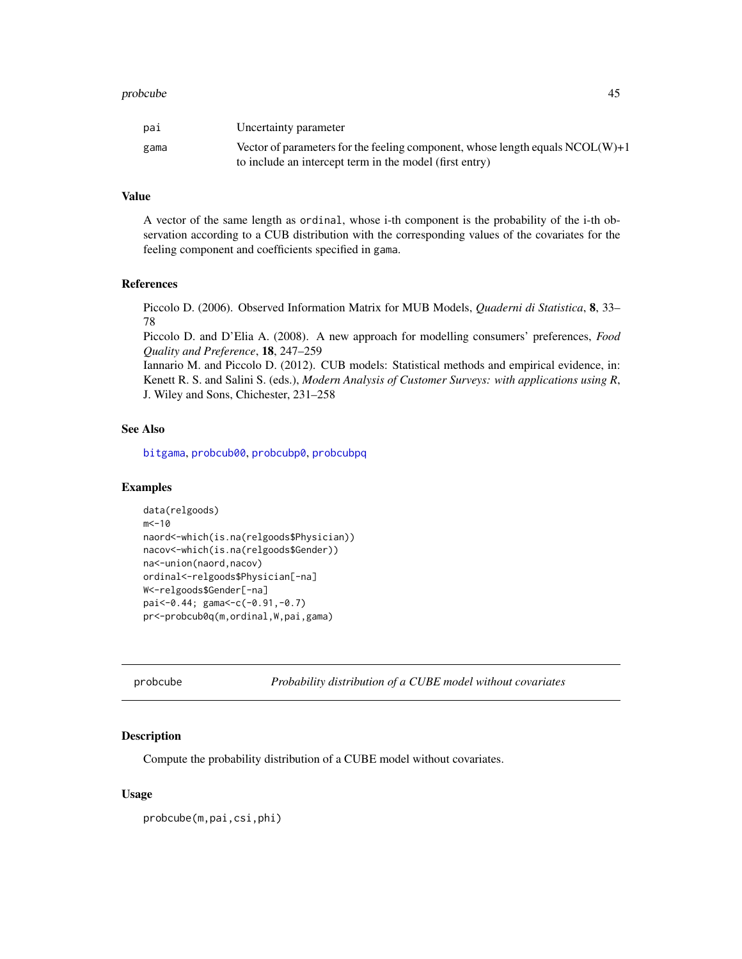#### <span id="page-44-0"></span>probcube 45

| pai  | Uncertainty parameter                                                                                                                        |
|------|----------------------------------------------------------------------------------------------------------------------------------------------|
| gama | Vector of parameters for the feeling component, whose length equals $NCOL(W) + 1$<br>to include an intercept term in the model (first entry) |
|      |                                                                                                                                              |

#### Value

A vector of the same length as ordinal, whose i-th component is the probability of the i-th observation according to a CUB distribution with the corresponding values of the covariates for the feeling component and coefficients specified in gama.

#### References

Piccolo D. (2006). Observed Information Matrix for MUB Models, *Quaderni di Statistica*, 8, 33– 78

Piccolo D. and D'Elia A. (2008). A new approach for modelling consumers' preferences, *Food Quality and Preference*, 18, 247–259

Iannario M. and Piccolo D. (2012). CUB models: Statistical methods and empirical evidence, in: Kenett R. S. and Salini S. (eds.), *Modern Analysis of Customer Surveys: with applications using R*, J. Wiley and Sons, Chichester, 231–258

# See Also

[bitgama](#page-7-1), [probcub00](#page-42-1), [probcubp0](#page-45-1), [probcubpq](#page-47-1)

#### Examples

```
data(relgoods)
m < -10naord<-which(is.na(relgoods$Physician))
nacov<-which(is.na(relgoods$Gender))
na<-union(naord,nacov)
ordinal<-relgoods$Physician[-na]
W<-relgoods$Gender[-na]
pai<-0.44; gama<-c(-0.91,-0.7)
pr<-probcub0q(m,ordinal,W,pai,gama)
```
<span id="page-44-1"></span>probcube *Probability distribution of a CUBE model without covariates*

#### Description

Compute the probability distribution of a CUBE model without covariates.

# Usage

probcube(m,pai,csi,phi)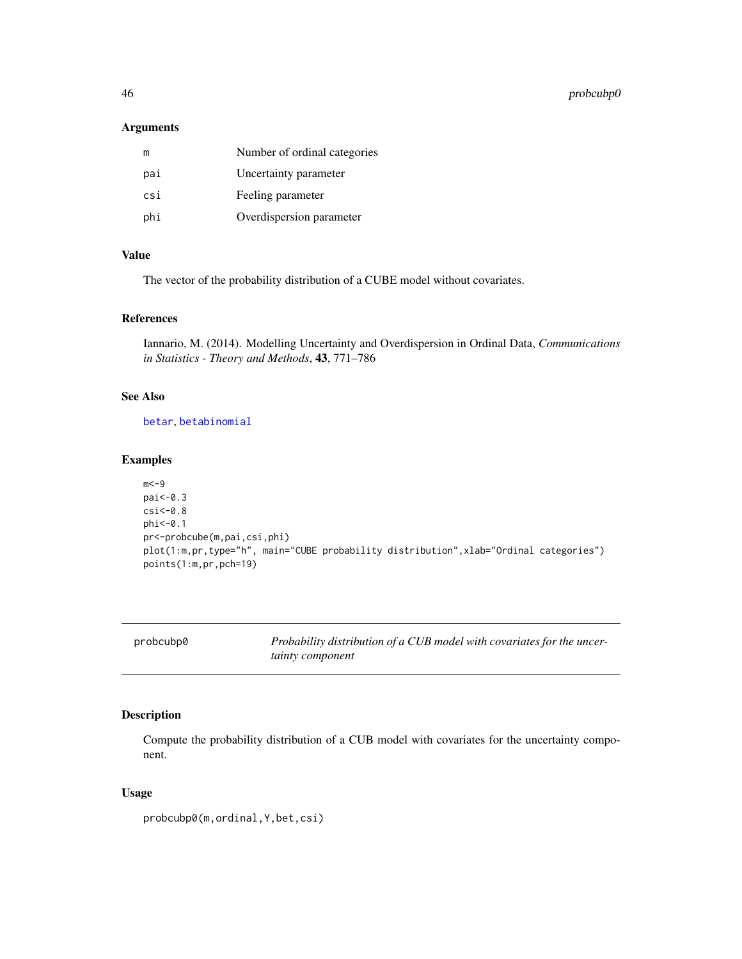<span id="page-45-0"></span>46 probcubp0

#### Arguments

| m   | Number of ordinal categories |
|-----|------------------------------|
| pai | Uncertainty parameter        |
| csi | Feeling parameter            |
| phi | Overdispersion parameter     |

# Value

The vector of the probability distribution of a CUBE model without covariates.

# References

Iannario, M. (2014). Modelling Uncertainty and Overdispersion in Ordinal Data, *Communications in Statistics - Theory and Methods*, 43, 771–786

# See Also

[betar](#page-4-1), [betabinomial](#page-2-1)

# Examples

```
m < -9pai<-0.3
csi<-0.8phi<-0.1
pr<-probcube(m,pai,csi,phi)
plot(1:m,pr,type="h", main="CUBE probability distribution",xlab="Ordinal categories")
points(1:m,pr,pch=19)
```
<span id="page-45-1"></span>

|  |  | probcubp0 |
|--|--|-----------|
|--|--|-----------|

Probability distribution of a CUB model with covariates for the uncer*tainty component*

#### Description

Compute the probability distribution of a CUB model with covariates for the uncertainty component.

# Usage

probcubp0(m,ordinal,Y,bet,csi)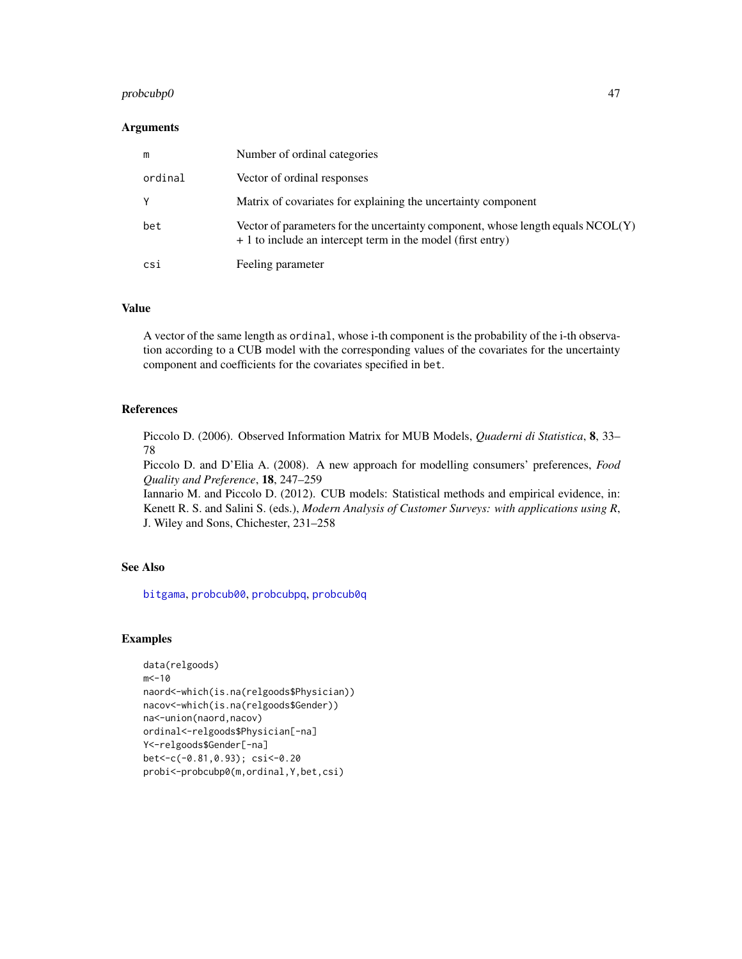# <span id="page-46-0"></span>probcubp0 47

#### **Arguments**

| m       | Number of ordinal categories                                                                                                                     |
|---------|--------------------------------------------------------------------------------------------------------------------------------------------------|
| ordinal | Vector of ordinal responses                                                                                                                      |
| Υ       | Matrix of covariates for explaining the uncertainty component                                                                                    |
| bet     | Vector of parameters for the uncertainty component, whose length equals $NCOL(Y)$<br>+ 1 to include an intercept term in the model (first entry) |
| csi     | Feeling parameter                                                                                                                                |

# Value

A vector of the same length as ordinal, whose i-th component is the probability of the i-th observation according to a CUB model with the corresponding values of the covariates for the uncertainty component and coefficients for the covariates specified in bet.

#### References

Piccolo D. (2006). Observed Information Matrix for MUB Models, *Quaderni di Statistica*, 8, 33– 78

Piccolo D. and D'Elia A. (2008). A new approach for modelling consumers' preferences, *Food Quality and Preference*, 18, 247–259

Iannario M. and Piccolo D. (2012). CUB models: Statistical methods and empirical evidence, in: Kenett R. S. and Salini S. (eds.), *Modern Analysis of Customer Surveys: with applications using R*, J. Wiley and Sons, Chichester, 231–258

# See Also

[bitgama](#page-7-1), [probcub00](#page-42-1), [probcubpq](#page-47-1), [probcub0q](#page-43-1)

```
data(relgoods)
m < -10naord<-which(is.na(relgoods$Physician))
nacov<-which(is.na(relgoods$Gender))
na<-union(naord,nacov)
ordinal<-relgoods$Physician[-na]
Y<-relgoods$Gender[-na]
bet<-c(-0.81,0.93); csi<-0.20
probi<-probcubp0(m,ordinal,Y,bet,csi)
```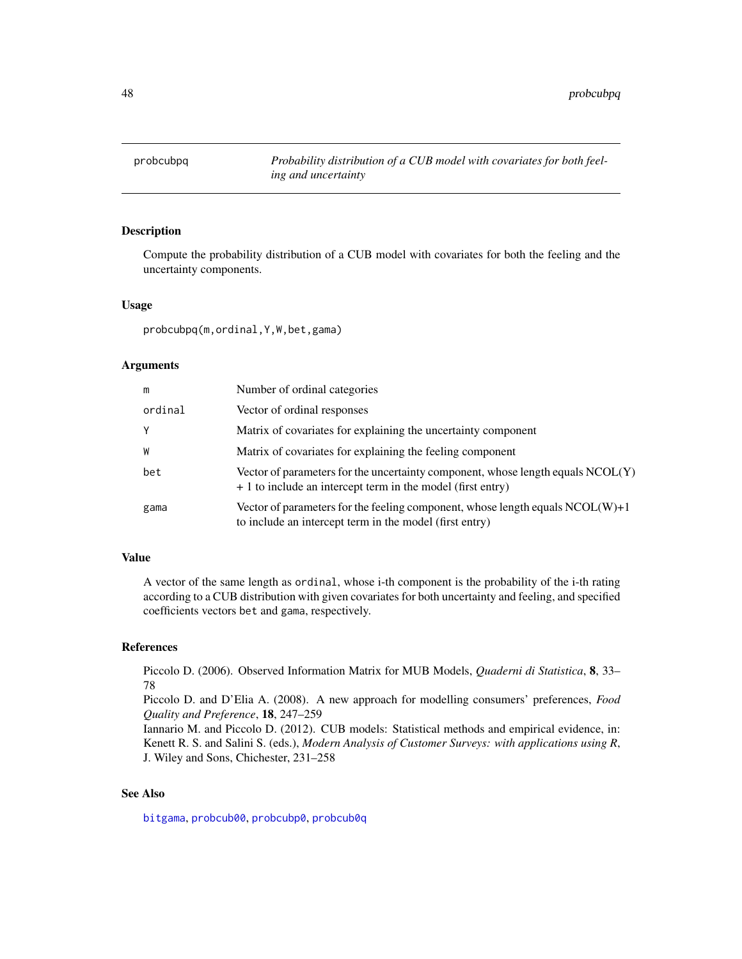<span id="page-47-1"></span><span id="page-47-0"></span>

Compute the probability distribution of a CUB model with covariates for both the feeling and the uncertainty components.

#### Usage

probcubpq(m,ordinal,Y,W,bet,gama)

# Arguments

| m       | Number of ordinal categories                                                                                                                     |
|---------|--------------------------------------------------------------------------------------------------------------------------------------------------|
| ordinal | Vector of ordinal responses                                                                                                                      |
| Υ       | Matrix of covariates for explaining the uncertainty component                                                                                    |
| W       | Matrix of covariates for explaining the feeling component                                                                                        |
| bet     | Vector of parameters for the uncertainty component, whose length equals $NCOL(Y)$<br>+ 1 to include an intercept term in the model (first entry) |
| gama    | Vector of parameters for the feeling component, whose length equals $NCOL(W) + 1$<br>to include an intercept term in the model (first entry)     |

# Value

A vector of the same length as ordinal, whose i-th component is the probability of the i-th rating according to a CUB distribution with given covariates for both uncertainty and feeling, and specified coefficients vectors bet and gama, respectively.

# References

Piccolo D. (2006). Observed Information Matrix for MUB Models, *Quaderni di Statistica*, 8, 33– 78

Piccolo D. and D'Elia A. (2008). A new approach for modelling consumers' preferences, *Food Quality and Preference*, 18, 247–259

Iannario M. and Piccolo D. (2012). CUB models: Statistical methods and empirical evidence, in: Kenett R. S. and Salini S. (eds.), *Modern Analysis of Customer Surveys: with applications using R*, J. Wiley and Sons, Chichester, 231–258

# See Also

[bitgama](#page-7-1), [probcub00](#page-42-1), [probcubp0](#page-45-1), [probcub0q](#page-43-1)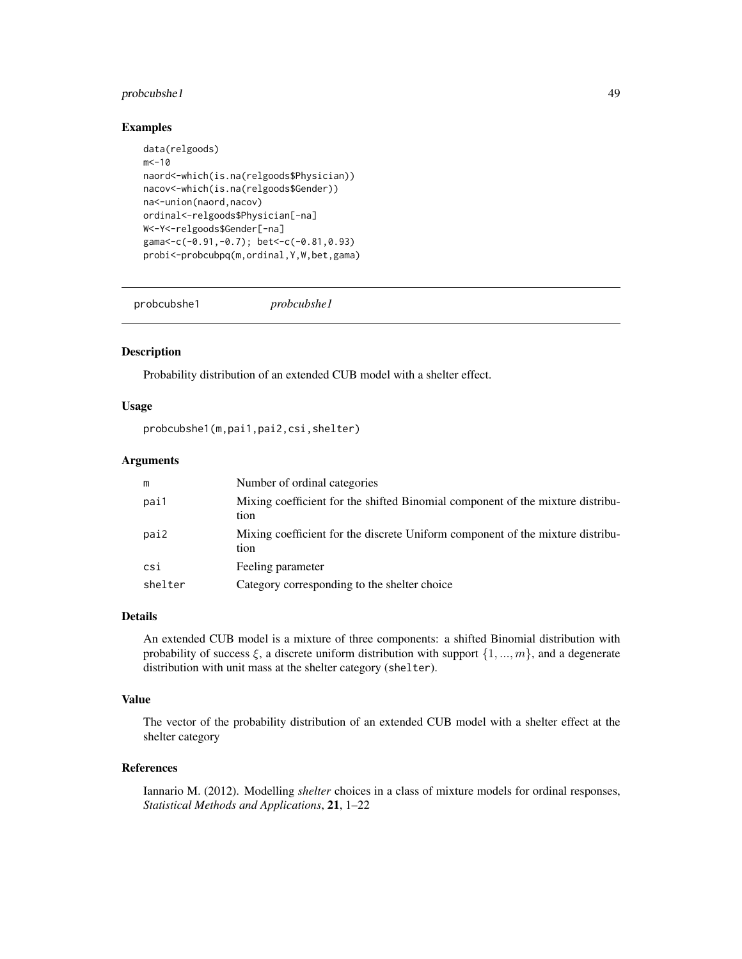# <span id="page-48-0"></span>probcubshe1 49

#### Examples

```
data(relgoods)
m < -10naord<-which(is.na(relgoods$Physician))
nacov<-which(is.na(relgoods$Gender))
na<-union(naord,nacov)
ordinal<-relgoods$Physician[-na]
W<-Y<-relgoods$Gender[-na]
gama<-c(-0.91,-0.7); bet<-c(-0.81,0.93)
probi<-probcubpq(m,ordinal,Y,W,bet,gama)
```
<span id="page-48-1"></span>probcubshe1 *probcubshe1*

# Description

Probability distribution of an extended CUB model with a shelter effect.

# Usage

probcubshe1(m,pai1,pai2,csi,shelter)

#### **Arguments**

| m       | Number of ordinal categories                                                           |
|---------|----------------------------------------------------------------------------------------|
| pai1    | Mixing coefficient for the shifted Binomial component of the mixture distribu-<br>tion |
| pai2    | Mixing coefficient for the discrete Uniform component of the mixture distribu-<br>tion |
| csi     | Feeling parameter                                                                      |
| shelter | Category corresponding to the shelter choice                                           |

#### Details

An extended CUB model is a mixture of three components: a shifted Binomial distribution with probability of success  $\xi$ , a discrete uniform distribution with support  $\{1, ..., m\}$ , and a degenerate distribution with unit mass at the shelter category (shelter).

#### Value

The vector of the probability distribution of an extended CUB model with a shelter effect at the shelter category

# References

Iannario M. (2012). Modelling *shelter* choices in a class of mixture models for ordinal responses, *Statistical Methods and Applications*, 21, 1–22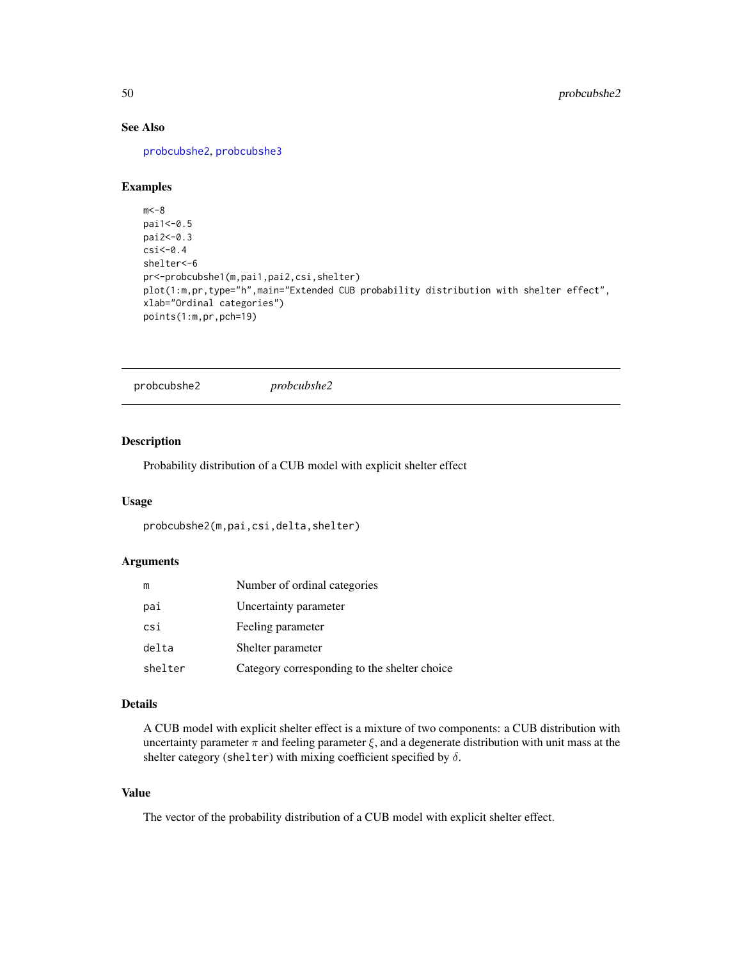# See Also

[probcubshe2](#page-49-1), [probcubshe3](#page-50-1)

# Examples

```
m < -8pai1<-0.5
pai2<-0.3
csi<-\theta.4shelter<-6
pr<-probcubshe1(m,pai1,pai2,csi,shelter)
plot(1:m,pr,type="h",main="Extended CUB probability distribution with shelter effect",
xlab="Ordinal categories")
points(1:m,pr,pch=19)
```
<span id="page-49-1"></span>probcubshe2 *probcubshe2*

#### Description

Probability distribution of a CUB model with explicit shelter effect

#### Usage

```
probcubshe2(m,pai,csi,delta,shelter)
```
#### Arguments

| m       | Number of ordinal categories                 |
|---------|----------------------------------------------|
| pai     | Uncertainty parameter                        |
| csi     | Feeling parameter                            |
| delta   | Shelter parameter                            |
| shelter | Category corresponding to the shelter choice |

# Details

A CUB model with explicit shelter effect is a mixture of two components: a CUB distribution with uncertainty parameter  $\pi$  and feeling parameter  $\xi$ , and a degenerate distribution with unit mass at the shelter category (shelter) with mixing coefficient specified by  $\delta$ .

# Value

The vector of the probability distribution of a CUB model with explicit shelter effect.

<span id="page-49-0"></span>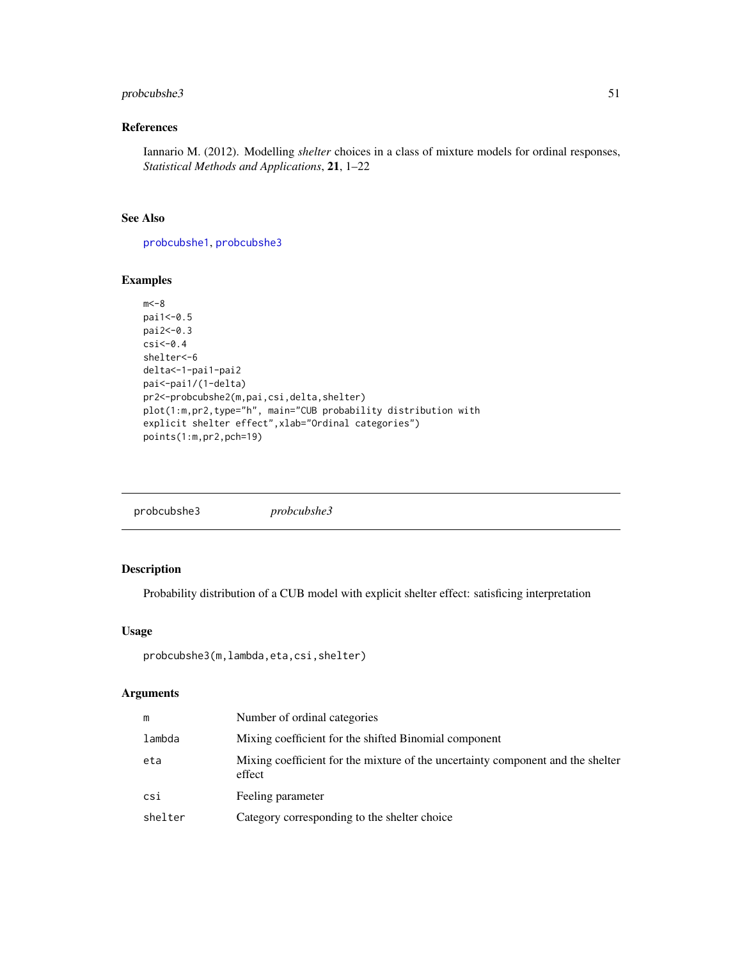# <span id="page-50-0"></span>probcubshe3 51

# References

Iannario M. (2012). Modelling *shelter* choices in a class of mixture models for ordinal responses, *Statistical Methods and Applications*, 21, 1–22

# See Also

[probcubshe1](#page-48-1), [probcubshe3](#page-50-1)

# Examples

```
m < -8pai1<-0.5
pai2<-0.3
csi<-\theta.4shelter<-6
delta<-1-pai1-pai2
pai<-pai1/(1-delta)
pr2<-probcubshe2(m,pai,csi,delta,shelter)
plot(1:m,pr2,type="h", main="CUB probability distribution with
explicit shelter effect", xlab="Ordinal categories")
points(1:m,pr2,pch=19)
```
<span id="page-50-1"></span>

| probcubshe3 | <i>probcubshe3</i> |
|-------------|--------------------|
|-------------|--------------------|

# Description

Probability distribution of a CUB model with explicit shelter effect: satisficing interpretation

#### Usage

```
probcubshe3(m,lambda,eta,csi,shelter)
```

| m       | Number of ordinal categories                                                              |
|---------|-------------------------------------------------------------------------------------------|
| lambda  | Mixing coefficient for the shifted Binomial component                                     |
| eta     | Mixing coefficient for the mixture of the uncertainty component and the shelter<br>effect |
| csi     | Feeling parameter                                                                         |
| shelter | Category corresponding to the shelter choice                                              |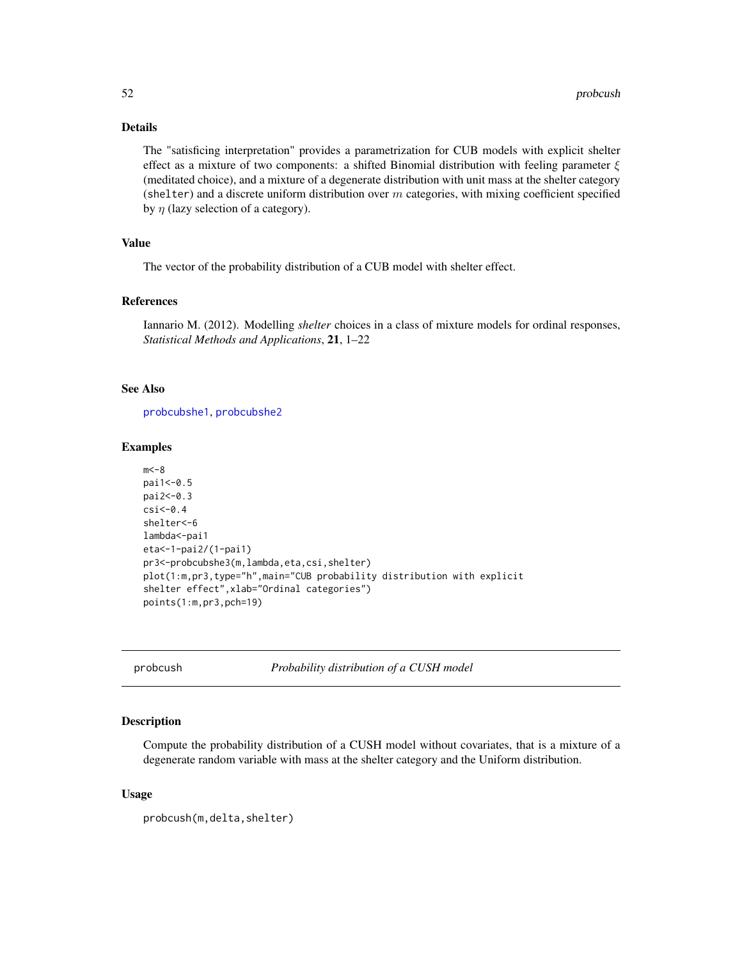# Details

The "satisficing interpretation" provides a parametrization for CUB models with explicit shelter effect as a mixture of two components: a shifted Binomial distribution with feeling parameter  $\xi$ (meditated choice), and a mixture of a degenerate distribution with unit mass at the shelter category (shelter) and a discrete uniform distribution over  $m$  categories, with mixing coefficient specified by  $\eta$  (lazy selection of a category).

# Value

The vector of the probability distribution of a CUB model with shelter effect.

# References

Iannario M. (2012). Modelling *shelter* choices in a class of mixture models for ordinal responses, *Statistical Methods and Applications*, 21, 1–22

# See Also

[probcubshe1](#page-48-1), [probcubshe2](#page-49-1)

#### Examples

```
m < -8pai1<-0.5
pai2<-0.3
csi<-0.4shelter<-6
lambda<-pai1
eta<-1-pai2/(1-pai1)
pr3<-probcubshe3(m,lambda,eta,csi,shelter)
plot(1:m,pr3,type="h",main="CUB probability distribution with explicit
shelter effect",xlab="Ordinal categories")
points(1:m,pr3,pch=19)
```
<span id="page-51-1"></span>probcush *Probability distribution of a CUSH model*

#### Description

Compute the probability distribution of a CUSH model without covariates, that is a mixture of a degenerate random variable with mass at the shelter category and the Uniform distribution.

#### Usage

```
probcush(m,delta,shelter)
```
<span id="page-51-0"></span>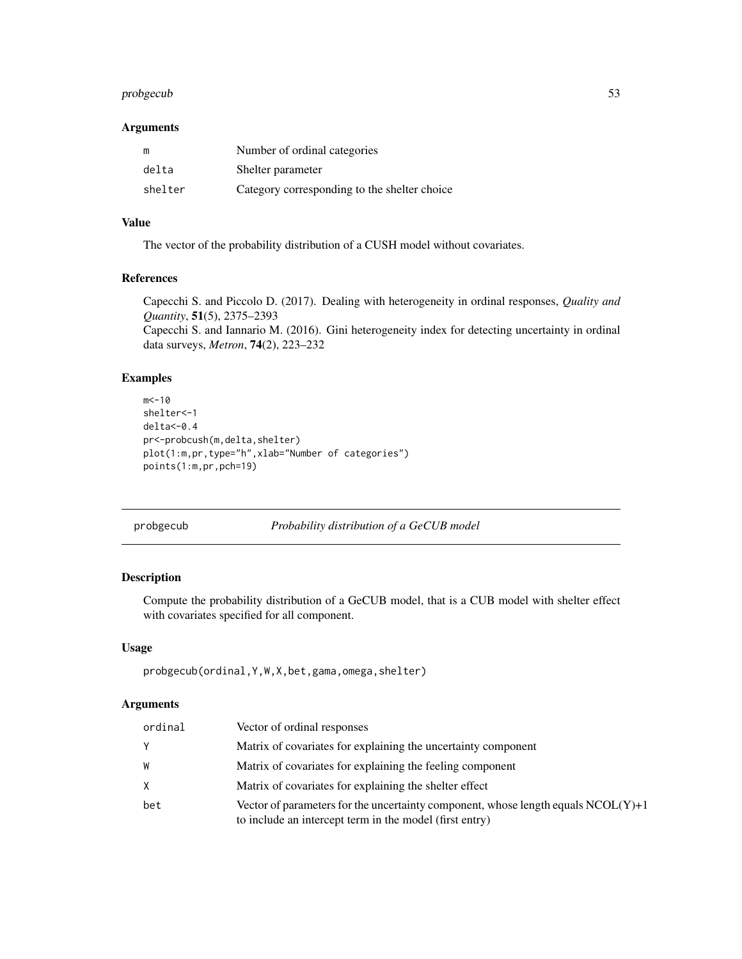# <span id="page-52-0"></span>probgecub 53

#### Arguments

| m       | Number of ordinal categories                 |
|---------|----------------------------------------------|
| delta   | Shelter parameter                            |
| shelter | Category corresponding to the shelter choice |

# Value

The vector of the probability distribution of a CUSH model without covariates.

# References

Capecchi S. and Piccolo D. (2017). Dealing with heterogeneity in ordinal responses, *Quality and Quantity*, 51(5), 2375–2393

Capecchi S. and Iannario M. (2016). Gini heterogeneity index for detecting uncertainty in ordinal data surveys, *Metron*, 74(2), 223–232

#### Examples

```
m < -10shelter<-1
delta<-0.4
pr<-probcush(m,delta,shelter)
plot(1:m,pr,type="h",xlab="Number of categories")
points(1:m,pr,pch=19)
```
probgecub *Probability distribution of a GeCUB model*

# Description

Compute the probability distribution of a GeCUB model, that is a CUB model with shelter effect with covariates specified for all component.

# Usage

```
probgecub(ordinal,Y,W,X,bet,gama,omega,shelter)
```

| ordinal | Vector of ordinal responses                                                                                                                      |
|---------|--------------------------------------------------------------------------------------------------------------------------------------------------|
| Υ       | Matrix of covariates for explaining the uncertainty component                                                                                    |
| W       | Matrix of covariates for explaining the feeling component                                                                                        |
| X.      | Matrix of covariates for explaining the shelter effect                                                                                           |
| bet     | Vector of parameters for the uncertainty component, whose length equals $NCOL(Y) + 1$<br>to include an intercept term in the model (first entry) |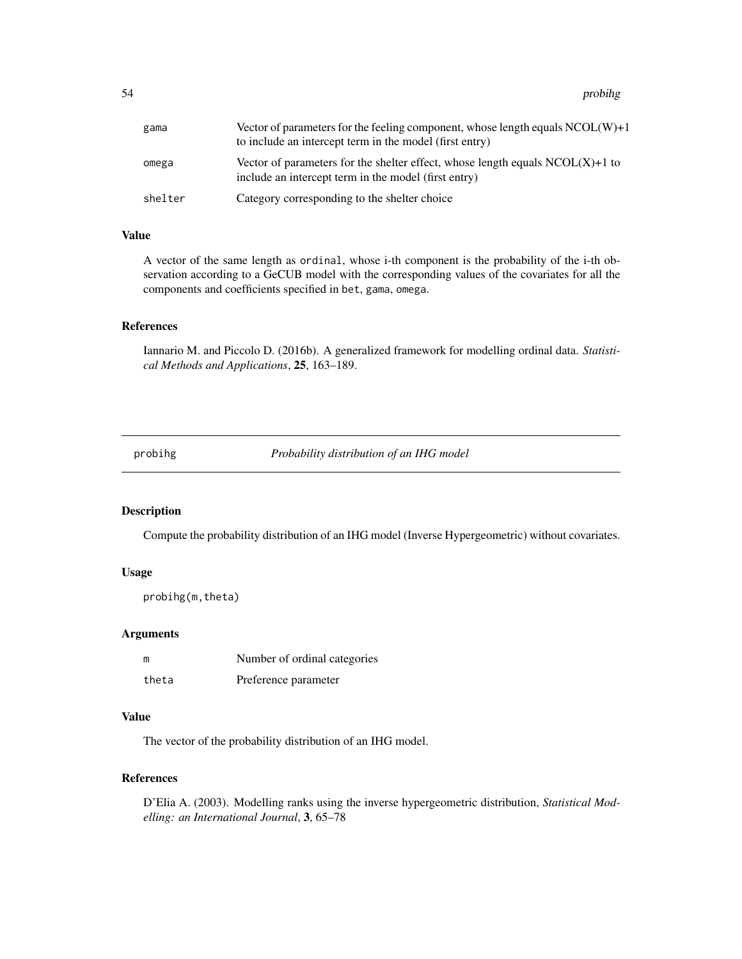<span id="page-53-0"></span>54 probihg

| gama    | Vector of parameters for the feeling component, whose length equals $NCOL(W) + 1$<br>to include an intercept term in the model (first entry) |
|---------|----------------------------------------------------------------------------------------------------------------------------------------------|
| omega   | Vector of parameters for the shelter effect, whose length equals $NCOL(X) + 1$ to<br>include an intercept term in the model (first entry)    |
| shelter | Category corresponding to the shelter choice                                                                                                 |

# Value

A vector of the same length as ordinal, whose i-th component is the probability of the i-th observation according to a GeCUB model with the corresponding values of the covariates for all the components and coefficients specified in bet, gama, omega.

# References

Iannario M. and Piccolo D. (2016b). A generalized framework for modelling ordinal data. *Statistical Methods and Applications*, 25, 163–189.

<span id="page-53-1"></span>probihg *Probability distribution of an IHG model*

# Description

Compute the probability distribution of an IHG model (Inverse Hypergeometric) without covariates.

# Usage

```
probihg(m,theta)
```
# Arguments

| m     | Number of ordinal categories |
|-------|------------------------------|
| theta | Preference parameter         |

# Value

The vector of the probability distribution of an IHG model.

# References

D'Elia A. (2003). Modelling ranks using the inverse hypergeometric distribution, *Statistical Modelling: an International Journal*, 3, 65–78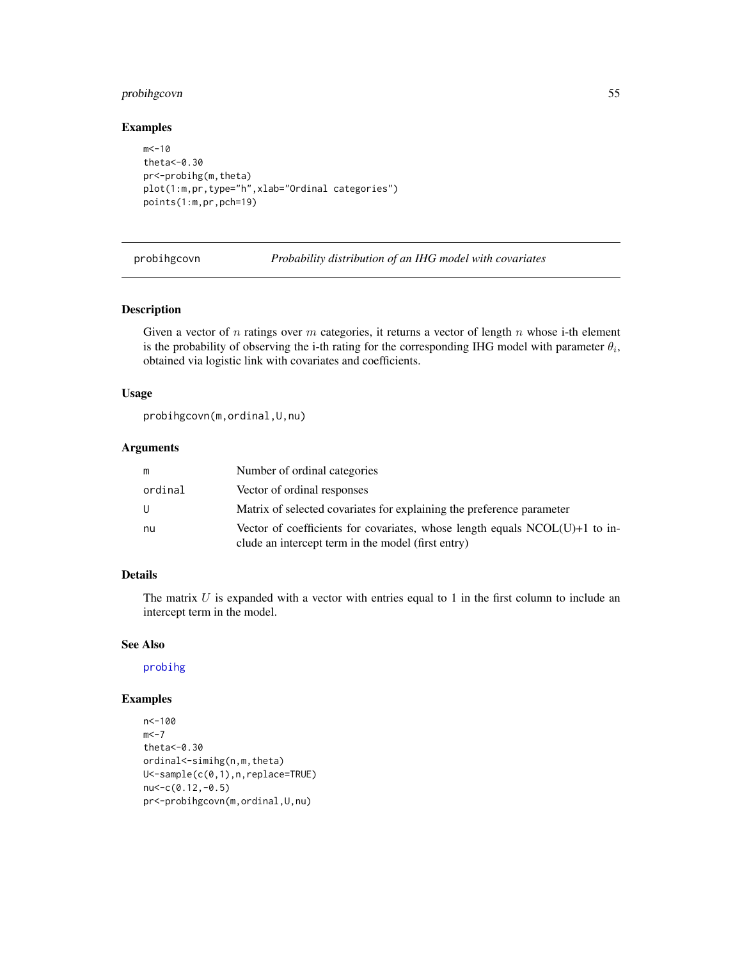# <span id="page-54-0"></span>probihgcovn 55

# Examples

```
m < -10theta<-0.30
pr<-probihg(m,theta)
plot(1:m,pr,type="h",xlab="Ordinal categories")
points(1:m,pr,pch=19)
```
probihgcovn *Probability distribution of an IHG model with covariates*

#### Description

Given a vector of  $n$  ratings over  $m$  categories, it returns a vector of length  $n$  whose i-th element is the probability of observing the i-th rating for the corresponding IHG model with parameter  $\theta_i$ , obtained via logistic link with covariates and coefficients.

# Usage

probihgcovn(m,ordinal,U,nu)

# Arguments

| m       | Number of ordinal categories                                                                                                          |
|---------|---------------------------------------------------------------------------------------------------------------------------------------|
| ordinal | Vector of ordinal responses                                                                                                           |
| U       | Matrix of selected covariates for explaining the preference parameter                                                                 |
| nu      | Vector of coefficients for covariates, whose length equals $NCOL(U) + 1$ to in-<br>clude an intercept term in the model (first entry) |

# Details

The matrix  $U$  is expanded with a vector with entries equal to 1 in the first column to include an intercept term in the model.

# See Also

[probihg](#page-53-1)

```
n<-100
m < -7theta<-0.30
ordinal<-simihg(n,m,theta)
U<-sample(c(0,1),n,replace=TRUE)
nu<-c(0.12,-0.5)
pr<-probihgcovn(m,ordinal,U,nu)
```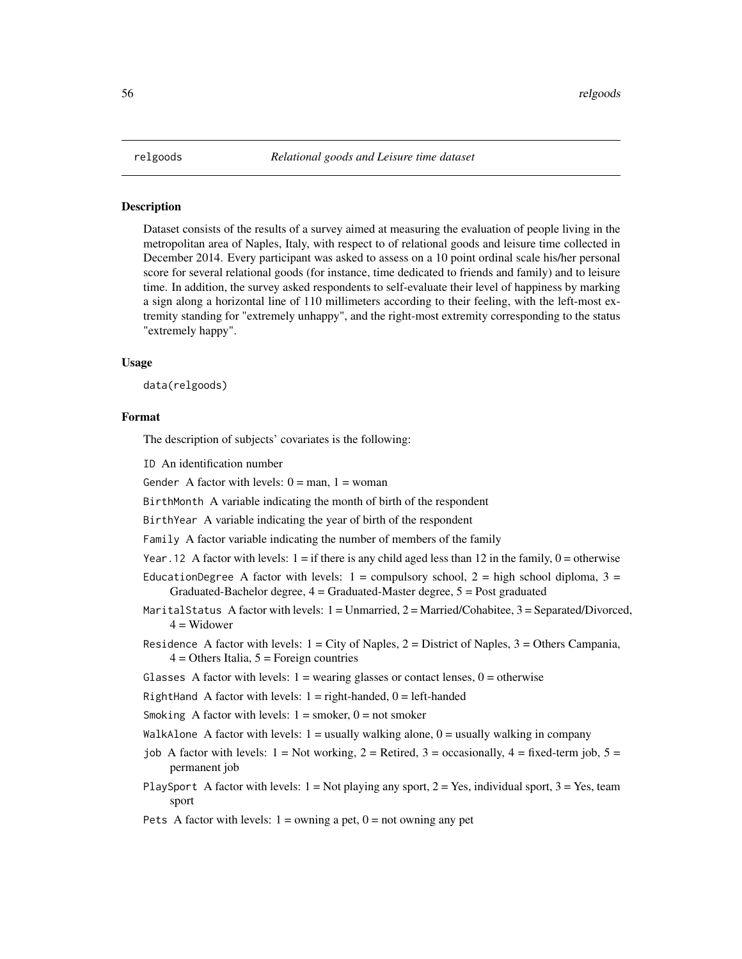<span id="page-55-0"></span>Dataset consists of the results of a survey aimed at measuring the evaluation of people living in the metropolitan area of Naples, Italy, with respect to of relational goods and leisure time collected in December 2014. Every participant was asked to assess on a 10 point ordinal scale his/her personal score for several relational goods (for instance, time dedicated to friends and family) and to leisure time. In addition, the survey asked respondents to self-evaluate their level of happiness by marking a sign along a horizontal line of 110 millimeters according to their feeling, with the left-most extremity standing for "extremely unhappy", and the right-most extremity corresponding to the status "extremely happy".

#### Usage

data(relgoods)

#### Format

The description of subjects' covariates is the following:

ID An identification number

Gender A factor with levels:  $0 = \text{man}$ ,  $1 = \text{woman}$ 

BirthMonth A variable indicating the month of birth of the respondent

BirthYear A variable indicating the year of birth of the respondent

Family A factor variable indicating the number of members of the family

- Year. 12 A factor with levels:  $1 =$  if there is any child aged less than 12 in the family,  $0 =$  otherwise
- EducationDegree A factor with levels:  $1 =$  compulsory school,  $2 =$  high school diploma,  $3 =$ Graduated-Bachelor degree, 4 = Graduated-Master degree, 5 = Post graduated
- MaritalStatus A factor with levels: 1 = Unmarried, 2 = Married/Cohabitee, 3 = Separated/Divorced,  $4 =$  Widower
- Residence A factor with levels:  $1 = City$  of Naples,  $2 = District$  of Naples,  $3 = Others$  Campania,  $4 =$  Others Italia,  $5 =$  Foreign countries
- Glasses A factor with levels:  $1 =$  wearing glasses or contact lenses,  $0 =$  otherwise
- RightHand A factor with levels:  $1 =$  right-handed,  $0 =$  left-handed
- Smoking A factor with levels:  $1 =$  smoker,  $0 =$  not smoker
- WalkAlone A factor with levels:  $1 =$  usually walking alone,  $0 =$  usually walking in company
- job A factor with levels:  $1 = Not working$ ,  $2 = Retired$ ,  $3 = occasionally$ ,  $4 = fixed-term job$ ,  $5 =$ permanent job
- PlaySport A factor with levels:  $1 = Not$  playing any sport,  $2 = Yes$ , individual sport,  $3 = Yes$ , team sport
- Pets A factor with levels:  $1 =$  owning a pet,  $0 =$  not owning any pet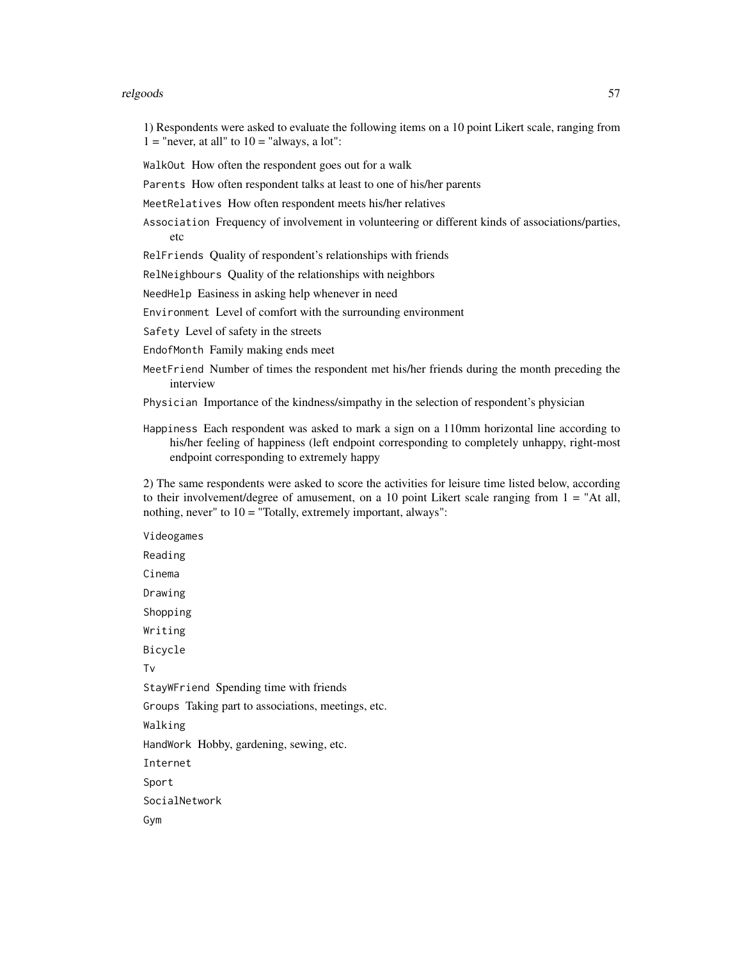#### relgoods 57 seconds to the contract of the contract of the contract of the contract of the contract of the contract of the contract of the contract of the contract of the contract of the contract of the contract of the con

1) Respondents were asked to evaluate the following items on a 10 point Likert scale, ranging from  $1 =$  "never, at all" to  $10 =$  "always, a lot":

WalkOut How often the respondent goes out for a walk

Parents How often respondent talks at least to one of his/her parents

MeetRelatives How often respondent meets his/her relatives

Association Frequency of involvement in volunteering or different kinds of associations/parties, etc

RelFriends Quality of respondent's relationships with friends

RelNeighbours Quality of the relationships with neighbors

NeedHelp Easiness in asking help whenever in need

Environment Level of comfort with the surrounding environment

Safety Level of safety in the streets

EndofMonth Family making ends meet

MeetFriend Number of times the respondent met his/her friends during the month preceding the interview

Physician Importance of the kindness/simpathy in the selection of respondent's physician

Happiness Each respondent was asked to mark a sign on a 110mm horizontal line according to his/her feeling of happiness (left endpoint corresponding to completely unhappy, right-most endpoint corresponding to extremely happy

2) The same respondents were asked to score the activities for leisure time listed below, according to their involvement/degree of amusement, on a 10 point Likert scale ranging from 1 = "At all, nothing, never" to 10 = "Totally, extremely important, always":

Videogames Reading Cinema Drawing Shopping Writing Bicycle Tv StayWFriend Spending time with friends Groups Taking part to associations, meetings, etc. Walking HandWork Hobby, gardening, sewing, etc. Internet Sport SocialNetwork Gym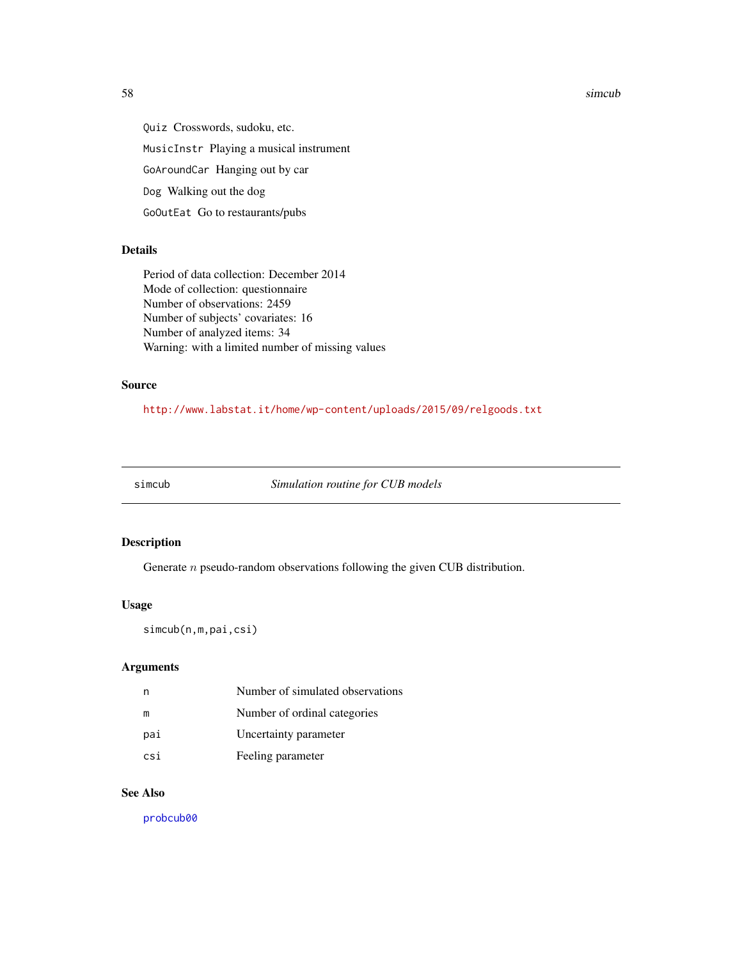#### 58 simcub simcub simulation of the state of the state of the state of the state of the state of the state of the state of the state of the state of the state of the state of the state of the state of the state of the state

Quiz Crosswords, sudoku, etc. MusicInstr Playing a musical instrument GoAroundCar Hanging out by car Dog Walking out the dog GoOutEat Go to restaurants/pubs

# Details

Period of data collection: December 2014 Mode of collection: questionnaire Number of observations: 2459 Number of subjects' covariates: 16 Number of analyzed items: 34 Warning: with a limited number of missing values

#### Source

<http://www.labstat.it/home/wp-content/uploads/2015/09/relgoods.txt>

simcub *Simulation routine for CUB models*

# Description

Generate  $n$  pseudo-random observations following the given CUB distribution.

# Usage

simcub(n,m,pai,csi)

# Arguments

|     | Number of simulated observations |
|-----|----------------------------------|
| m   | Number of ordinal categories     |
| pai | Uncertainty parameter            |
| csi | Feeling parameter                |

# See Also

[probcub00](#page-42-1)

<span id="page-57-0"></span>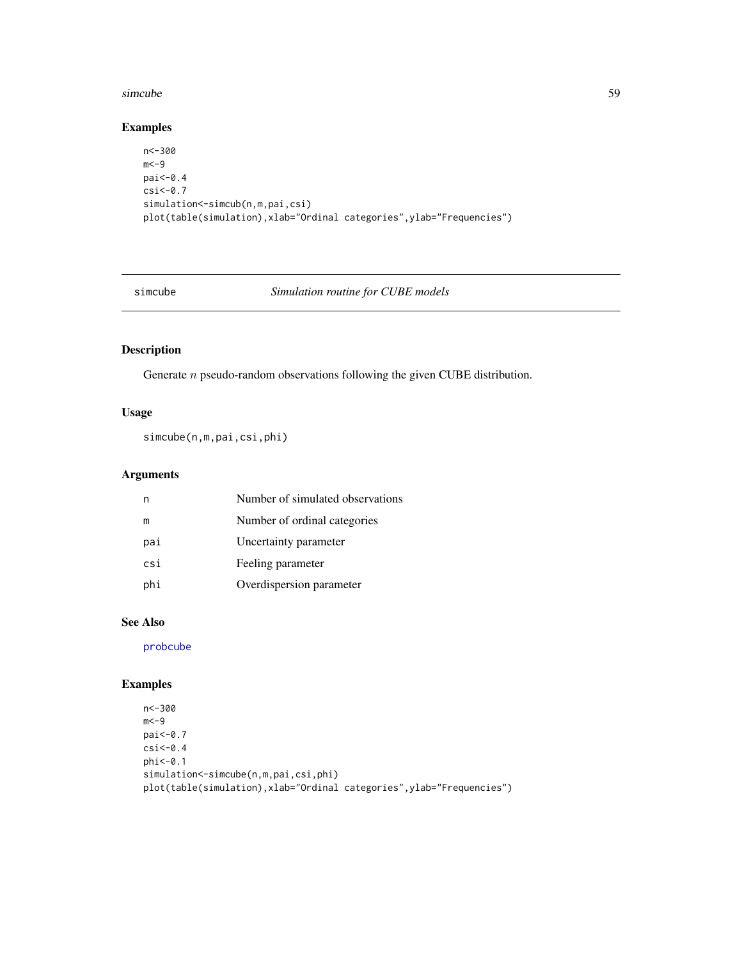#### <span id="page-58-0"></span>simcube 59

# Examples

```
n<-300
m < -9pai<-0.4
csi<-0.7
simulation<-simcub(n,m,pai,csi)
plot(table(simulation),xlab="Ordinal categories",ylab="Frequencies")
```
# simcube *Simulation routine for CUBE models*

# Description

Generate  $n$  pseudo-random observations following the given CUBE distribution.

# Usage

simcube(n,m,pai,csi,phi)

# Arguments

|     | Number of simulated observations |
|-----|----------------------------------|
| m   | Number of ordinal categories     |
| pai | Uncertainty parameter            |
| csi | Feeling parameter                |
| phi | Overdispersion parameter         |

# See Also

[probcube](#page-44-1)

```
n<-300
m < -9pai<-0.7
csi<-0.4phi<-0.1
simulation<-simcube(n,m,pai,csi,phi)
plot(table(simulation),xlab="Ordinal categories",ylab="Frequencies")
```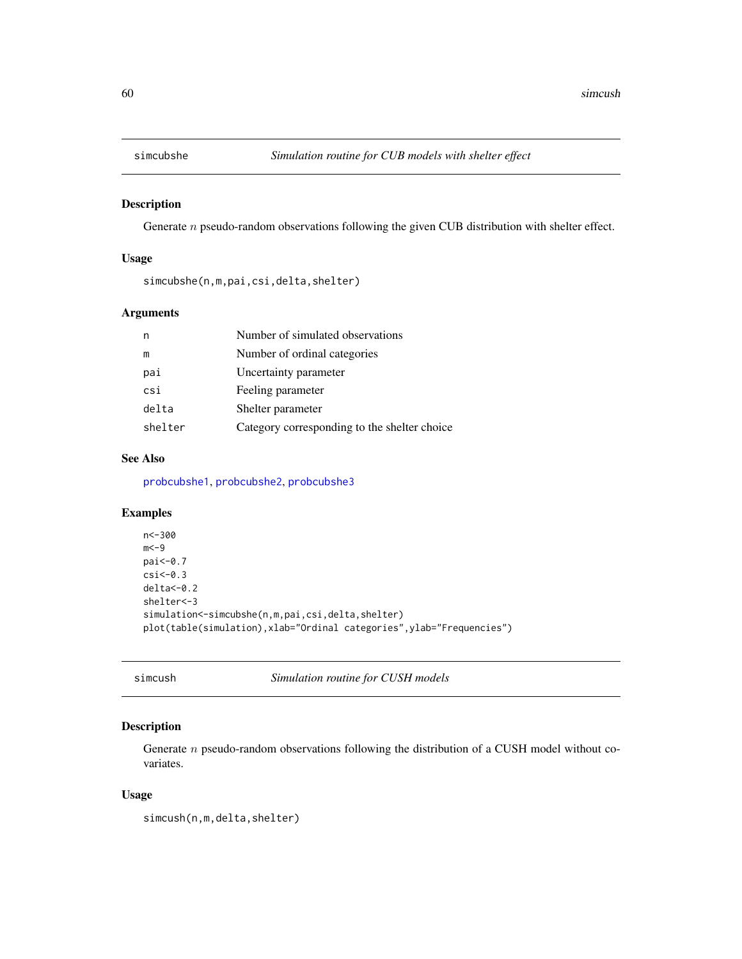<span id="page-59-0"></span>

Generate  $n$  pseudo-random observations following the given CUB distribution with shelter effect.

# Usage

```
simcubshe(n,m,pai,csi,delta,shelter)
```
# Arguments

| n       | Number of simulated observations             |
|---------|----------------------------------------------|
| m       | Number of ordinal categories                 |
| pai     | Uncertainty parameter                        |
| csi     | Feeling parameter                            |
| delta   | Shelter parameter                            |
| shelter | Category corresponding to the shelter choice |
|         |                                              |

# See Also

[probcubshe1](#page-48-1), [probcubshe2](#page-49-1), [probcubshe3](#page-50-1)

# Examples

```
n<-300
m < -9pai<-0.7
csi < -0.3delta<-0.2
shelter<-3
simulation<-simcubshe(n,m,pai,csi,delta,shelter)
plot(table(simulation),xlab="Ordinal categories",ylab="Frequencies")
```
simcush *Simulation routine for CUSH models*

# Description

Generate n pseudo-random observations following the distribution of a CUSH model without covariates.

#### Usage

simcush(n,m,delta,shelter)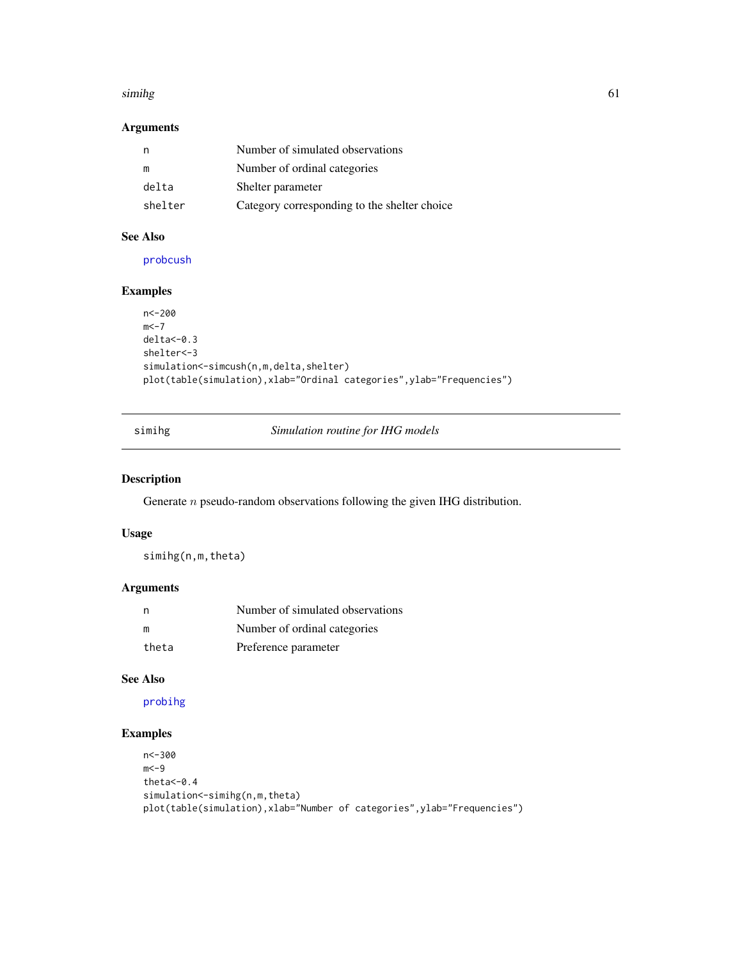#### <span id="page-60-0"></span>simihg 61

# Arguments

| n       | Number of simulated observations             |
|---------|----------------------------------------------|
| m       | Number of ordinal categories                 |
| delta   | Shelter parameter                            |
| shelter | Category corresponding to the shelter choice |

# See Also

[probcush](#page-51-1)

# Examples

```
n<-200
m < -7delta<-0.3
shelter<-3
simulation <- simcush(n,m,delta,shelter)
plot(table(simulation),xlab="Ordinal categories",ylab="Frequencies")
```
simihg *Simulation routine for IHG models*

# Description

Generate  $n$  pseudo-random observations following the given IHG distribution.

# Usage

simihg(n,m,theta)

# Arguments

| n     | Number of simulated observations |
|-------|----------------------------------|
| m     | Number of ordinal categories     |
| theta | Preference parameter             |

# See Also

# [probihg](#page-53-1)

```
n<-300
m < -9theta<-0.4simulation<-simihg(n,m,theta)
plot(table(simulation),xlab="Number of categories",ylab="Frequencies")
```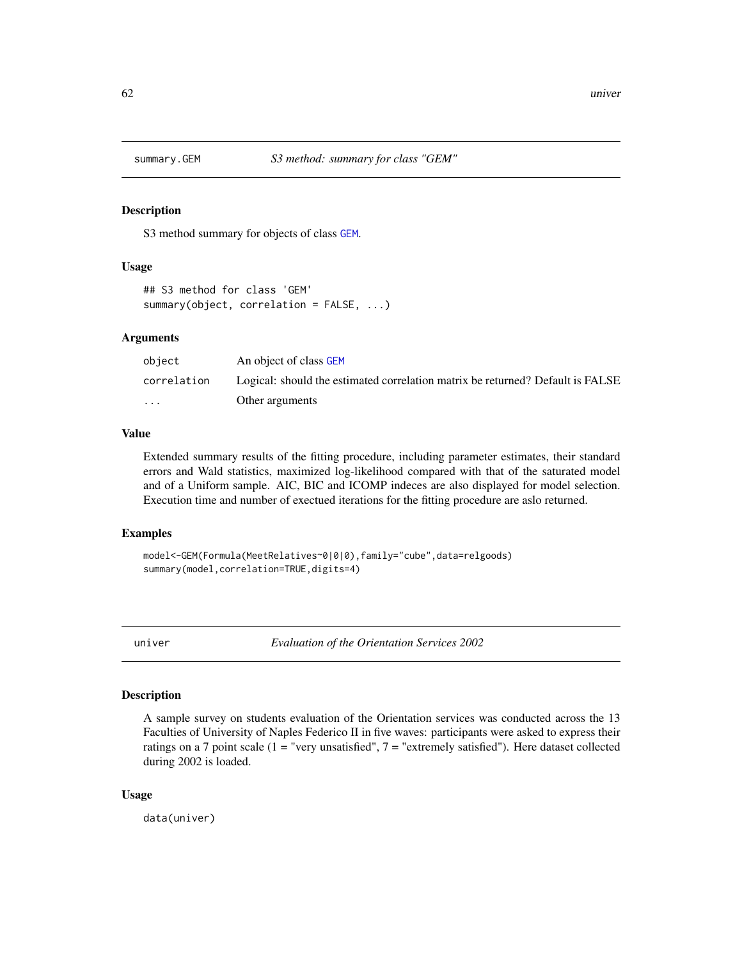<span id="page-61-0"></span>

S3 method summary for objects of class [GEM](#page-18-1).

# Usage

```
## S3 method for class 'GEM'
summary(object, correlation = FALSE, ...)
```
#### Arguments

| object                  | An object of class GEM                                                         |
|-------------------------|--------------------------------------------------------------------------------|
| correlation             | Logical: should the estimated correlation matrix be returned? Default is FALSE |
| $\cdot$ $\cdot$ $\cdot$ | Other arguments                                                                |

# Value

Extended summary results of the fitting procedure, including parameter estimates, their standard errors and Wald statistics, maximized log-likelihood compared with that of the saturated model and of a Uniform sample. AIC, BIC and ICOMP indeces are also displayed for model selection. Execution time and number of exectued iterations for the fitting procedure are aslo returned.

#### Examples

```
model<-GEM(Formula(MeetRelatives~0|0|0),family="cube",data=relgoods)
summary(model,correlation=TRUE,digits=4)
```
univer *Evaluation of the Orientation Services 2002*

#### Description

A sample survey on students evaluation of the Orientation services was conducted across the 13 Faculties of University of Naples Federico II in five waves: participants were asked to express their ratings on a 7 point scale  $(1 = "very unsatisfied", 7 = "extremely satisfied").$  Here dataset collected during 2002 is loaded.

#### Usage

data(univer)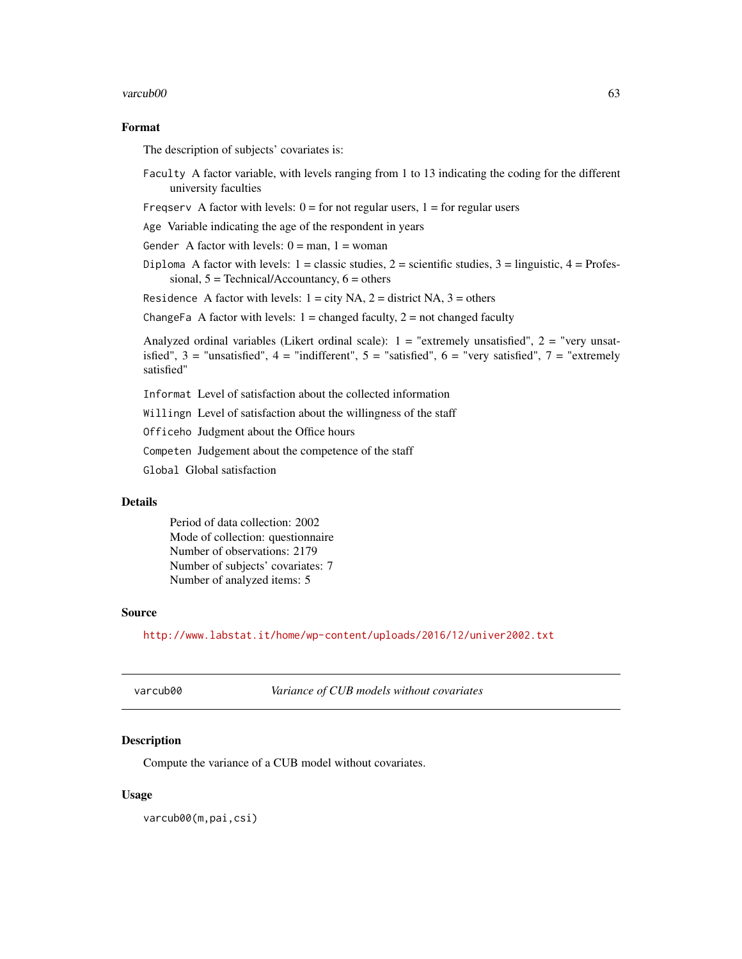#### <span id="page-62-0"></span> $\alpha$  varcub $00$  63

#### Format

The description of subjects' covariates is:

Faculty A factor variable, with levels ranging from 1 to 13 indicating the coding for the different university faculties

Freqserv A factor with levels:  $0 =$  for not regular users,  $1 =$  for regular users

Age Variable indicating the age of the respondent in years

Gender A factor with levels:  $0 = \text{man}$ ,  $1 = \text{woman}$ 

Diploma A factor with levels:  $1 =$  classic studies,  $2 =$  scientific studies,  $3 =$  linguistic,  $4 =$  Professional,  $5 = \text{Technical/Accountancy}, 6 = \text{others}$ 

Residence A factor with levels:  $1 = \text{city NA}$ ,  $2 = \text{distinct NA}$ ,  $3 = \text{others}$ 

ChangeFa A factor with levels:  $1 =$  changed faculty,  $2 =$  not changed faculty

Analyzed ordinal variables (Likert ordinal scale):  $1 =$  "extremely unsatisfied",  $2 =$  "very unsatisfied",  $3 =$  "unsatisfied",  $4 =$  "indifferent",  $5 =$  "satisfied",  $6 =$  "very satisfied",  $7 =$  "extremely satisfied"

Informat Level of satisfaction about the collected information

Willingn Level of satisfaction about the willingness of the staff

Officeho Judgment about the Office hours

Competen Judgement about the competence of the staff

Global Global satisfaction

#### **Details**

Period of data collection: 2002 Mode of collection: questionnaire Number of observations: 2179 Number of subjects' covariates: 7 Number of analyzed items: 5

#### Source

<http://www.labstat.it/home/wp-content/uploads/2016/12/univer2002.txt>

<span id="page-62-1"></span>

#### Description

Compute the variance of a CUB model without covariates.

#### Usage

varcub00(m,pai,csi)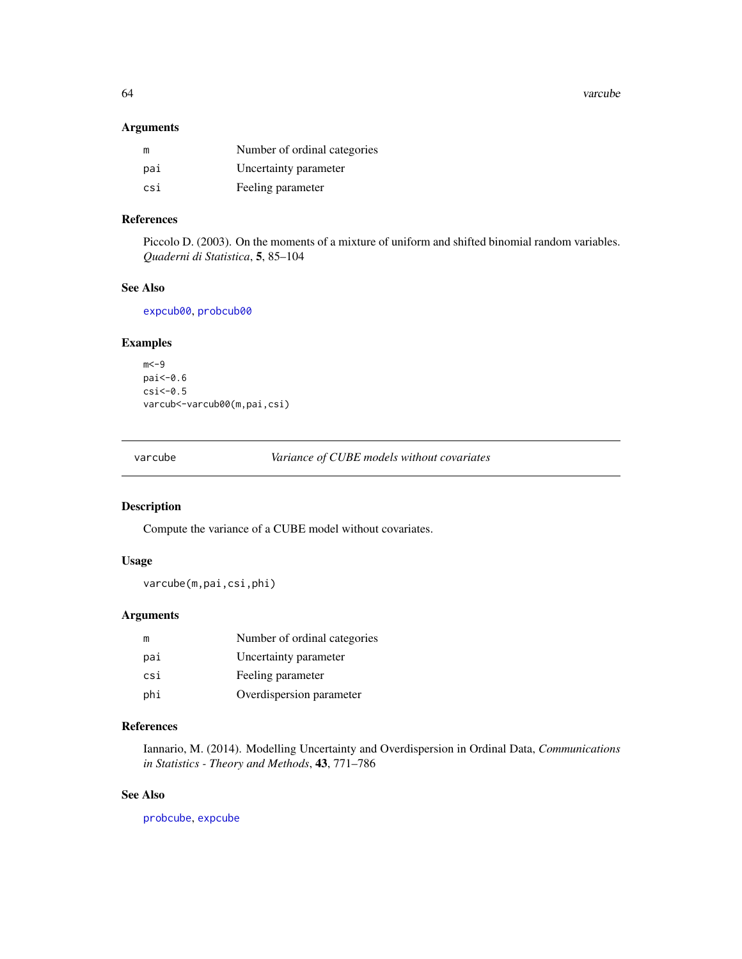64 varcube

# Arguments

| m   | Number of ordinal categories |
|-----|------------------------------|
| pai | Uncertainty parameter        |
| csi | Feeling parameter            |

# References

Piccolo D. (2003). On the moments of a mixture of uniform and shifted binomial random variables. *Quaderni di Statistica*, 5, 85–104

# See Also

[expcub00](#page-16-1), [probcub00](#page-42-1)

# Examples

```
m < -9pai<-0.6
csi<-0.5varcub<-varcub00(m,pai,csi)
```
<span id="page-63-1"></span>varcube *Variance of CUBE models without covariates*

# Description

Compute the variance of a CUBE model without covariates.

# Usage

varcube(m,pai,csi,phi)

# Arguments

| m   | Number of ordinal categories |
|-----|------------------------------|
| pai | Uncertainty parameter        |
| csi | Feeling parameter            |
| phi | Overdispersion parameter     |

# References

Iannario, M. (2014). Modelling Uncertainty and Overdispersion in Ordinal Data, *Communications in Statistics - Theory and Methods*, 43, 771–786

# See Also

[probcube](#page-44-1), [expcube](#page-17-1)

<span id="page-63-0"></span>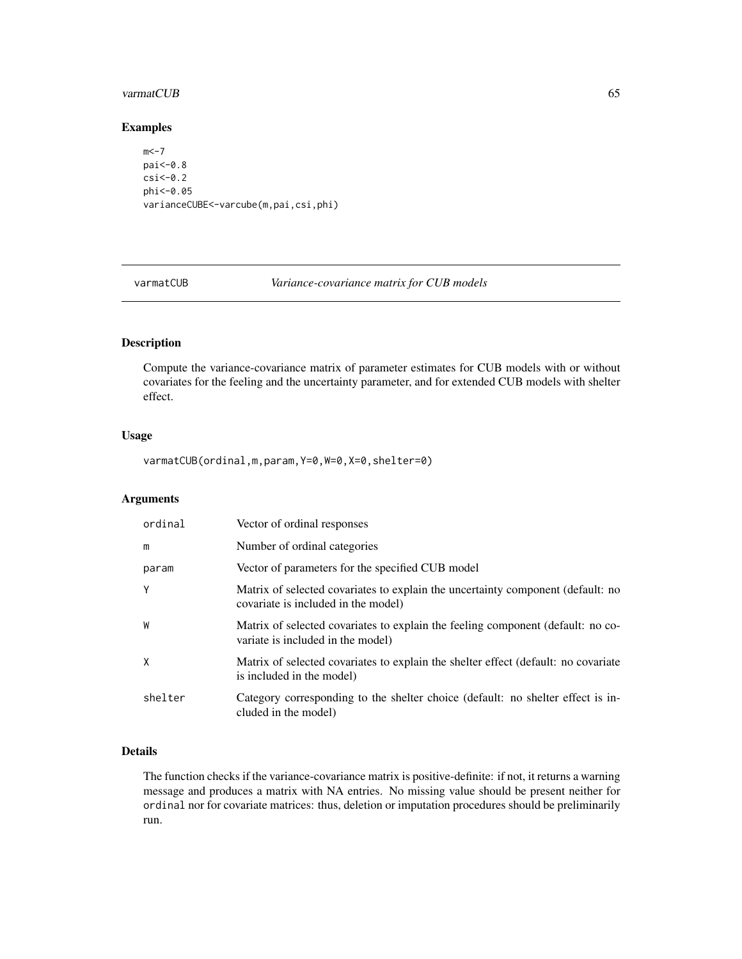#### <span id="page-64-0"></span>varmatCUB 65

# Examples

```
m < -7pai<-0.8
csi<-0.2
phi<-0.05
varianceCUBE<-varcube(m,pai,csi,phi)
```
<span id="page-64-1"></span>varmatCUB *Variance-covariance matrix for CUB models*

# Description

Compute the variance-covariance matrix of parameter estimates for CUB models with or without covariates for the feeling and the uncertainty parameter, and for extended CUB models with shelter effect.

# Usage

varmatCUB(ordinal,m,param,Y=0,W=0,X=0,shelter=0)

# Arguments

| ordinal | Vector of ordinal responses                                                                                            |
|---------|------------------------------------------------------------------------------------------------------------------------|
| m       | Number of ordinal categories                                                                                           |
| param   | Vector of parameters for the specified CUB model                                                                       |
| Υ       | Matrix of selected covariates to explain the uncertainty component (default: no<br>covariate is included in the model) |
| W       | Matrix of selected covariates to explain the feeling component (default: no co-<br>variate is included in the model)   |
| χ       | Matrix of selected covariates to explain the shelter effect (default: no covariate<br>is included in the model)        |
| shelter | Category corresponding to the shelter choice (default: no shelter effect is in-<br>cluded in the model)                |

# Details

The function checks if the variance-covariance matrix is positive-definite: if not, it returns a warning message and produces a matrix with NA entries. No missing value should be present neither for ordinal nor for covariate matrices: thus, deletion or imputation procedures should be preliminarily run.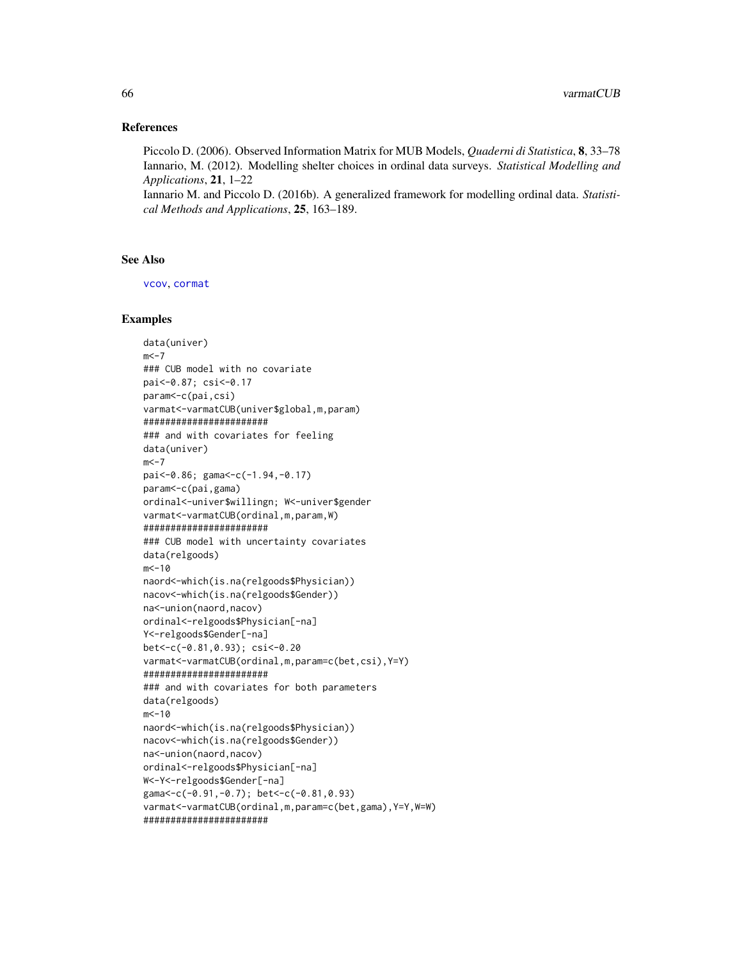#### References

Piccolo D. (2006). Observed Information Matrix for MUB Models, *Quaderni di Statistica*, 8, 33–78 Iannario, M. (2012). Modelling shelter choices in ordinal data surveys. *Statistical Modelling and Applications*, 21, 1–22

Iannario M. and Piccolo D. (2016b). A generalized framework for modelling ordinal data. *Statistical Methods and Applications*, 25, 163–189.

# See Also

[vcov](#page-0-0), [cormat](#page-9-1)

```
data(univer)
m < -7### CUB model with no covariate
pai<-0.87; csi<-0.17
param<-c(pai,csi)
varmat<-varmatCUB(univer$global,m,param)
#######################
### and with covariates for feeling
data(univer)
m < -7pai<-0.86; gama<-c(-1.94,-0.17)
param<-c(pai,gama)
ordinal<-univer$willingn; W<-univer$gender
varmat<-varmatCUB(ordinal,m,param,W)
#######################
### CUB model with uncertainty covariates
data(relgoods)
m < -10naord<-which(is.na(relgoods$Physician))
nacov<-which(is.na(relgoods$Gender))
na<-union(naord,nacov)
ordinal<-relgoods$Physician[-na]
Y<-relgoods$Gender[-na]
bet<-c(-0.81,0.93); csi<-0.20
varmat<-varmatCUB(ordinal,m,param=c(bet,csi),Y=Y)
#######################
### and with covariates for both parameters
data(relgoods)
m < -10naord<-which(is.na(relgoods$Physician))
nacov<-which(is.na(relgoods$Gender))
na<-union(naord,nacov)
ordinal<-relgoods$Physician[-na]
W<-Y<-relgoods$Gender[-na]
gama<-c(-0.91,-0.7); bet<-c(-0.81,0.93)
varmat<-varmatCUB(ordinal,m,param=c(bet,gama),Y=Y,W=W)
#######################
```
<span id="page-65-0"></span>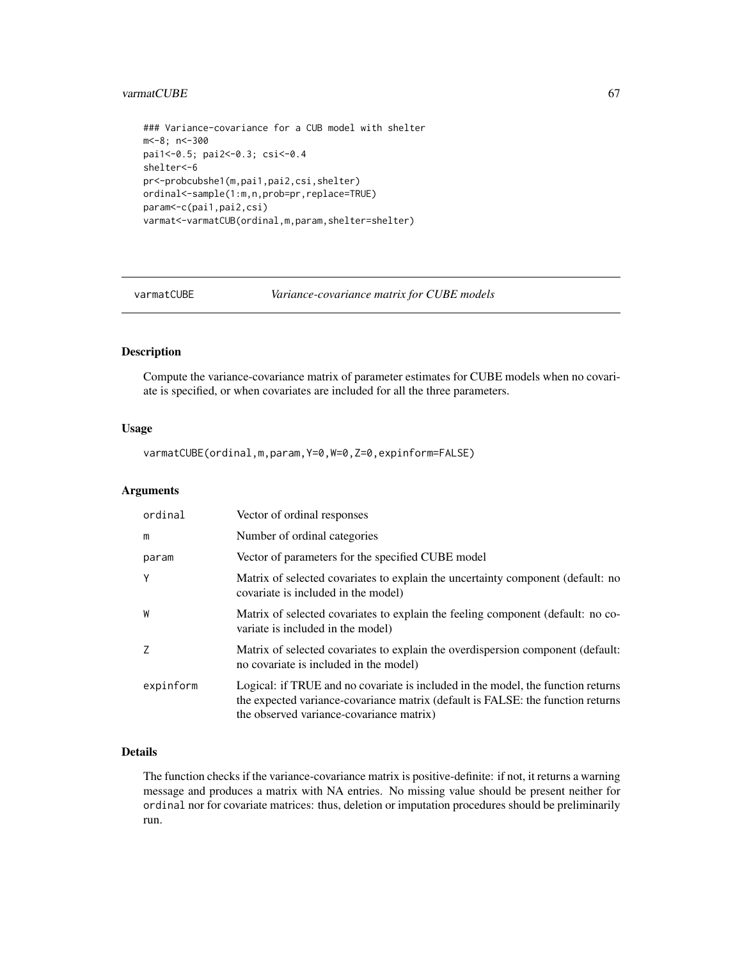# <span id="page-66-0"></span>varmatCUBE 67

```
### Variance-covariance for a CUB model with shelter
m<-8; n<-300
pai1<-0.5; pai2<-0.3; csi<-0.4
shelter<-6
pr<-probcubshe1(m,pai1,pai2,csi,shelter)
ordinal<-sample(1:m,n,prob=pr,replace=TRUE)
param<-c(pai1,pai2,csi)
varmat<-varmatCUB(ordinal,m,param,shelter=shelter)
```
<span id="page-66-1"></span>

varmatCUBE *Variance-covariance matrix for CUBE models*

# Description

Compute the variance-covariance matrix of parameter estimates for CUBE models when no covariate is specified, or when covariates are included for all the three parameters.

#### Usage

varmatCUBE(ordinal,m,param,Y=0,W=0,Z=0,expinform=FALSE)

#### Arguments

| ordinal   | Vector of ordinal responses                                                                                                                                                                                     |
|-----------|-----------------------------------------------------------------------------------------------------------------------------------------------------------------------------------------------------------------|
| m         | Number of ordinal categories                                                                                                                                                                                    |
| param     | Vector of parameters for the specified CUBE model                                                                                                                                                               |
| Y         | Matrix of selected covariates to explain the uncertainty component (default: no<br>covariate is included in the model)                                                                                          |
| W         | Matrix of selected covariates to explain the feeling component (default: no co-<br>variate is included in the model)                                                                                            |
|           | Matrix of selected covariates to explain the overdispersion component (default:<br>no covariate is included in the model)                                                                                       |
| expinform | Logical: if TRUE and no covariate is included in the model, the function returns<br>the expected variance-covariance matrix (default is FALSE: the function returns<br>the observed variance-covariance matrix) |

# Details

The function checks if the variance-covariance matrix is positive-definite: if not, it returns a warning message and produces a matrix with NA entries. No missing value should be present neither for ordinal nor for covariate matrices: thus, deletion or imputation procedures should be preliminarily run.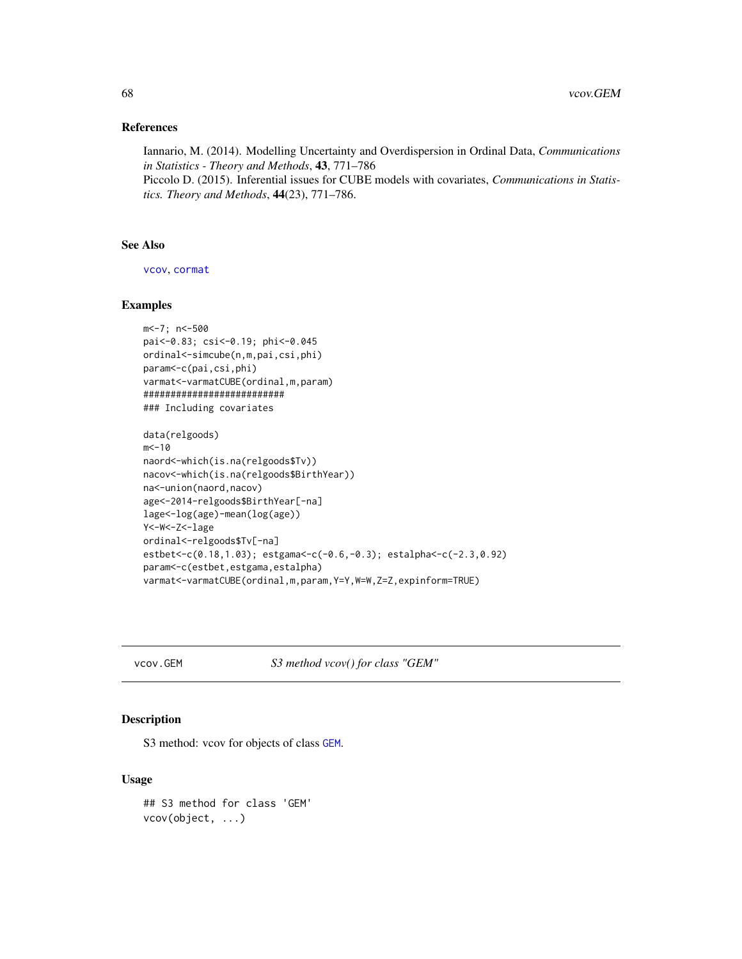#### <span id="page-67-0"></span>References

Iannario, M. (2014). Modelling Uncertainty and Overdispersion in Ordinal Data, *Communications in Statistics - Theory and Methods*, 43, 771–786

Piccolo D. (2015). Inferential issues for CUBE models with covariates, *Communications in Statistics. Theory and Methods*, 44(23), 771–786.

#### See Also

[vcov](#page-0-0), [cormat](#page-9-1)

#### Examples

```
m<-7; n<-500
pai<-0.83; csi<-0.19; phi<-0.045
ordinal<-simcube(n,m,pai,csi,phi)
param<-c(pai,csi,phi)
varmat<-varmatCUBE(ordinal,m,param)
##########################
### Including covariates
```

```
data(relgoods)
m < -10naord<-which(is.na(relgoods$Tv))
nacov<-which(is.na(relgoods$BirthYear))
na<-union(naord,nacov)
age<-2014-relgoods$BirthYear[-na]
lage<-log(age)-mean(log(age))
Y<-W<-Z<-lage
ordinal<-relgoods$Tv[-na]
estbet<-c(0.18,1.03); estgama<-c(-0.6,-0.3); estalpha<-c(-2.3,0.92)
param<-c(estbet,estgama,estalpha)
varmat<-varmatCUBE(ordinal,m,param,Y=Y,W=W,Z=Z,expinform=TRUE)
```
vcov.GEM *S3 method vcov() for class "GEM"*

## Description

S3 method: vcov for objects of class [GEM](#page-18-1).

# Usage

```
## S3 method for class 'GEM'
vcov(object, ...)
```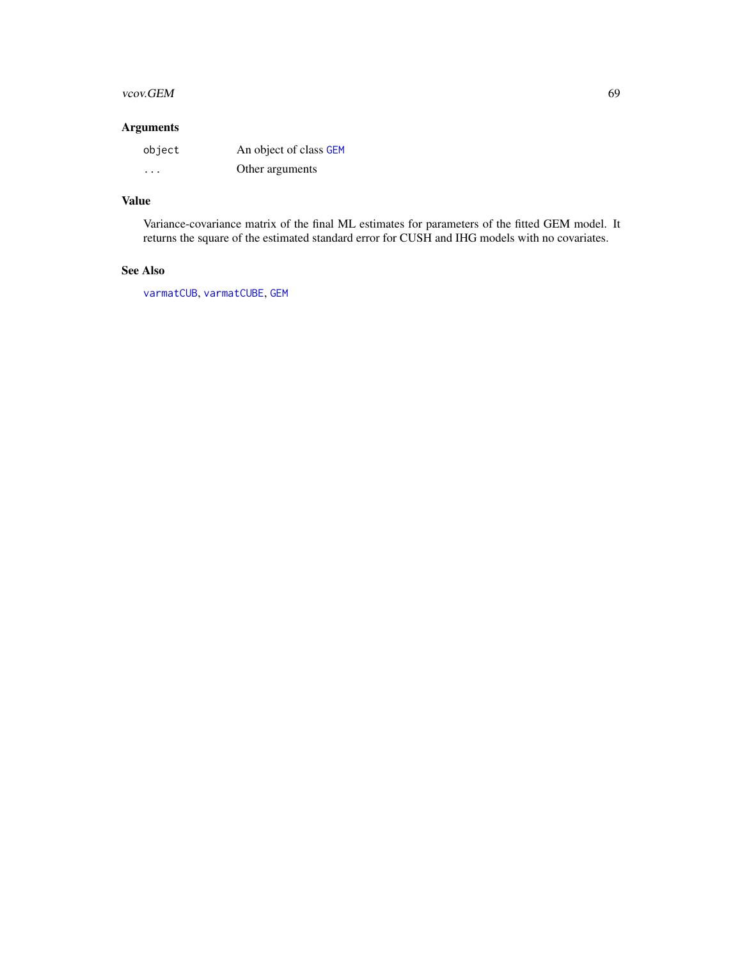#### <span id="page-68-0"></span>vcov.GEM 69

# Arguments

| object                  | An object of class GEM |
|-------------------------|------------------------|
| $\cdot$ $\cdot$ $\cdot$ | Other arguments        |

# Value

Variance-covariance matrix of the final ML estimates for parameters of the fitted GEM model. It returns the square of the estimated standard error for CUSH and IHG models with no covariates.

# See Also

[varmatCUB](#page-64-1), [varmatCUBE](#page-66-1), [GEM](#page-18-1)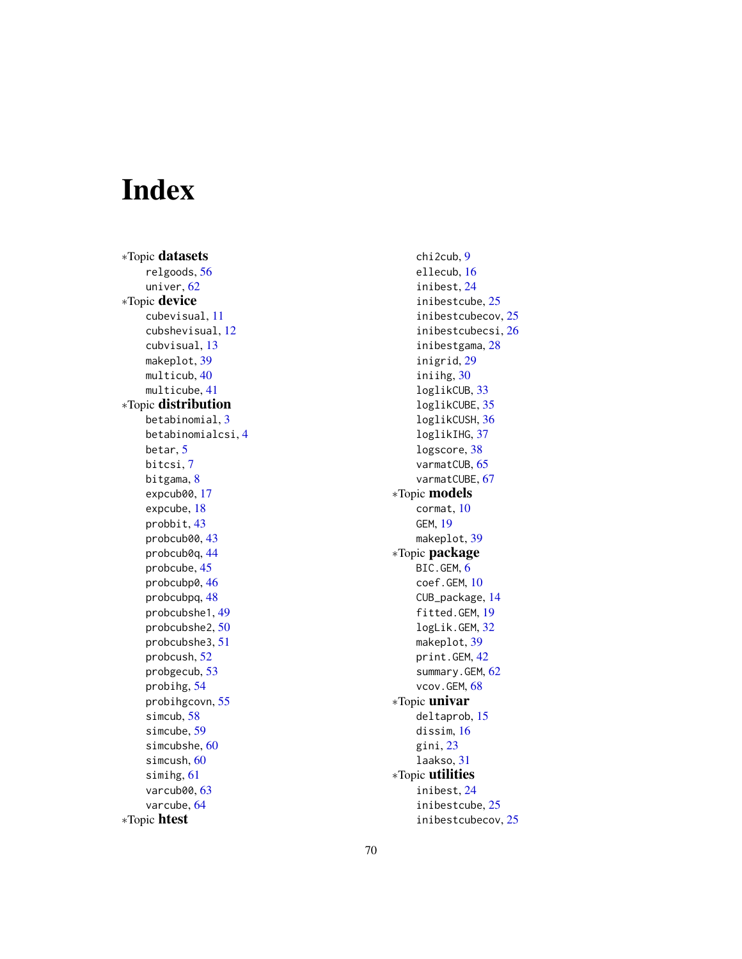# <span id="page-69-0"></span>Index

∗Topic datasets relgoods , [56](#page-55-0) univer , [62](#page-61-0) ∗Topic device cubevisual , [11](#page-10-0) cubshevisual , [12](#page-11-0) cubvisual , [13](#page-12-0) makeplot, [39](#page-38-0) multicub , [40](#page-39-0) multicube , [41](#page-40-0) ∗Topic distribution betabinomial , [3](#page-2-0) betabinomialcsi , [4](#page-3-0) betar , [5](#page-4-0) bitcsi , [7](#page-6-0) bitgama, [8](#page-7-0) expcub00, [17](#page-16-0) expcube , [18](#page-17-0) probbit , [43](#page-42-0) probcub00 , [43](#page-42-0) probcub0q , [44](#page-43-0) probcube , [45](#page-44-0) probcubp0 , [46](#page-45-0) probcubpq , [48](#page-47-0) probcubshe1 , [49](#page-48-0) probcubshe2 , [50](#page-49-0) probcubshe3 , [51](#page-50-0) probcush , [52](#page-51-0) probgecub , [53](#page-52-0) probihg , [54](#page-53-0) probihgcovn , [55](#page-54-0) simcub , [58](#page-57-0) simcube , [59](#page-58-0) simcubshe , [60](#page-59-0) simcush, [60](#page-59-0) simihg , [61](#page-60-0) varcub00, [63](#page-62-0) varcube , [64](#page-63-0) ∗Topic htest

chi2cub , [9](#page-8-0) ellecub , [16](#page-15-0) inibest , [24](#page-23-0) inibestcube , [25](#page-24-0) inibestcubecov , [25](#page-24-0) inibestcubecsi , [26](#page-25-0) inibestgama , [28](#page-27-0) inigrid , [29](#page-28-0) iniihg , [30](#page-29-0) loglikCUB , [33](#page-32-0) loglikCUBE , [35](#page-34-0) loglikCUSH , [36](#page-35-0) loglikIHG , [37](#page-36-0) logscore , [38](#page-37-0) varmatCUB, [65](#page-64-0) varmatCUBE, [67](#page-66-0) ∗Topic models cormat , [10](#page-9-0) GEM , [19](#page-18-0) makeplot , [39](#page-38-0) ∗Topic package BIC.GEM, [6](#page-5-0) coef.GEM , [10](#page-9-0) CUB\_package , [14](#page-13-0) fitted.GEM , [19](#page-18-0) logLik.GEM , [32](#page-31-0) makeplot, [39](#page-38-0) print.GEM , [42](#page-41-0) summary.GEM, [62](#page-61-0) vcov.GEM, [68](#page-67-0) ∗Topic univar deltaprob , [15](#page-14-0) dissim , [16](#page-15-0) gini , [23](#page-22-0) laakso , [31](#page-30-0) ∗Topic utilities inibest , [24](#page-23-0) inibestcube , [25](#page-24-0) inibestcubecov , [25](#page-24-0)